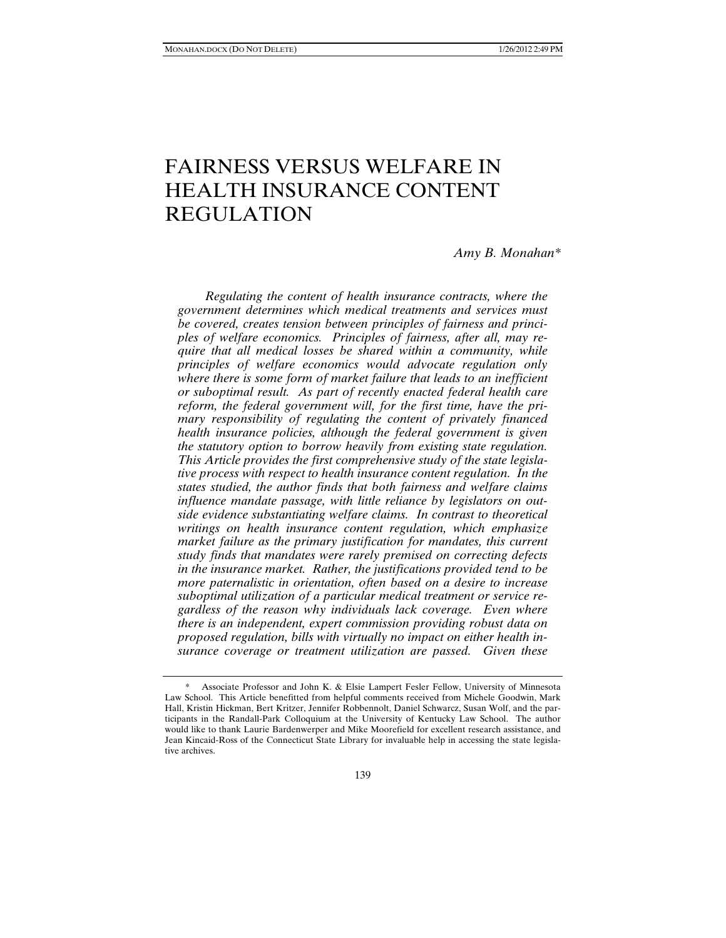# FAIRNESS VERSUS WELFARE IN HEALTH INSURANCE CONTENT REGULATION

# *Amy B. Monahan\**

*Regulating the content of health insurance contracts, where the government determines which medical treatments and services must be covered, creates tension between principles of fairness and principles of welfare economics. Principles of fairness, after all, may require that all medical losses be shared within a community, while principles of welfare economics would advocate regulation only where there is some form of market failure that leads to an inefficient or suboptimal result. As part of recently enacted federal health care reform, the federal government will, for the first time, have the primary responsibility of regulating the content of privately financed health insurance policies, although the federal government is given the statutory option to borrow heavily from existing state regulation. This Article provides the first comprehensive study of the state legislative process with respect to health insurance content regulation. In the states studied, the author finds that both fairness and welfare claims influence mandate passage, with little reliance by legislators on outside evidence substantiating welfare claims. In contrast to theoretical writings on health insurance content regulation, which emphasize market failure as the primary justification for mandates, this current study finds that mandates were rarely premised on correcting defects in the insurance market. Rather, the justifications provided tend to be more paternalistic in orientation, often based on a desire to increase suboptimal utilization of a particular medical treatment or service regardless of the reason why individuals lack coverage. Even where there is an independent, expert commission providing robust data on proposed regulation, bills with virtually no impact on either health insurance coverage or treatment utilization are passed. Given these* 

Associate Professor and John K. & Elsie Lampert Fesler Fellow, University of Minnesota Law School. This Article benefitted from helpful comments received from Michele Goodwin, Mark Hall, Kristin Hickman, Bert Kritzer, Jennifer Robbennolt, Daniel Schwarcz, Susan Wolf, and the participants in the Randall-Park Colloquium at the University of Kentucky Law School. The author would like to thank Laurie Bardenwerper and Mike Moorefield for excellent research assistance, and Jean Kincaid-Ross of the Connecticut State Library for invaluable help in accessing the state legislative archives.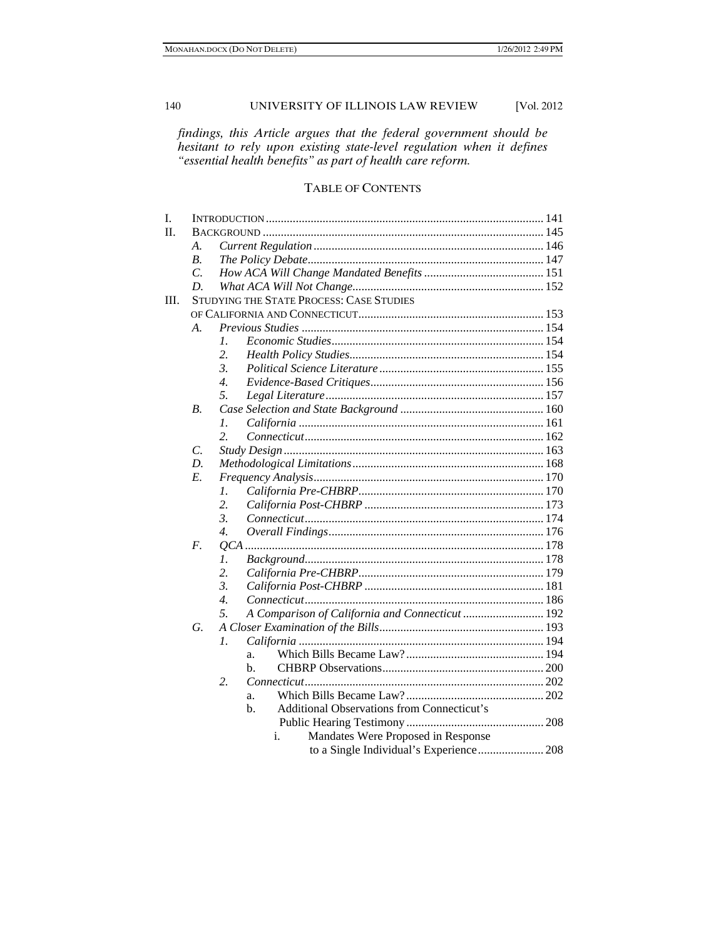*findings, this Article argues that the federal government should be hesitant to rely upon existing state-level regulation when it defines "essential health benefits" as part of health care reform.* 

# TABLE OF CONTENTS

| I.   |                 |                                                                  |  |  |  |
|------|-----------------|------------------------------------------------------------------|--|--|--|
| II.  |                 |                                                                  |  |  |  |
|      | А.              |                                                                  |  |  |  |
|      | В.              |                                                                  |  |  |  |
|      | $\mathcal{C}$ . |                                                                  |  |  |  |
|      | D.              |                                                                  |  |  |  |
| III. |                 | STUDYING THE STATE PROCESS: CASE STUDIES                         |  |  |  |
|      |                 |                                                                  |  |  |  |
|      | A.              |                                                                  |  |  |  |
|      |                 | $\mathcal{I}$ .                                                  |  |  |  |
|      |                 | 2.                                                               |  |  |  |
|      |                 | 3.                                                               |  |  |  |
|      |                 | $\mathcal{A}_{\cdot}$                                            |  |  |  |
|      |                 | 5.                                                               |  |  |  |
|      | $B_{\cdot}$     |                                                                  |  |  |  |
|      |                 | $\mathcal{I}$ .                                                  |  |  |  |
|      |                 | 2.                                                               |  |  |  |
|      | C.              |                                                                  |  |  |  |
|      | D.              |                                                                  |  |  |  |
|      | E.              |                                                                  |  |  |  |
|      |                 | 1.                                                               |  |  |  |
|      |                 | 2.                                                               |  |  |  |
|      |                 | $\mathfrak{Z}$                                                   |  |  |  |
|      |                 | 4.                                                               |  |  |  |
|      | F.              |                                                                  |  |  |  |
|      |                 | $\mathcal{I}$ .                                                  |  |  |  |
|      |                 | 2.                                                               |  |  |  |
|      |                 | 3.                                                               |  |  |  |
|      |                 | 4.                                                               |  |  |  |
|      |                 | 5.<br>A Comparison of California and Connecticut  192            |  |  |  |
|      | G.              |                                                                  |  |  |  |
|      |                 | 1.                                                               |  |  |  |
|      |                 | a.                                                               |  |  |  |
|      |                 | $h_{\cdot}$                                                      |  |  |  |
|      |                 | 2.                                                               |  |  |  |
|      |                 | a.                                                               |  |  |  |
|      |                 | <b>Additional Observations from Connecticut's</b><br>$h_{\cdot}$ |  |  |  |
|      |                 |                                                                  |  |  |  |
|      |                 | Mandates Were Proposed in Response<br>i.                         |  |  |  |
|      |                 | to a Single Individual's Experience 208                          |  |  |  |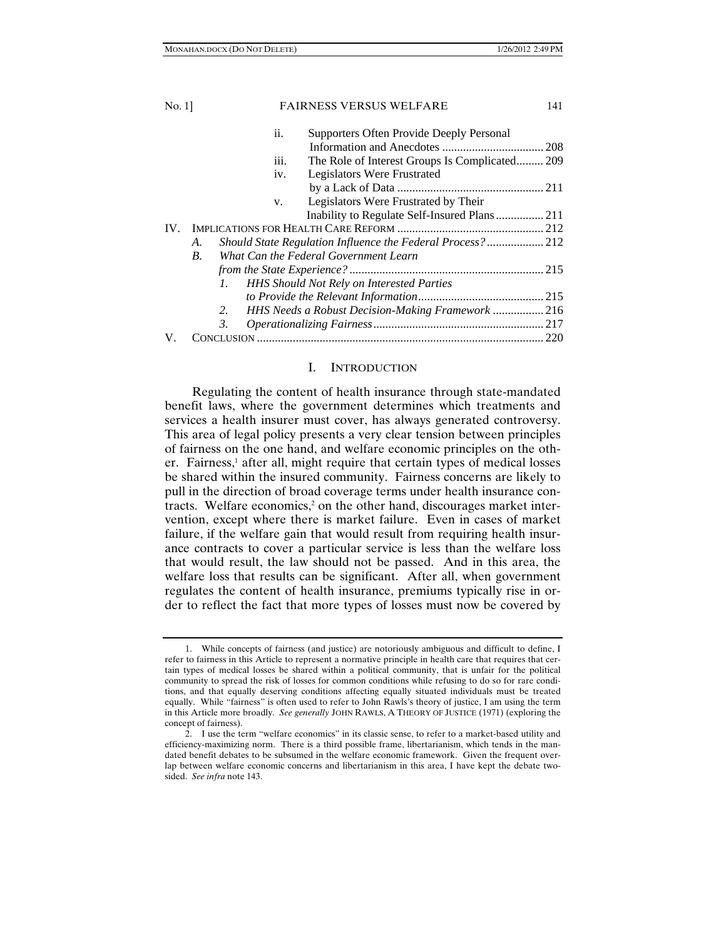| <b>FAIRNESS VERSUS WELFARE</b><br>141                       |
|-------------------------------------------------------------|
| Supporters Often Provide Deeply Personal                    |
|                                                             |
| The Role of Interest Groups Is Complicated 209              |
| Legislators Were Frustrated                                 |
|                                                             |
| Legislators Were Frustrated by Their                        |
|                                                             |
|                                                             |
| Should State Regulation Influence the Federal Process?  212 |
| What Can the Federal Government Learn                       |
|                                                             |
| <b>HHS Should Not Rely on Interested Parties</b>            |
|                                                             |
| HHS Needs a Robust Decision-Making Framework  216           |
|                                                             |
|                                                             |
|                                                             |

# I. INTRODUCTION

Regulating the content of health insurance through state-mandated benefit laws, where the government determines which treatments and services a health insurer must cover, has always generated controversy. This area of legal policy presents a very clear tension between principles of fairness on the one hand, and welfare economic principles on the other. Fairness,<sup>1</sup> after all, might require that certain types of medical losses be shared within the insured community. Fairness concerns are likely to pull in the direction of broad coverage terms under health insurance contracts. Welfare economics,<sup>2</sup> on the other hand, discourages market intervention, except where there is market failure. Even in cases of market failure, if the welfare gain that would result from requiring health insurance contracts to cover a particular service is less than the welfare loss that would result, the law should not be passed. And in this area, the welfare loss that results can be significant. After all, when government regulates the content of health insurance, premiums typically rise in order to reflect the fact that more types of losses must now be covered by

 <sup>1.</sup> While concepts of fairness (and justice) are notoriously ambiguous and difficult to define, I refer to fairness in this Article to represent a normative principle in health care that requires that certain types of medical losses be shared within a political community, that is unfair for the political community to spread the risk of losses for common conditions while refusing to do so for rare conditions, and that equally deserving conditions affecting equally situated individuals must be treated equally. While "fairness" is often used to refer to John Rawls's theory of justice, I am using the term in this Article more broadly. *See generally* JOHN RAWLS, A THEORY OF JUSTICE (1971) (exploring the concept of fairness).

 <sup>2.</sup> I use the term "welfare economics" in its classic sense, to refer to a market-based utility and efficiency-maximizing norm. There is a third possible frame, libertarianism, which tends in the mandated benefit debates to be subsumed in the welfare economic framework. Given the frequent overlap between welfare economic concerns and libertarianism in this area, I have kept the debate twosided. *See infra* note 143.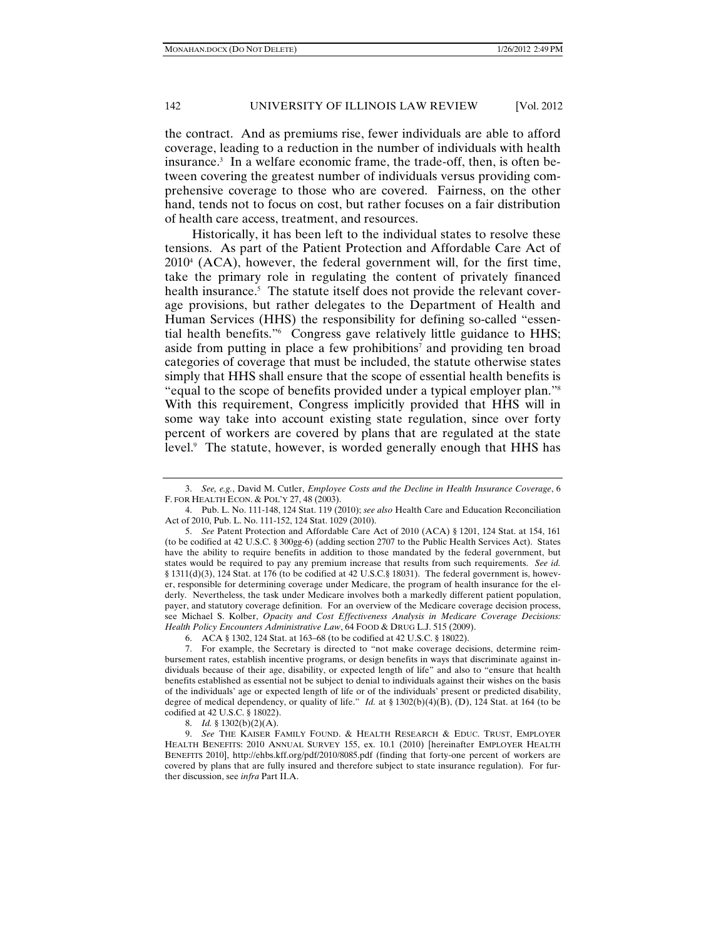the contract. And as premiums rise, fewer individuals are able to afford coverage, leading to a reduction in the number of individuals with health insurance.3 In a welfare economic frame, the trade-off, then, is often between covering the greatest number of individuals versus providing comprehensive coverage to those who are covered. Fairness, on the other hand, tends not to focus on cost, but rather focuses on a fair distribution of health care access, treatment, and resources.

Historically, it has been left to the individual states to resolve these tensions. As part of the Patient Protection and Affordable Care Act of 20104 (ACA), however, the federal government will, for the first time, take the primary role in regulating the content of privately financed health insurance.<sup>5</sup> The statute itself does not provide the relevant coverage provisions, but rather delegates to the Department of Health and Human Services (HHS) the responsibility for defining so-called "essential health benefits."6 Congress gave relatively little guidance to HHS; aside from putting in place a few prohibitions<sup>7</sup> and providing ten broad categories of coverage that must be included, the statute otherwise states simply that HHS shall ensure that the scope of essential health benefits is "equal to the scope of benefits provided under a typical employer plan."8 With this requirement, Congress implicitly provided that HHS will in some way take into account existing state regulation, since over forty percent of workers are covered by plans that are regulated at the state level.9 The statute, however, is worded generally enough that HHS has

6. ACA § 1302, 124 Stat. at 163–68 (to be codified at 42 U.S.C. § 18022).

 <sup>3.</sup> *See, e.g.*, David M. Cutler, *Employee Costs and the Decline in Health Insurance Coverage*, 6 F. FOR HEALTH ECON. & POL'Y 27, 48 (2003).

 <sup>4.</sup> Pub. L. No. 111-148, 124 Stat. 119 (2010); *see also* Health Care and Education Reconciliation Act of 2010, Pub. L. No. 111-152, 124 Stat. 1029 (2010).

 <sup>5.</sup> *See* Patent Protection and Affordable Care Act of 2010 (ACA) § 1201, 124 Stat. at 154, 161 (to be codified at 42 U.S.C. § 300gg-6) (adding section 2707 to the Public Health Services Act). States have the ability to require benefits in addition to those mandated by the federal government, but states would be required to pay any premium increase that results from such requirements. *See id.* § 1311(d)(3), 124 Stat. at 176 (to be codified at 42 U.S.C.§ 18031). The federal government is, however, responsible for determining coverage under Medicare, the program of health insurance for the elderly. Nevertheless, the task under Medicare involves both a markedly different patient population, payer, and statutory coverage definition. For an overview of the Medicare coverage decision process, see Michael S. Kolber, *Opacity and Cost Effectiveness Analysis in Medicare Coverage Decisions: Health Policy Encounters Administrative Law*, 64 FOOD & DRUG L.J. 515 (2009).

 <sup>7.</sup> For example, the Secretary is directed to "not make coverage decisions, determine reimbursement rates, establish incentive programs, or design benefits in ways that discriminate against individuals because of their age, disability, or expected length of life" and also to "ensure that health benefits established as essential not be subject to denial to individuals against their wishes on the basis of the individuals' age or expected length of life or of the individuals' present or predicted disability, degree of medical dependency, or quality of life." *Id.* at § 1302(b)(4)(B), (D), 124 Stat. at 164 (to be codified at 42 U.S.C. § 18022).

 <sup>8.</sup> *Id.* § 1302(b)(2)(A).

 <sup>9.</sup> *See* THE KAISER FAMILY FOUND. & HEALTH RESEARCH & EDUC. TRUST, EMPLOYER HEALTH BENEFITS: 2010 ANNUAL SURVEY 155, ex. 10.1 (2010) [hereinafter EMPLOYER HEALTH BENEFITS 2010], http://ehbs.kff.org/pdf/2010/8085.pdf (finding that forty-one percent of workers are covered by plans that are fully insured and therefore subject to state insurance regulation). For further discussion, see *infra* Part II.A.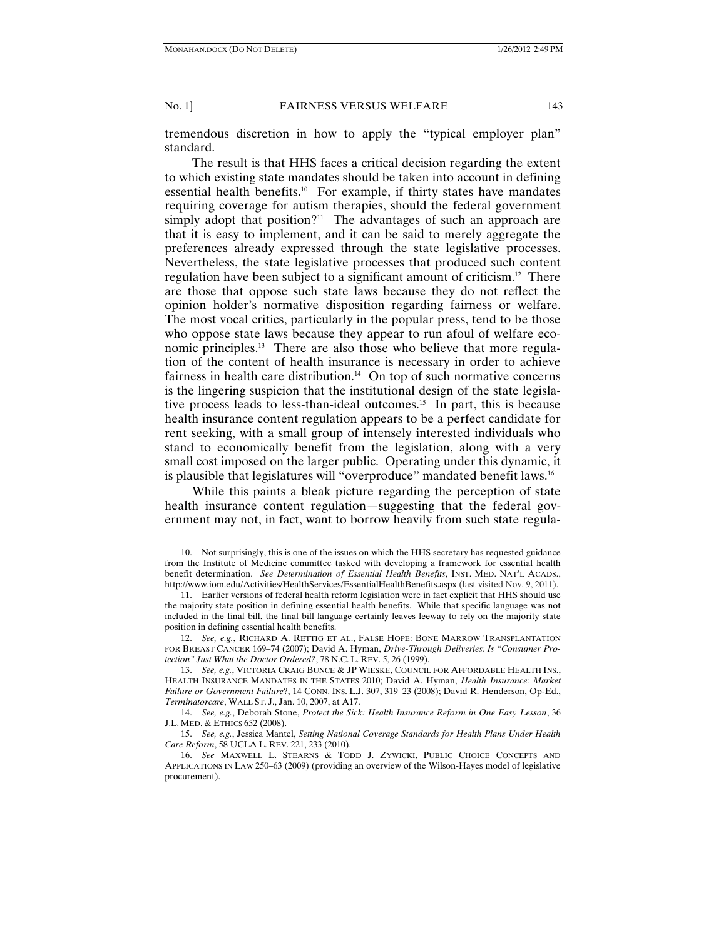tremendous discretion in how to apply the "typical employer plan" standard.

The result is that HHS faces a critical decision regarding the extent to which existing state mandates should be taken into account in defining essential health benefits.10 For example, if thirty states have mandates requiring coverage for autism therapies, should the federal government simply adopt that position?<sup>11</sup> The advantages of such an approach are that it is easy to implement, and it can be said to merely aggregate the preferences already expressed through the state legislative processes. Nevertheless, the state legislative processes that produced such content regulation have been subject to a significant amount of criticism.12 There are those that oppose such state laws because they do not reflect the opinion holder's normative disposition regarding fairness or welfare. The most vocal critics, particularly in the popular press, tend to be those who oppose state laws because they appear to run afoul of welfare economic principles.13 There are also those who believe that more regulation of the content of health insurance is necessary in order to achieve fairness in health care distribution.<sup>14</sup> On top of such normative concerns is the lingering suspicion that the institutional design of the state legislative process leads to less-than-ideal outcomes.15 In part, this is because health insurance content regulation appears to be a perfect candidate for rent seeking, with a small group of intensely interested individuals who stand to economically benefit from the legislation, along with a very small cost imposed on the larger public. Operating under this dynamic, it is plausible that legislatures will "overproduce" mandated benefit laws.<sup>16</sup>

While this paints a bleak picture regarding the perception of state health insurance content regulation—suggesting that the federal government may not, in fact, want to borrow heavily from such state regula-

 <sup>10.</sup> Not surprisingly, this is one of the issues on which the HHS secretary has requested guidance from the Institute of Medicine committee tasked with developing a framework for essential health benefit determination. *See Determination of Essential Health Benefits*, INST. MED. NAT'L ACADS., http://www.iom.edu/Activities/HealthServices/EssentialHealthBenefits.aspx (last visited Nov. 9, 2011).

 <sup>11.</sup> Earlier versions of federal health reform legislation were in fact explicit that HHS should use the majority state position in defining essential health benefits. While that specific language was not included in the final bill, the final bill language certainly leaves leeway to rely on the majority state position in defining essential health benefits.

 <sup>12.</sup> *See, e.g.*, RICHARD A. RETTIG ET AL., FALSE HOPE: BONE MARROW TRANSPLANTATION FOR BREAST CANCER 169*–*74 (2007); David A. Hyman, *Drive-Through Deliveries: Is "Consumer Protection" Just What the Doctor Ordered?*, 78 N.C. L. REV. 5, 26 (1999).

 <sup>13.</sup> *See, e.g.*, VICTORIA CRAIG BUNCE & JP WIESKE, COUNCIL FOR AFFORDABLE HEALTH INS., HEALTH INSURANCE MANDATES IN THE STATES 2010; David A. Hyman, *Health Insurance: Market Failure or Government Failure*?, 14 CONN. INS. L.J. 307, 319–23 (2008); David R. Henderson, Op-Ed., *Terminatorcare*, WALL ST. J., Jan. 10, 2007, at A17.

 <sup>14.</sup> *See, e.g.*, Deborah Stone, *Protect the Sick: Health Insurance Reform in One Easy Lesson*, 36 J.L. MED. & ETHICS 652 (2008).

 <sup>15.</sup> *See, e.g.*, Jessica Mantel, *Setting National Coverage Standards for Health Plans Under Health Care Reform*, 58 UCLA L. REV. 221, 233 (2010).

 <sup>16.</sup> *See* MAXWELL L. STEARNS & TODD J. ZYWICKI, PUBLIC CHOICE CONCEPTS AND APPLICATIONS IN LAW 250–63 (2009) (providing an overview of the Wilson-Hayes model of legislative procurement).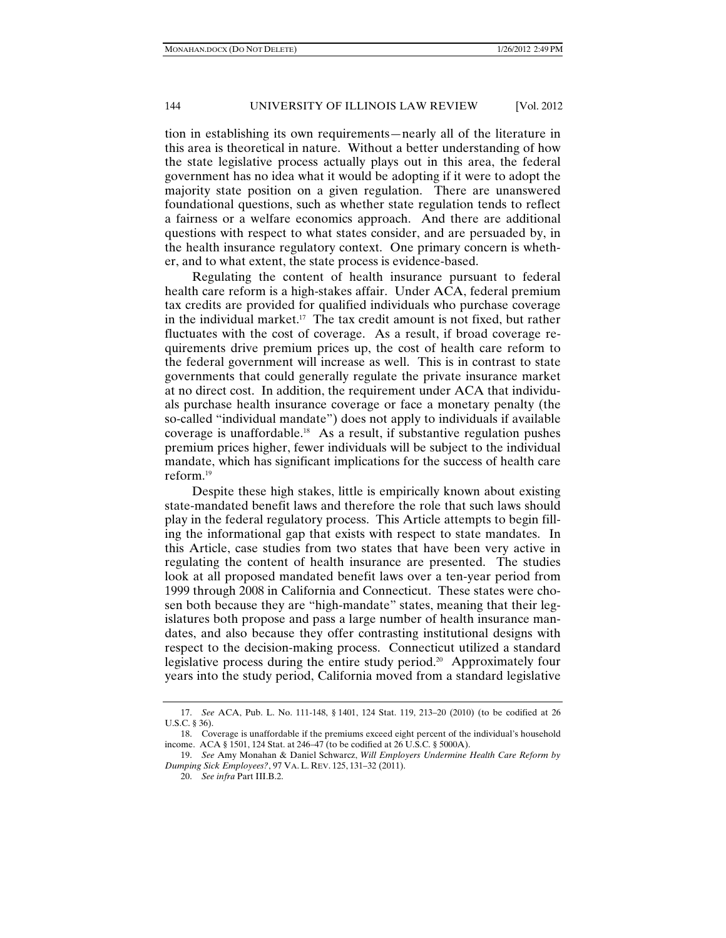tion in establishing its own requirements—nearly all of the literature in this area is theoretical in nature. Without a better understanding of how the state legislative process actually plays out in this area, the federal government has no idea what it would be adopting if it were to adopt the majority state position on a given regulation. There are unanswered foundational questions, such as whether state regulation tends to reflect a fairness or a welfare economics approach. And there are additional questions with respect to what states consider, and are persuaded by, in the health insurance regulatory context. One primary concern is whether, and to what extent, the state process is evidence-based.

Regulating the content of health insurance pursuant to federal health care reform is a high-stakes affair. Under ACA, federal premium tax credits are provided for qualified individuals who purchase coverage in the individual market.<sup>17</sup> The tax credit amount is not fixed, but rather fluctuates with the cost of coverage. As a result, if broad coverage requirements drive premium prices up, the cost of health care reform to the federal government will increase as well. This is in contrast to state governments that could generally regulate the private insurance market at no direct cost. In addition, the requirement under ACA that individuals purchase health insurance coverage or face a monetary penalty (the so-called "individual mandate") does not apply to individuals if available coverage is unaffordable.18 As a result, if substantive regulation pushes premium prices higher, fewer individuals will be subject to the individual mandate, which has significant implications for the success of health care reform.19

Despite these high stakes, little is empirically known about existing state-mandated benefit laws and therefore the role that such laws should play in the federal regulatory process. This Article attempts to begin filling the informational gap that exists with respect to state mandates. In this Article, case studies from two states that have been very active in regulating the content of health insurance are presented. The studies look at all proposed mandated benefit laws over a ten-year period from 1999 through 2008 in California and Connecticut. These states were chosen both because they are "high-mandate" states, meaning that their legislatures both propose and pass a large number of health insurance mandates, and also because they offer contrasting institutional designs with respect to the decision-making process. Connecticut utilized a standard legislative process during the entire study period.<sup>20</sup> Approximately four years into the study period, California moved from a standard legislative

 <sup>17.</sup> *See* ACA, Pub. L. No. 111-148, § 1401, 124 Stat. 119, 213–20 (2010) (to be codified at 26 U.S.C. § 36).

 <sup>18.</sup> Coverage is unaffordable if the premiums exceed eight percent of the individual's household income. ACA § 1501, 124 Stat. at 246–47 (to be codified at 26 U.S.C. § 5000A).

 <sup>19.</sup> *See* Amy Monahan & Daniel Schwarcz, *Will Employers Undermine Health Care Reform by Dumping Sick Employees?*, 97 VA. L. REV. 125, 131–32 (2011).

 <sup>20.</sup> *See infra* Part III.B.2.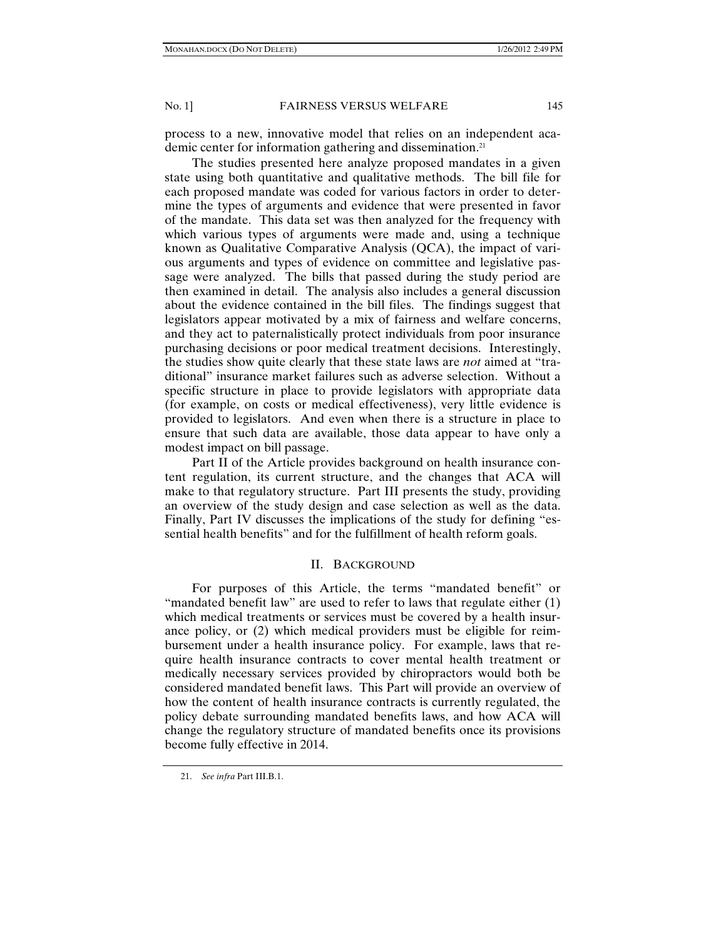process to a new, innovative model that relies on an independent academic center for information gathering and dissemination.<sup>21</sup>

The studies presented here analyze proposed mandates in a given state using both quantitative and qualitative methods. The bill file for each proposed mandate was coded for various factors in order to determine the types of arguments and evidence that were presented in favor of the mandate. This data set was then analyzed for the frequency with which various types of arguments were made and, using a technique known as Qualitative Comparative Analysis (QCA), the impact of various arguments and types of evidence on committee and legislative passage were analyzed. The bills that passed during the study period are then examined in detail. The analysis also includes a general discussion about the evidence contained in the bill files. The findings suggest that legislators appear motivated by a mix of fairness and welfare concerns, and they act to paternalistically protect individuals from poor insurance purchasing decisions or poor medical treatment decisions. Interestingly, the studies show quite clearly that these state laws are *not* aimed at "traditional" insurance market failures such as adverse selection. Without a specific structure in place to provide legislators with appropriate data (for example, on costs or medical effectiveness), very little evidence is provided to legislators. And even when there is a structure in place to ensure that such data are available, those data appear to have only a modest impact on bill passage.

Part II of the Article provides background on health insurance content regulation, its current structure, and the changes that ACA will make to that regulatory structure. Part III presents the study, providing an overview of the study design and case selection as well as the data. Finally, Part IV discusses the implications of the study for defining "essential health benefits" and for the fulfillment of health reform goals.

# II. BACKGROUND

For purposes of this Article, the terms "mandated benefit" or "mandated benefit law" are used to refer to laws that regulate either (1) which medical treatments or services must be covered by a health insurance policy, or (2) which medical providers must be eligible for reimbursement under a health insurance policy. For example, laws that require health insurance contracts to cover mental health treatment or medically necessary services provided by chiropractors would both be considered mandated benefit laws. This Part will provide an overview of how the content of health insurance contracts is currently regulated, the policy debate surrounding mandated benefits laws, and how ACA will change the regulatory structure of mandated benefits once its provisions become fully effective in 2014.

 <sup>21.</sup> *See infra* Part III.B.1.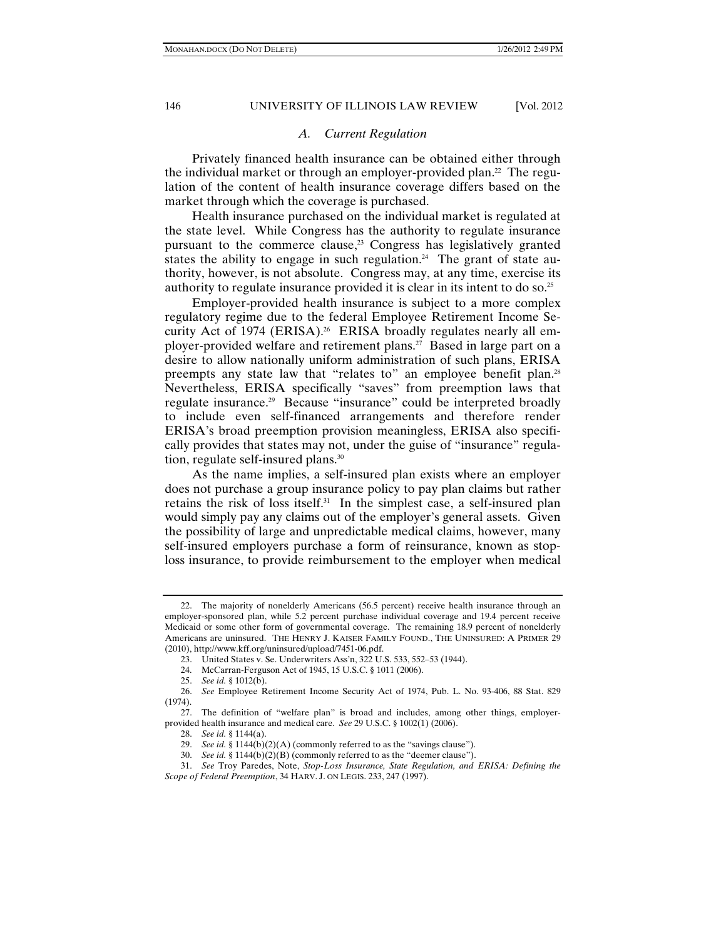# *A. Current Regulation*

Privately financed health insurance can be obtained either through the individual market or through an employer-provided plan.<sup>22</sup> The regulation of the content of health insurance coverage differs based on the market through which the coverage is purchased.

Health insurance purchased on the individual market is regulated at the state level. While Congress has the authority to regulate insurance pursuant to the commerce clause, $23$  Congress has legislatively granted states the ability to engage in such regulation.<sup>24</sup> The grant of state authority, however, is not absolute. Congress may, at any time, exercise its authority to regulate insurance provided it is clear in its intent to do so.25

Employer-provided health insurance is subject to a more complex regulatory regime due to the federal Employee Retirement Income Security Act of 1974 (ERISA).<sup>26</sup> ERISA broadly regulates nearly all employer-provided welfare and retirement plans.27 Based in large part on a desire to allow nationally uniform administration of such plans, ERISA preempts any state law that "relates to" an employee benefit plan.<sup>28</sup> Nevertheless, ERISA specifically "saves" from preemption laws that regulate insurance.<sup>29</sup> Because "insurance" could be interpreted broadly to include even self-financed arrangements and therefore render ERISA's broad preemption provision meaningless, ERISA also specifically provides that states may not, under the guise of "insurance" regulation, regulate self-insured plans.30

As the name implies, a self-insured plan exists where an employer does not purchase a group insurance policy to pay plan claims but rather retains the risk of loss itself.31 In the simplest case, a self-insured plan would simply pay any claims out of the employer's general assets. Given the possibility of large and unpredictable medical claims, however, many self-insured employers purchase a form of reinsurance, known as stoploss insurance, to provide reimbursement to the employer when medical

 <sup>22.</sup> The majority of nonelderly Americans (56.5 percent) receive health insurance through an employer-sponsored plan, while 5.2 percent purchase individual coverage and 19.4 percent receive Medicaid or some other form of governmental coverage. The remaining 18.9 percent of nonelderly Americans are uninsured. THE HENRY J. KAISER FAMILY FOUND., THE UNINSURED: A PRIMER 29 (2010), http://www.kff.org/uninsured/upload/7451-06.pdf.

 <sup>23.</sup> United States v. Se. Underwriters Ass'n, 322 U.S. 533, 552*–*53 (1944).

 <sup>24.</sup> McCarran-Ferguson Act of 1945, 15 U.S.C. § 1011 (2006).

 <sup>25.</sup> *See id.* § 1012(b).

 <sup>26.</sup> *See* Employee Retirement Income Security Act of 1974, Pub. L. No. 93-406, 88 Stat. 829 (1974).

 <sup>27.</sup> The definition of "welfare plan" is broad and includes, among other things, employerprovided health insurance and medical care. *See* 29 U.S.C. § 1002(1) (2006).

 <sup>28.</sup> *See id.* § 1144(a).

 <sup>29.</sup> *See id.* § 1144(b)(2)(A) (commonly referred to as the "savings clause").

 <sup>30.</sup> *See id.* § 1144(b)(2)(B) (commonly referred to as the "deemer clause").

 <sup>31.</sup> *See* Troy Paredes, Note, *Stop-Loss Insurance, State Regulation, and ERISA: Defining the Scope of Federal Preemption*, 34 HARV. J. ON LEGIS. 233, 247 (1997).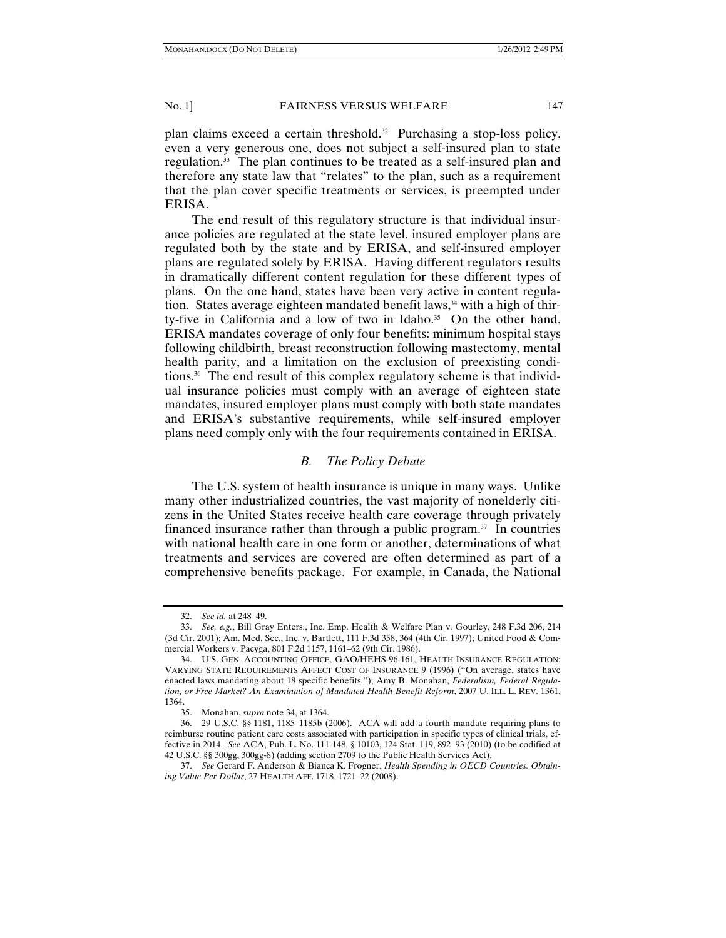plan claims exceed a certain threshold.32 Purchasing a stop-loss policy, even a very generous one, does not subject a self-insured plan to state regulation.33 The plan continues to be treated as a self-insured plan and therefore any state law that "relates" to the plan, such as a requirement that the plan cover specific treatments or services, is preempted under ERISA.

The end result of this regulatory structure is that individual insurance policies are regulated at the state level, insured employer plans are regulated both by the state and by ERISA, and self-insured employer plans are regulated solely by ERISA. Having different regulators results in dramatically different content regulation for these different types of plans. On the one hand, states have been very active in content regulation. States average eighteen mandated benefit laws,<sup>34</sup> with a high of thirty-five in California and a low of two in Idaho.<sup>35</sup> On the other hand, ERISA mandates coverage of only four benefits: minimum hospital stays following childbirth, breast reconstruction following mastectomy, mental health parity, and a limitation on the exclusion of preexisting conditions.36 The end result of this complex regulatory scheme is that individual insurance policies must comply with an average of eighteen state mandates, insured employer plans must comply with both state mandates and ERISA's substantive requirements, while self-insured employer plans need comply only with the four requirements contained in ERISA.

# *B. The Policy Debate*

The U.S. system of health insurance is unique in many ways. Unlike many other industrialized countries, the vast majority of nonelderly citizens in the United States receive health care coverage through privately financed insurance rather than through a public program. $37$  In countries with national health care in one form or another, determinations of what treatments and services are covered are often determined as part of a comprehensive benefits package. For example, in Canada, the National

 <sup>32.</sup> *See id.* at 248–49.

 <sup>33.</sup> *See, e.g.*, Bill Gray Enters., Inc. Emp. Health & Welfare Plan v. Gourley, 248 F.3d 206, 214 (3d Cir. 2001); Am. Med. Sec., Inc. v. Bartlett, 111 F.3d 358, 364 (4th Cir. 1997); United Food & Commercial Workers v. Pacyga, 801 F.2d 1157, 1161–62 (9th Cir. 1986).

 <sup>34.</sup> U.S. GEN. ACCOUNTING OFFICE, GAO/HEHS-96-161, HEALTH INSURANCE REGULATION: VARYING STATE REQUIREMENTS AFFECT COST OF INSURANCE 9 (1996) ("On average, states have enacted laws mandating about 18 specific benefits."); Amy B. Monahan, *Federalism, Federal Regulation, or Free Market? An Examination of Mandated Health Benefit Reform*, 2007 U. ILL. L. REV. 1361, 1364.

 <sup>35.</sup> Monahan, *supra* note 34, at 1364.

 <sup>36. 29</sup> U.S.C. §§ 1181, 1185–1185b (2006). ACA will add a fourth mandate requiring plans to reimburse routine patient care costs associated with participation in specific types of clinical trials, effective in 2014. *See* ACA, Pub. L. No. 111-148, § 10103, 124 Stat. 119, 892–93 (2010) (to be codified at 42 U.S.C. §§ 300gg, 300gg-8) (adding section 2709 to the Public Health Services Act).

 <sup>37.</sup> *See* Gerard F. Anderson & Bianca K. Frogner, *Health Spending in OECD Countries: Obtaining Value Per Dollar*, 27 HEALTH AFF. 1718, 1721*–*22 (2008).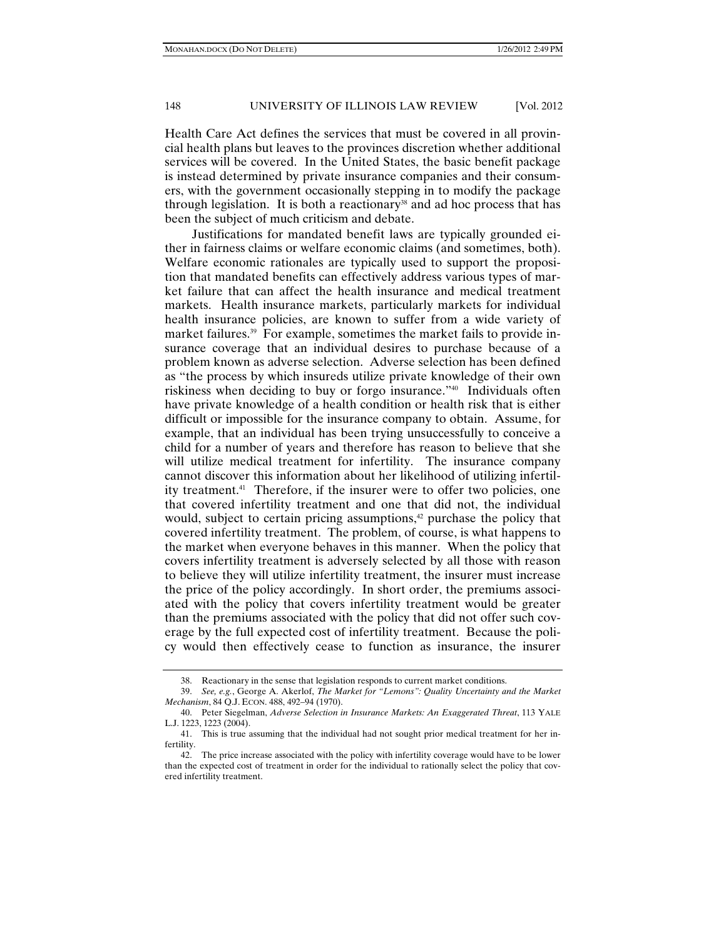Health Care Act defines the services that must be covered in all provincial health plans but leaves to the provinces discretion whether additional services will be covered. In the United States, the basic benefit package is instead determined by private insurance companies and their consumers, with the government occasionally stepping in to modify the package through legislation. It is both a reactionary<sup>38</sup> and ad hoc process that has been the subject of much criticism and debate.

Justifications for mandated benefit laws are typically grounded either in fairness claims or welfare economic claims (and sometimes, both). Welfare economic rationales are typically used to support the proposition that mandated benefits can effectively address various types of market failure that can affect the health insurance and medical treatment markets. Health insurance markets, particularly markets for individual health insurance policies, are known to suffer from a wide variety of market failures.<sup>39</sup> For example, sometimes the market fails to provide insurance coverage that an individual desires to purchase because of a problem known as adverse selection. Adverse selection has been defined as "the process by which insureds utilize private knowledge of their own riskiness when deciding to buy or forgo insurance."40 Individuals often have private knowledge of a health condition or health risk that is either difficult or impossible for the insurance company to obtain. Assume, for example, that an individual has been trying unsuccessfully to conceive a child for a number of years and therefore has reason to believe that she will utilize medical treatment for infertility. The insurance company cannot discover this information about her likelihood of utilizing infertility treatment.41 Therefore, if the insurer were to offer two policies, one that covered infertility treatment and one that did not, the individual would, subject to certain pricing assumptions,<sup>42</sup> purchase the policy that covered infertility treatment. The problem, of course, is what happens to the market when everyone behaves in this manner. When the policy that covers infertility treatment is adversely selected by all those with reason to believe they will utilize infertility treatment, the insurer must increase the price of the policy accordingly. In short order, the premiums associated with the policy that covers infertility treatment would be greater than the premiums associated with the policy that did not offer such coverage by the full expected cost of infertility treatment. Because the policy would then effectively cease to function as insurance, the insurer

 <sup>38.</sup> Reactionary in the sense that legislation responds to current market conditions.

 <sup>39.</sup> *See, e.g.*, George A. Akerlof, *The Market for "Lemons": Quality Uncertainty and the Market Mechanism*, 84 Q.J. ECON. 488, 492–94 (1970).

 <sup>40.</sup> Peter Siegelman, *Adverse Selection in Insurance Markets: An Exaggerated Threat*, 113 YALE L.J. 1223, 1223 (2004).

 <sup>41.</sup> This is true assuming that the individual had not sought prior medical treatment for her infertility.

 <sup>42.</sup> The price increase associated with the policy with infertility coverage would have to be lower than the expected cost of treatment in order for the individual to rationally select the policy that covered infertility treatment.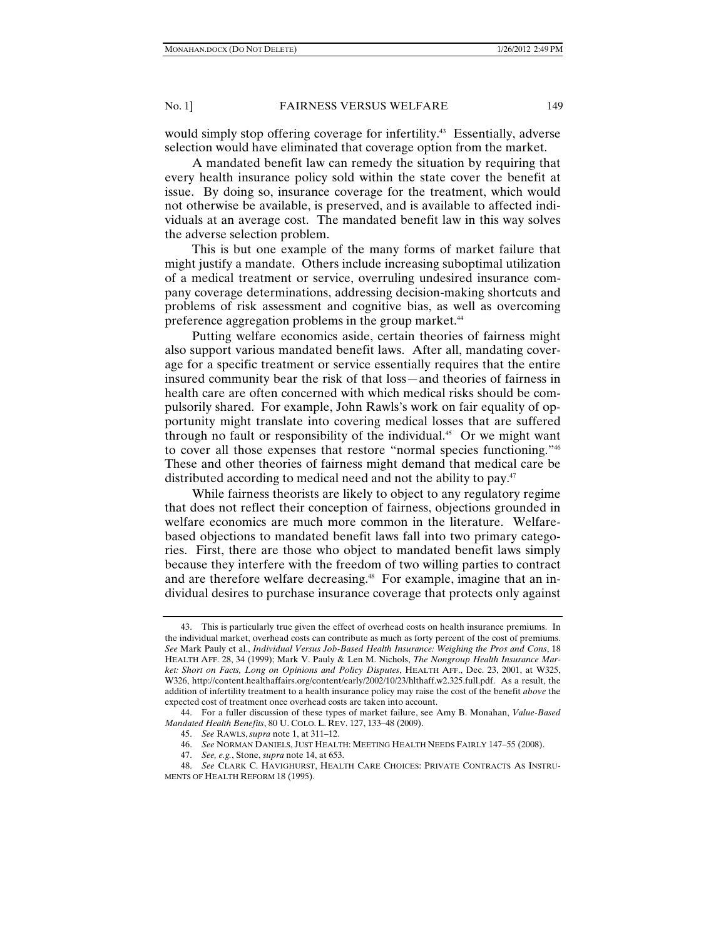would simply stop offering coverage for infertility.<sup>43</sup> Essentially, adverse selection would have eliminated that coverage option from the market.

A mandated benefit law can remedy the situation by requiring that every health insurance policy sold within the state cover the benefit at issue. By doing so, insurance coverage for the treatment, which would not otherwise be available, is preserved, and is available to affected individuals at an average cost. The mandated benefit law in this way solves the adverse selection problem.

This is but one example of the many forms of market failure that might justify a mandate. Others include increasing suboptimal utilization of a medical treatment or service, overruling undesired insurance company coverage determinations, addressing decision-making shortcuts and problems of risk assessment and cognitive bias, as well as overcoming preference aggregation problems in the group market.<sup>44</sup>

Putting welfare economics aside, certain theories of fairness might also support various mandated benefit laws. After all, mandating coverage for a specific treatment or service essentially requires that the entire insured community bear the risk of that loss—and theories of fairness in health care are often concerned with which medical risks should be compulsorily shared. For example, John Rawls's work on fair equality of opportunity might translate into covering medical losses that are suffered through no fault or responsibility of the individual.<sup>45</sup> Or we might want to cover all those expenses that restore "normal species functioning."46 These and other theories of fairness might demand that medical care be distributed according to medical need and not the ability to pay.<sup>47</sup>

While fairness theorists are likely to object to any regulatory regime that does not reflect their conception of fairness, objections grounded in welfare economics are much more common in the literature. Welfarebased objections to mandated benefit laws fall into two primary categories. First, there are those who object to mandated benefit laws simply because they interfere with the freedom of two willing parties to contract and are therefore welfare decreasing.<sup>48</sup> For example, imagine that an individual desires to purchase insurance coverage that protects only against

 <sup>43.</sup> This is particularly true given the effect of overhead costs on health insurance premiums. In the individual market, overhead costs can contribute as much as forty percent of the cost of premiums. *See* Mark Pauly et al., *Individual Versus Job-Based Health Insurance: Weighing the Pros and Cons*, 18 HEALTH AFF. 28, 34 (1999); Mark V. Pauly & Len M. Nichols, *The Nongroup Health Insurance Market: Short on Facts, Long on Opinions and Policy Disputes*, HEALTH AFF., Dec. 23, 2001, at W325, W326, http://content.healthaffairs.org/content/early/2002/10/23/hlthaff.w2.325.full.pdf. As a result, the addition of infertility treatment to a health insurance policy may raise the cost of the benefit *above* the expected cost of treatment once overhead costs are taken into account.

 <sup>44.</sup> For a fuller discussion of these types of market failure, see Amy B. Monahan, *Value-Based Mandated Health Benefits*, 80 U. COLO. L. REV. 127, 133*–*48 (2009).

 <sup>45.</sup> *See* RAWLS, *supra* note 1, at 311*–*12.

 <sup>46.</sup> *See* NORMAN DANIELS, JUST HEALTH: MEETING HEALTH NEEDS FAIRLY 147*–*55 (2008).

 <sup>47.</sup> *See, e.g.*, Stone, *supra* note 14, at 653.

 <sup>48.</sup> *See* CLARK C. HAVIGHURST, HEALTH CARE CHOICES: PRIVATE CONTRACTS AS INSTRU-MENTS OF HEALTH REFORM 18 (1995).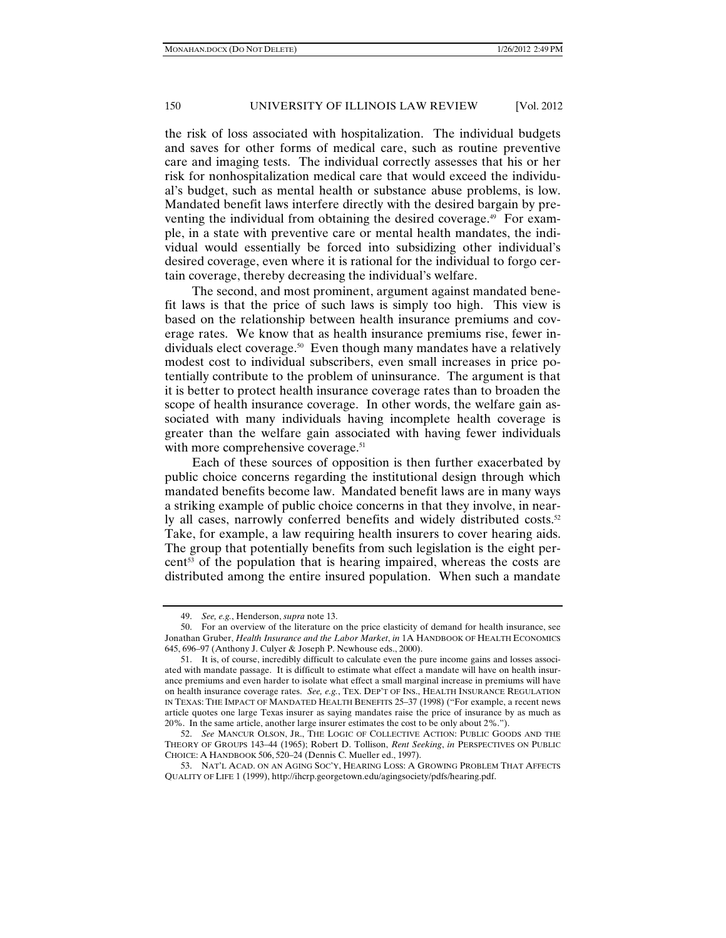the risk of loss associated with hospitalization. The individual budgets and saves for other forms of medical care, such as routine preventive care and imaging tests. The individual correctly assesses that his or her risk for nonhospitalization medical care that would exceed the individual's budget, such as mental health or substance abuse problems, is low. Mandated benefit laws interfere directly with the desired bargain by preventing the individual from obtaining the desired coverage.<sup>49</sup> For example, in a state with preventive care or mental health mandates, the individual would essentially be forced into subsidizing other individual's desired coverage, even where it is rational for the individual to forgo certain coverage, thereby decreasing the individual's welfare.

The second, and most prominent, argument against mandated benefit laws is that the price of such laws is simply too high. This view is based on the relationship between health insurance premiums and coverage rates. We know that as health insurance premiums rise, fewer individuals elect coverage.50 Even though many mandates have a relatively modest cost to individual subscribers, even small increases in price potentially contribute to the problem of uninsurance. The argument is that it is better to protect health insurance coverage rates than to broaden the scope of health insurance coverage. In other words, the welfare gain associated with many individuals having incomplete health coverage is greater than the welfare gain associated with having fewer individuals with more comprehensive coverage.<sup>51</sup>

Each of these sources of opposition is then further exacerbated by public choice concerns regarding the institutional design through which mandated benefits become law. Mandated benefit laws are in many ways a striking example of public choice concerns in that they involve, in nearly all cases, narrowly conferred benefits and widely distributed costs.<sup>52</sup> Take, for example, a law requiring health insurers to cover hearing aids. The group that potentially benefits from such legislation is the eight percent<sup>53</sup> of the population that is hearing impaired, whereas the costs are distributed among the entire insured population. When such a mandate

 <sup>49.</sup> *See, e.g.*, Henderson, *supra* note 13.

 <sup>50.</sup> For an overview of the literature on the price elasticity of demand for health insurance, see Jonathan Gruber, *Health Insurance and the Labor Market*, *in* 1A HANDBOOK OF HEALTH ECONOMICS 645, 696*–*97 (Anthony J. Culyer & Joseph P. Newhouse eds., 2000).

 <sup>51.</sup> It is, of course, incredibly difficult to calculate even the pure income gains and losses associated with mandate passage. It is difficult to estimate what effect a mandate will have on health insurance premiums and even harder to isolate what effect a small marginal increase in premiums will have on health insurance coverage rates. *See, e.g.*, TEX. DEP'T OF INS., HEALTH INSURANCE REGULATION IN TEXAS: THE IMPACT OF MANDATED HEALTH BENEFITS 25–37 (1998) ("For example, a recent news article quotes one large Texas insurer as saying mandates raise the price of insurance by as much as 20%. In the same article, another large insurer estimates the cost to be only about 2%.").

 <sup>52.</sup> *See* MANCUR OLSON, JR., THE LOGIC OF COLLECTIVE ACTION: PUBLIC GOODS AND THE THEORY OF GROUPS 143–44 (1965); Robert D. Tollison, *Rent Seeking*, *in* PERSPECTIVES ON PUBLIC CHOICE: A HANDBOOK 506, 520–24 (Dennis C. Mueller ed., 1997).

 <sup>53.</sup> NAT'L ACAD. ON AN AGING SOC'Y, HEARING LOSS: A GROWING PROBLEM THAT AFFECTS QUALITY OF LIFE 1 (1999), http://ihcrp.georgetown.edu/agingsociety/pdfs/hearing.pdf.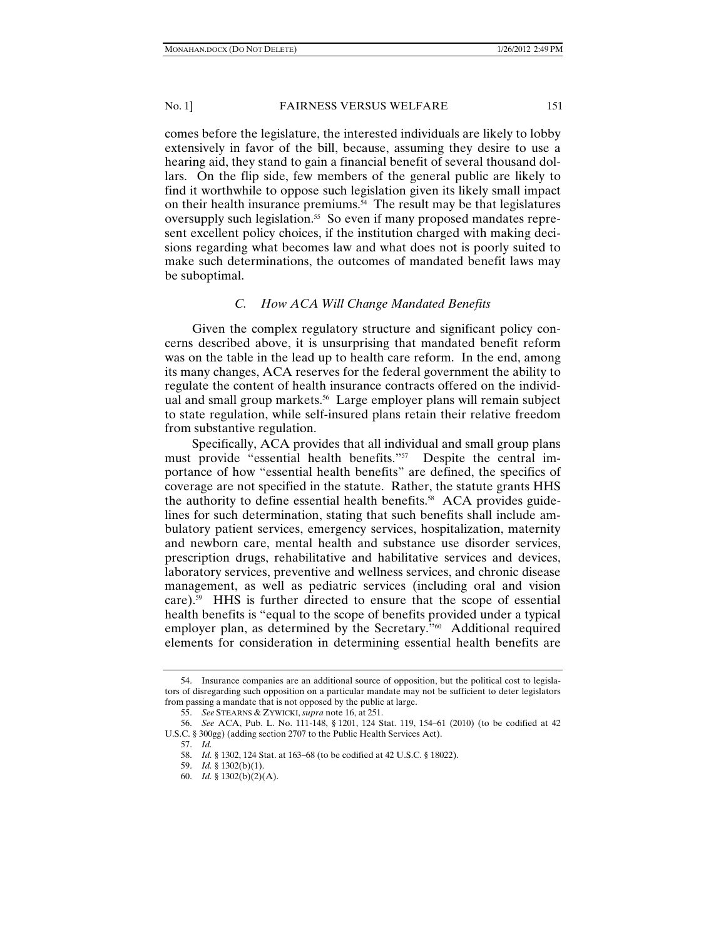comes before the legislature, the interested individuals are likely to lobby extensively in favor of the bill, because, assuming they desire to use a hearing aid, they stand to gain a financial benefit of several thousand dollars. On the flip side, few members of the general public are likely to find it worthwhile to oppose such legislation given its likely small impact on their health insurance premiums.<sup>54</sup> The result may be that legislatures oversupply such legislation.<sup>55</sup> So even if many proposed mandates represent excellent policy choices, if the institution charged with making decisions regarding what becomes law and what does not is poorly suited to make such determinations, the outcomes of mandated benefit laws may be suboptimal.

# *C. How ACA Will Change Mandated Benefits*

Given the complex regulatory structure and significant policy concerns described above, it is unsurprising that mandated benefit reform was on the table in the lead up to health care reform. In the end, among its many changes, ACA reserves for the federal government the ability to regulate the content of health insurance contracts offered on the individual and small group markets.<sup>56</sup> Large employer plans will remain subject to state regulation, while self-insured plans retain their relative freedom from substantive regulation.

Specifically, ACA provides that all individual and small group plans must provide "essential health benefits."57 Despite the central importance of how "essential health benefits" are defined, the specifics of coverage are not specified in the statute. Rather, the statute grants HHS the authority to define essential health benefits.<sup>58</sup> ACA provides guidelines for such determination, stating that such benefits shall include ambulatory patient services, emergency services, hospitalization, maternity and newborn care, mental health and substance use disorder services, prescription drugs, rehabilitative and habilitative services and devices, laboratory services, preventive and wellness services, and chronic disease management, as well as pediatric services (including oral and vision care).59 HHS is further directed to ensure that the scope of essential health benefits is "equal to the scope of benefits provided under a typical employer plan, as determined by the Secretary."<sup>60</sup> Additional required elements for consideration in determining essential health benefits are

 <sup>54.</sup> Insurance companies are an additional source of opposition, but the political cost to legislators of disregarding such opposition on a particular mandate may not be sufficient to deter legislators from passing a mandate that is not opposed by the public at large.

 <sup>55.</sup> *See* STEARNS & ZYWICKI, *supra* note 16, at 251.

 <sup>56.</sup> *See* ACA, Pub. L. No. 111-148, § 1201, 124 Stat. 119, 154–61 (2010) (to be codified at 42 U.S.C. § 300gg) (adding section 2707 to the Public Health Services Act).

 <sup>57.</sup> *Id.*

 <sup>58.</sup> *Id.* § 1302, 124 Stat. at 163–68 (to be codified at 42 U.S.C. § 18022).

 <sup>59.</sup> *Id.* § 1302(b)(1).

 <sup>60.</sup> *Id.* § 1302(b)(2)(A).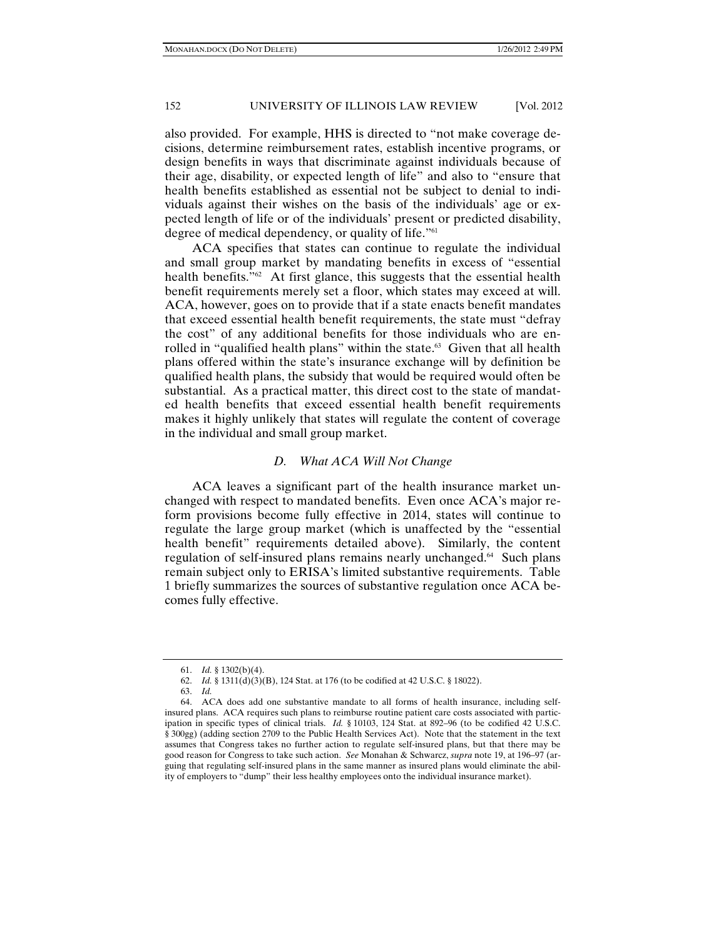also provided. For example, HHS is directed to "not make coverage decisions, determine reimbursement rates, establish incentive programs, or design benefits in ways that discriminate against individuals because of their age, disability, or expected length of life" and also to "ensure that health benefits established as essential not be subject to denial to individuals against their wishes on the basis of the individuals' age or expected length of life or of the individuals' present or predicted disability, degree of medical dependency, or quality of life."<sup>61</sup>

ACA specifies that states can continue to regulate the individual and small group market by mandating benefits in excess of "essential health benefits.<sup>"62</sup> At first glance, this suggests that the essential health benefit requirements merely set a floor, which states may exceed at will. ACA, however, goes on to provide that if a state enacts benefit mandates that exceed essential health benefit requirements, the state must "defray the cost" of any additional benefits for those individuals who are enrolled in "qualified health plans" within the state. $63$  Given that all health plans offered within the state's insurance exchange will by definition be qualified health plans, the subsidy that would be required would often be substantial. As a practical matter, this direct cost to the state of mandated health benefits that exceed essential health benefit requirements makes it highly unlikely that states will regulate the content of coverage in the individual and small group market.

# *D. What ACA Will Not Change*

ACA leaves a significant part of the health insurance market unchanged with respect to mandated benefits. Even once ACA's major reform provisions become fully effective in 2014, states will continue to regulate the large group market (which is unaffected by the "essential health benefit" requirements detailed above). Similarly, the content regulation of self-insured plans remains nearly unchanged.64 Such plans remain subject only to ERISA's limited substantive requirements. Table 1 briefly summarizes the sources of substantive regulation once ACA becomes fully effective.

 <sup>61.</sup> *Id.* § 1302(b)(4).

 <sup>62.</sup> *Id.* § 1311(d)(3)(B), 124 Stat. at 176 (to be codified at 42 U.S.C. § 18022).

 <sup>63.</sup> *Id.*

 <sup>64.</sup> ACA does add one substantive mandate to all forms of health insurance, including selfinsured plans. ACA requires such plans to reimburse routine patient care costs associated with participation in specific types of clinical trials. *Id.* § 10103, 124 Stat. at 892–96 (to be codified 42 U.S.C. § 300gg) (adding section 2709 to the Public Health Services Act). Note that the statement in the text assumes that Congress takes no further action to regulate self-insured plans, but that there may be good reason for Congress to take such action. *See* Monahan & Schwarcz, *supra* note 19, at 196–97 (arguing that regulating self-insured plans in the same manner as insured plans would eliminate the ability of employers to "dump" their less healthy employees onto the individual insurance market).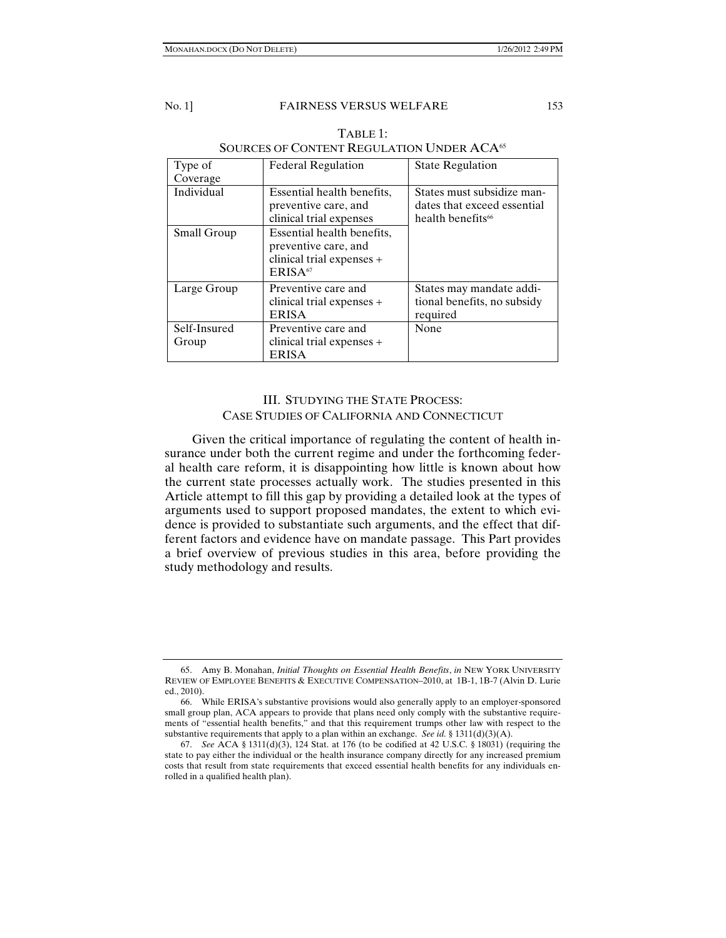| Type of               | <b>Federal Regulation</b>                                                                              | <b>State Regulation</b>                                                                    |
|-----------------------|--------------------------------------------------------------------------------------------------------|--------------------------------------------------------------------------------------------|
| Coverage              |                                                                                                        |                                                                                            |
| Individual            | Essential health benefits,<br>preventive care, and<br>clinical trial expenses                          | States must subsidize man-<br>dates that exceed essential<br>health benefits <sup>66</sup> |
| Small Group           | Essential health benefits,<br>preventive care, and<br>clinical trial expenses +<br>ERISA <sup>67</sup> |                                                                                            |
| Large Group           | Preventive care and<br>clinical trial expenses +<br><b>ERISA</b>                                       | States may mandate addi-<br>tional benefits, no subsidy<br>required                        |
| Self-Insured<br>Group | Preventive care and<br>clinical trial expenses +<br>ERISA                                              | None                                                                                       |

# TABLE 1: SOURCES OF CONTENT REGULATION UNDER ACA<sup>65</sup>

# III. STUDYING THE STATE PROCESS: CASE STUDIES OF CALIFORNIA AND CONNECTICUT

Given the critical importance of regulating the content of health insurance under both the current regime and under the forthcoming federal health care reform, it is disappointing how little is known about how the current state processes actually work. The studies presented in this Article attempt to fill this gap by providing a detailed look at the types of arguments used to support proposed mandates, the extent to which evidence is provided to substantiate such arguments, and the effect that different factors and evidence have on mandate passage. This Part provides a brief overview of previous studies in this area, before providing the study methodology and results.

 <sup>65.</sup> Amy B. Monahan, *Initial Thoughts on Essential Health Benefits*, *in* NEW YORK UNIVERSITY REVIEW OF EMPLOYEE BENEFITS & EXECUTIVE COMPENSATION–2010, at 1B-1, 1B-7 (Alvin D. Lurie ed., 2010).

 <sup>66.</sup> While ERISA's substantive provisions would also generally apply to an employer-sponsored small group plan, ACA appears to provide that plans need only comply with the substantive requirements of "essential health benefits," and that this requirement trumps other law with respect to the substantive requirements that apply to a plan within an exchange. *See id.* § 1311(d)(3)(A).

 <sup>67.</sup> *See* ACA § 1311(d)(3), 124 Stat. at 176 (to be codified at 42 U.S.C. § 18031) (requiring the state to pay either the individual or the health insurance company directly for any increased premium costs that result from state requirements that exceed essential health benefits for any individuals enrolled in a qualified health plan).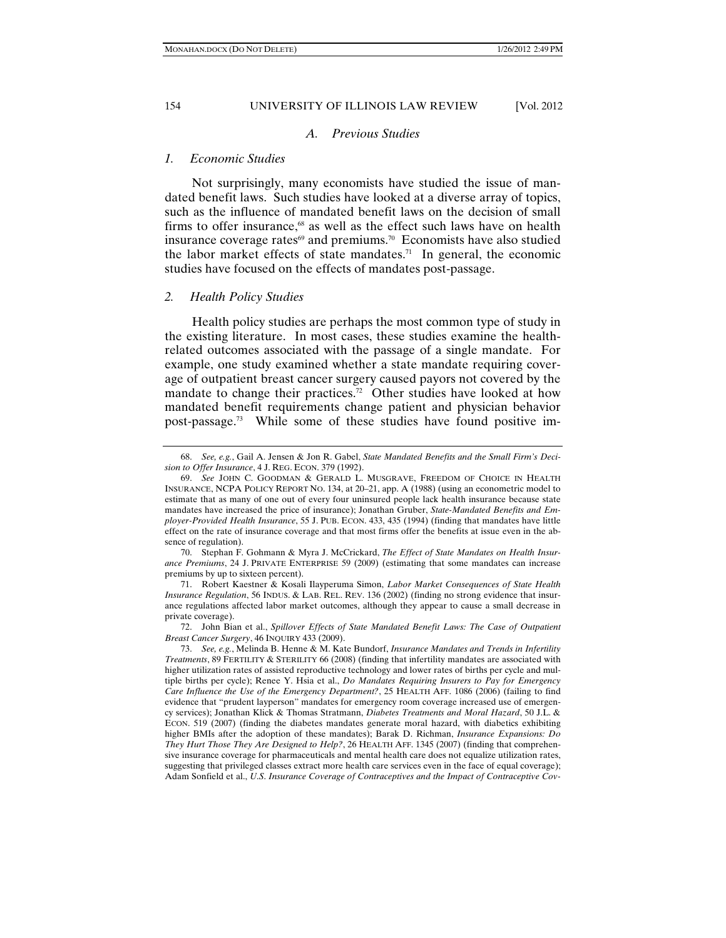# *A. Previous Studies*

#### *1. Economic Studies*

Not surprisingly, many economists have studied the issue of mandated benefit laws. Such studies have looked at a diverse array of topics, such as the influence of mandated benefit laws on the decision of small firms to offer insurance, $68$  as well as the effect such laws have on health insurance coverage rates $69$  and premiums.<sup>70</sup> Economists have also studied the labor market effects of state mandates.<sup>71</sup> In general, the economic studies have focused on the effects of mandates post-passage.

#### *2. Health Policy Studies*

Health policy studies are perhaps the most common type of study in the existing literature. In most cases, these studies examine the healthrelated outcomes associated with the passage of a single mandate. For example, one study examined whether a state mandate requiring coverage of outpatient breast cancer surgery caused payors not covered by the mandate to change their practices.<sup>72</sup> Other studies have looked at how mandated benefit requirements change patient and physician behavior post-passage.73 While some of these studies have found positive im-

 <sup>68.</sup> *See, e.g.*, Gail A. Jensen & Jon R. Gabel, *State Mandated Benefits and the Small Firm's Decision to Offer Insurance*, 4 J. REG. ECON. 379 (1992).

 <sup>69.</sup> *See* JOHN C. GOODMAN & GERALD L. MUSGRAVE, FREEDOM OF CHOICE IN HEALTH INSURANCE, NCPA POLICY REPORT NO. 134, at 20–21, app. A (1988) (using an econometric model to estimate that as many of one out of every four uninsured people lack health insurance because state mandates have increased the price of insurance); Jonathan Gruber, *State-Mandated Benefits and Employer-Provided Health Insurance*, 55 J. PUB. ECON. 433, 435 (1994) (finding that mandates have little effect on the rate of insurance coverage and that most firms offer the benefits at issue even in the absence of regulation).

 <sup>70.</sup> Stephan F. Gohmann & Myra J. McCrickard, *The Effect of State Mandates on Health Insurance Premiums*, 24 J. PRIVATE ENTERPRISE 59 (2009) (estimating that some mandates can increase premiums by up to sixteen percent).

 <sup>71.</sup> Robert Kaestner & Kosali Ilayperuma Simon, *Labor Market Consequences of State Health Insurance Regulation*, 56 INDUS. & LAB. REL. REV. 136 (2002) (finding no strong evidence that insurance regulations affected labor market outcomes, although they appear to cause a small decrease in private coverage).

 <sup>72.</sup> John Bian et al., *Spillover Effects of State Mandated Benefit Laws: The Case of Outpatient Breast Cancer Surgery*, 46 INQUIRY 433 (2009).

 <sup>73.</sup> *See, e.g.*, Melinda B. Henne & M. Kate Bundorf, *Insurance Mandates and Trends in Infertility Treatments*, 89 FERTILITY & STERILITY 66 (2008) (finding that infertility mandates are associated with higher utilization rates of assisted reproductive technology and lower rates of births per cycle and multiple births per cycle); Renee Y. Hsia et al., *Do Mandates Requiring Insurers to Pay for Emergency Care Influence the Use of the Emergency Department?*, 25 HEALTH AFF. 1086 (2006) (failing to find evidence that "prudent layperson" mandates for emergency room coverage increased use of emergency services); Jonathan Klick & Thomas Stratmann, *Diabetes Treatments and Moral Hazard*, 50 J.L. & ECON. 519 (2007) (finding the diabetes mandates generate moral hazard, with diabetics exhibiting higher BMIs after the adoption of these mandates); Barak D. Richman, *Insurance Expansions: Do They Hurt Those They Are Designed to Help?*, 26 HEALTH AFF. 1345 (2007) (finding that comprehensive insurance coverage for pharmaceuticals and mental health care does not equalize utilization rates, suggesting that privileged classes extract more health care services even in the face of equal coverage); Adam Sonfield et al., *U*.*S*. *Insurance Coverage of Contraceptives and the Impact of Contraceptive Cov-*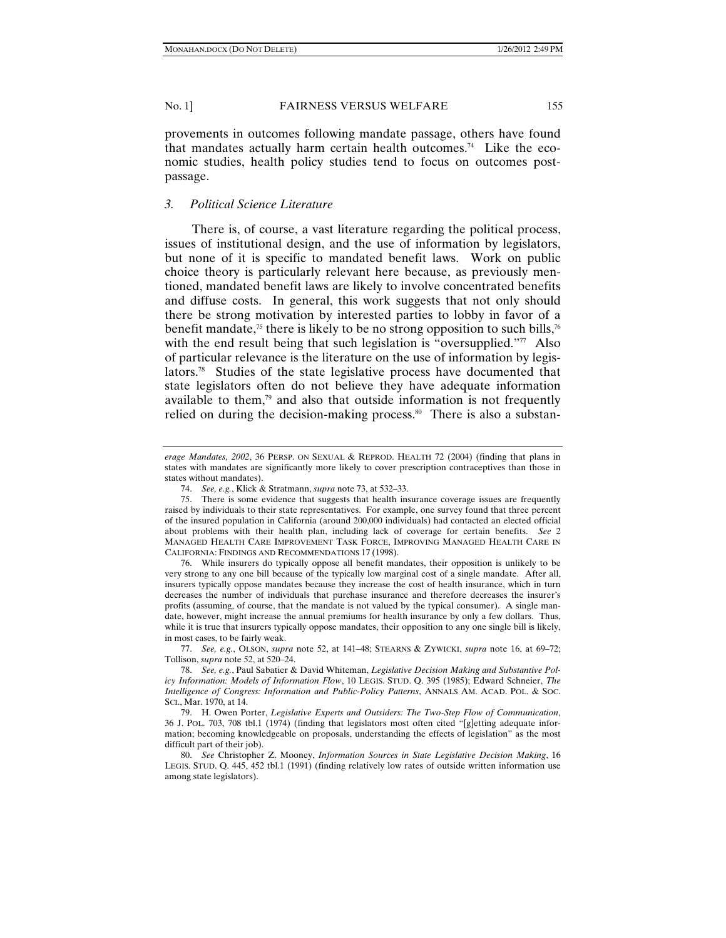provements in outcomes following mandate passage, others have found that mandates actually harm certain health outcomes.<sup>74</sup> Like the economic studies, health policy studies tend to focus on outcomes postpassage.

# *3. Political Science Literature*

There is, of course, a vast literature regarding the political process, issues of institutional design, and the use of information by legislators, but none of it is specific to mandated benefit laws. Work on public choice theory is particularly relevant here because, as previously mentioned, mandated benefit laws are likely to involve concentrated benefits and diffuse costs. In general, this work suggests that not only should there be strong motivation by interested parties to lobby in favor of a benefit mandate,<sup>75</sup> there is likely to be no strong opposition to such bills,<sup>76</sup> with the end result being that such legislation is "oversupplied." $\pi$  Also of particular relevance is the literature on the use of information by legislators.78 Studies of the state legislative process have documented that state legislators often do not believe they have adequate information available to them, $79$  and also that outside information is not frequently relied on during the decision-making process.<sup>80</sup> There is also a substan-

*erage Mandates, 2002*, 36 PERSP. ON SEXUAL & REPROD. HEALTH 72 (2004) (finding that plans in states with mandates are significantly more likely to cover prescription contraceptives than those in states without mandates).

 <sup>74.</sup> *See, e.g.*, Klick & Stratmann, *supra* note 73, at 532–33.

 <sup>75.</sup> There is some evidence that suggests that health insurance coverage issues are frequently raised by individuals to their state representatives. For example, one survey found that three percent of the insured population in California (around 200,000 individuals) had contacted an elected official about problems with their health plan, including lack of coverage for certain benefits. *See* 2 MANAGED HEALTH CARE IMPROVEMENT TASK FORCE, IMPROVING MANAGED HEALTH CARE IN CALIFORNIA: FINDINGS AND RECOMMENDATIONS 17 (1998).

 <sup>76.</sup> While insurers do typically oppose all benefit mandates, their opposition is unlikely to be very strong to any one bill because of the typically low marginal cost of a single mandate. After all, insurers typically oppose mandates because they increase the cost of health insurance, which in turn decreases the number of individuals that purchase insurance and therefore decreases the insurer's profits (assuming, of course, that the mandate is not valued by the typical consumer). A single mandate, however, might increase the annual premiums for health insurance by only a few dollars. Thus, while it is true that insurers typically oppose mandates, their opposition to any one single bill is likely, in most cases, to be fairly weak.

 <sup>77.</sup> *See, e.g.*, OLSON, *supra* note 52, at 141–48; STEARNS & ZYWICKI, *supra* note 16, at 69–72; Tollison, *supra* note 52, at 520–24.

 <sup>78.</sup> *See, e.g.*, Paul Sabatier & David Whiteman, *Legislative Decision Making and Substantive Policy Information: Models of Information Flow*, 10 LEGIS. STUD. Q. 395 (1985); Edward Schneier, *The Intelligence of Congress: Information and Public-Policy Patterns*, ANNALS AM. ACAD. POL. & SOC. SCI., Mar. 1970, at 14.

 <sup>79.</sup> H. Owen Porter, *Legislative Experts and Outsiders: The Two-Step Flow of Communication*, 36 J. POL. 703, 708 tbl.1 (1974) (finding that legislators most often cited "[g]etting adequate information; becoming knowledgeable on proposals, understanding the effects of legislation" as the most difficult part of their job).

 <sup>80.</sup> *See* Christopher Z. Mooney, *Information Sources in State Legislative Decision Making*, 16 LEGIS. STUD. Q. 445, 452 tbl.1 (1991) (finding relatively low rates of outside written information use among state legislators).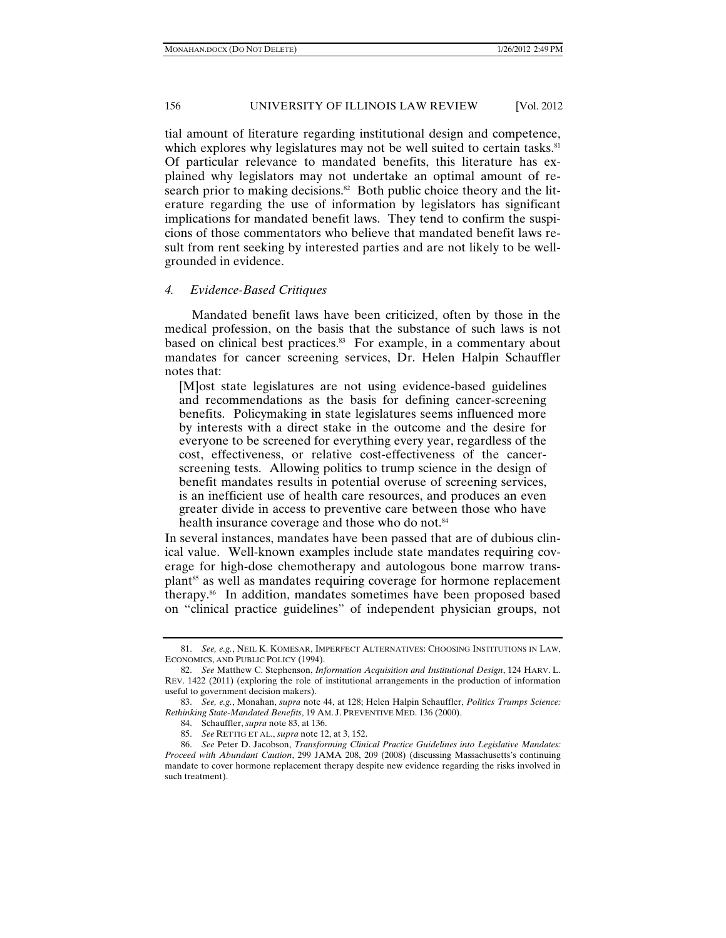tial amount of literature regarding institutional design and competence, which explores why legislatures may not be well suited to certain tasks.<sup>81</sup> Of particular relevance to mandated benefits, this literature has explained why legislators may not undertake an optimal amount of research prior to making decisions.<sup>82</sup> Both public choice theory and the literature regarding the use of information by legislators has significant implications for mandated benefit laws. They tend to confirm the suspicions of those commentators who believe that mandated benefit laws result from rent seeking by interested parties and are not likely to be wellgrounded in evidence.

#### *4. Evidence-Based Critiques*

Mandated benefit laws have been criticized, often by those in the medical profession, on the basis that the substance of such laws is not based on clinical best practices.<sup>83</sup> For example, in a commentary about mandates for cancer screening services, Dr. Helen Halpin Schauffler notes that:

[M]ost state legislatures are not using evidence-based guidelines and recommendations as the basis for defining cancer-screening benefits. Policymaking in state legislatures seems influenced more by interests with a direct stake in the outcome and the desire for everyone to be screened for everything every year, regardless of the cost, effectiveness, or relative cost-effectiveness of the cancerscreening tests. Allowing politics to trump science in the design of benefit mandates results in potential overuse of screening services, is an inefficient use of health care resources, and produces an even greater divide in access to preventive care between those who have health insurance coverage and those who do not.<sup>84</sup>

In several instances, mandates have been passed that are of dubious clinical value. Well-known examples include state mandates requiring coverage for high-dose chemotherapy and autologous bone marrow transplant<sup>85</sup> as well as mandates requiring coverage for hormone replacement therapy.86 In addition, mandates sometimes have been proposed based on "clinical practice guidelines" of independent physician groups, not

 <sup>81.</sup> *See, e.g.*, NEIL K. KOMESAR, IMPERFECT ALTERNATIVES: CHOOSING INSTITUTIONS IN LAW, ECONOMICS, AND PUBLIC POLICY (1994).

 <sup>82.</sup> *See* Matthew C. Stephenson, *Information Acquisition and Institutional Design*, 124 HARV. L. REV. 1422 (2011) (exploring the role of institutional arrangements in the production of information useful to government decision makers).

 <sup>83.</sup> *See, e.g.*, Monahan, *supra* note 44, at 128; Helen Halpin Schauffler, *Politics Trumps Science: Rethinking State-Mandated Benefits*, 19 AM. J. PREVENTIVE MED. 136 (2000).

 <sup>84.</sup> Schauffler, *supra* note 83, at 136.

 <sup>85.</sup> *See* RETTIG ET AL., *supra* note 12, at 3, 152.

 <sup>86.</sup> *See* Peter D. Jacobson, *Transforming Clinical Practice Guidelines into Legislative Mandates: Proceed with Abundant Caution*, 299 JAMA 208, 209 (2008) (discussing Massachusetts's continuing mandate to cover hormone replacement therapy despite new evidence regarding the risks involved in such treatment).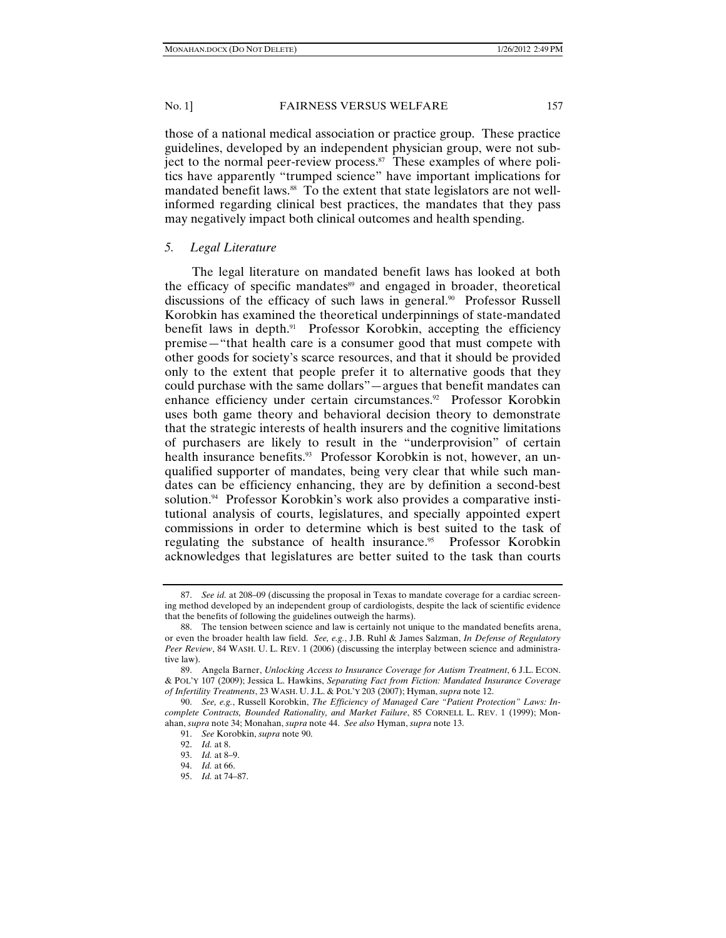those of a national medical association or practice group. These practice guidelines, developed by an independent physician group, were not subject to the normal peer-review process.<sup>87</sup> These examples of where politics have apparently "trumped science" have important implications for mandated benefit laws.<sup>88</sup> To the extent that state legislators are not wellinformed regarding clinical best practices, the mandates that they pass may negatively impact both clinical outcomes and health spending.

# *5. Legal Literature*

The legal literature on mandated benefit laws has looked at both the efficacy of specific mandates<sup>89</sup> and engaged in broader, theoretical discussions of the efficacy of such laws in general.<sup>90</sup> Professor Russell Korobkin has examined the theoretical underpinnings of state-mandated benefit laws in depth.<sup>91</sup> Professor Korobkin, accepting the efficiency premise—"that health care is a consumer good that must compete with other goods for society's scarce resources, and that it should be provided only to the extent that people prefer it to alternative goods that they could purchase with the same dollars"—argues that benefit mandates can enhance efficiency under certain circumstances.<sup>92</sup> Professor Korobkin uses both game theory and behavioral decision theory to demonstrate that the strategic interests of health insurers and the cognitive limitations of purchasers are likely to result in the "underprovision" of certain health insurance benefits.<sup>93</sup> Professor Korobkin is not, however, an unqualified supporter of mandates, being very clear that while such mandates can be efficiency enhancing, they are by definition a second-best solution.<sup>94</sup> Professor Korobkin's work also provides a comparative institutional analysis of courts, legislatures, and specially appointed expert commissions in order to determine which is best suited to the task of regulating the substance of health insurance.<sup>95</sup> Professor Korobkin acknowledges that legislatures are better suited to the task than courts

 <sup>87.</sup> *See id.* at 208*–*09 (discussing the proposal in Texas to mandate coverage for a cardiac screening method developed by an independent group of cardiologists, despite the lack of scientific evidence that the benefits of following the guidelines outweigh the harms).

 <sup>88.</sup> The tension between science and law is certainly not unique to the mandated benefits arena, or even the broader health law field. *See, e.g.*, J.B. Ruhl & James Salzman, *In Defense of Regulatory Peer Review*, 84 WASH. U. L. REV. 1 (2006) (discussing the interplay between science and administrative law).

 <sup>89.</sup> Angela Barner, *Unlocking Access to Insurance Coverage for Autism Treatment*, 6 J.L. ECON. & POL'Y 107 (2009); Jessica L. Hawkins, *Separating Fact from Fiction: Mandated Insurance Coverage of Infertility Treatments*, 23 WASH. U. J.L. & POL'Y 203 (2007); Hyman, *supra* note 12.

 <sup>90.</sup> *See, e.g.*, Russell Korobkin, *The Efficiency of Managed Care "Patient Protection" Laws: Incomplete Contracts, Bounded Rationality, and Market Failure*, 85 CORNELL L. REV. 1 (1999); Monahan, *supra* note 34; Monahan, *supra* note 44. *See also* Hyman, *supra* note 13.

 <sup>91.</sup> *See* Korobkin, *supra* note 90.

 <sup>92.</sup> *Id.* at 8.

 <sup>93.</sup> *Id.* at 8–9.

 <sup>94.</sup> *Id.* at 66.

 <sup>95.</sup> *Id.* at 74–87.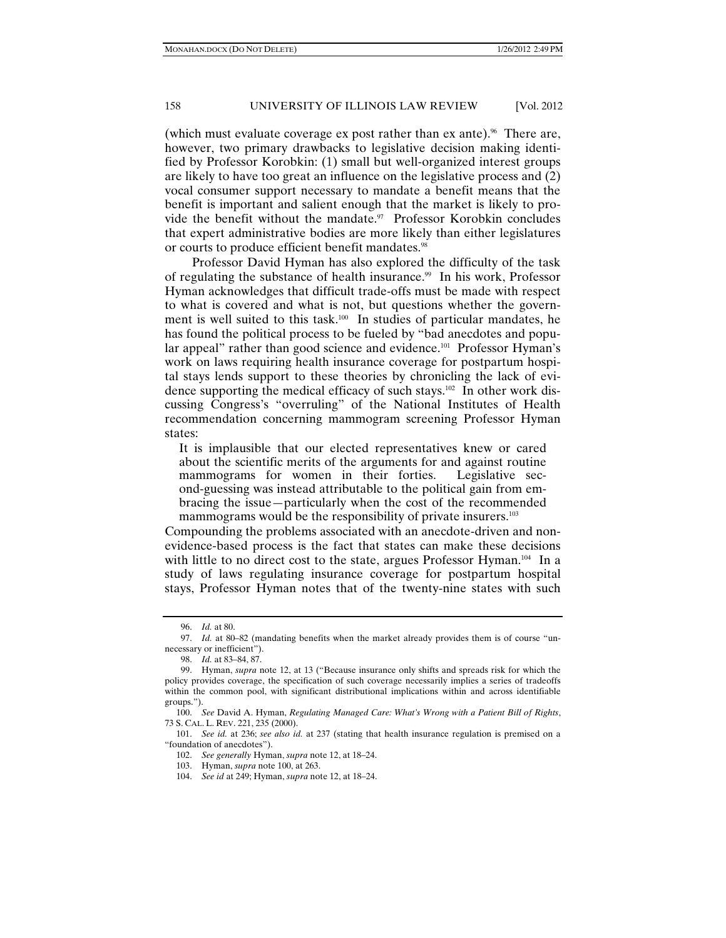(which must evaluate coverage ex post rather than  $ex$  ante).<sup>96</sup> There are, however, two primary drawbacks to legislative decision making identified by Professor Korobkin: (1) small but well-organized interest groups are likely to have too great an influence on the legislative process and (2) vocal consumer support necessary to mandate a benefit means that the benefit is important and salient enough that the market is likely to provide the benefit without the mandate.<sup>97</sup> Professor Korobkin concludes that expert administrative bodies are more likely than either legislatures or courts to produce efficient benefit mandates.<sup>98</sup>

Professor David Hyman has also explored the difficulty of the task of regulating the substance of health insurance.<sup>99</sup> In his work, Professor Hyman acknowledges that difficult trade-offs must be made with respect to what is covered and what is not, but questions whether the government is well suited to this task.<sup>100</sup> In studies of particular mandates, he has found the political process to be fueled by "bad anecdotes and popular appeal" rather than good science and evidence.<sup>101</sup> Professor Hyman's work on laws requiring health insurance coverage for postpartum hospital stays lends support to these theories by chronicling the lack of evidence supporting the medical efficacy of such stays.102 In other work discussing Congress's "overruling" of the National Institutes of Health recommendation concerning mammogram screening Professor Hyman states:

It is implausible that our elected representatives knew or cared about the scientific merits of the arguments for and against routine mammograms for women in their forties. Legislative second-guessing was instead attributable to the political gain from embracing the issue—particularly when the cost of the recommended mammograms would be the responsibility of private insurers.<sup>103</sup>

Compounding the problems associated with an anecdote-driven and nonevidence-based process is the fact that states can make these decisions with little to no direct cost to the state, argues Professor Hyman.<sup>104</sup> In a study of laws regulating insurance coverage for postpartum hospital stays, Professor Hyman notes that of the twenty-nine states with such

 <sup>96.</sup> *Id.* at 80.

 <sup>97.</sup> *Id.* at 80*–*82 (mandating benefits when the market already provides them is of course "unnecessary or inefficient").

 <sup>98.</sup> *Id.* at 83*–*84, 87.

 <sup>99.</sup> Hyman, *supra* note 12, at 13 ("Because insurance only shifts and spreads risk for which the policy provides coverage, the specification of such coverage necessarily implies a series of tradeoffs within the common pool, with significant distributional implications within and across identifiable groups.").

 <sup>100.</sup> *See* David A. Hyman, *Regulating Managed Care: What's Wrong with a Patient Bill of Rights*, 73 S. CAL. L. REV. 221, 235 (2000).

 <sup>101.</sup> *See id.* at 236; *see also id.* at 237 (stating that health insurance regulation is premised on a "foundation of anecdotes").

 <sup>102.</sup> *See generally* Hyman, *supra* note 12, at 18–24.

 <sup>103.</sup> Hyman, *supra* note 100, at 263.

 <sup>104.</sup> *See id* at 249; Hyman, *supra* note 12, at 18–24.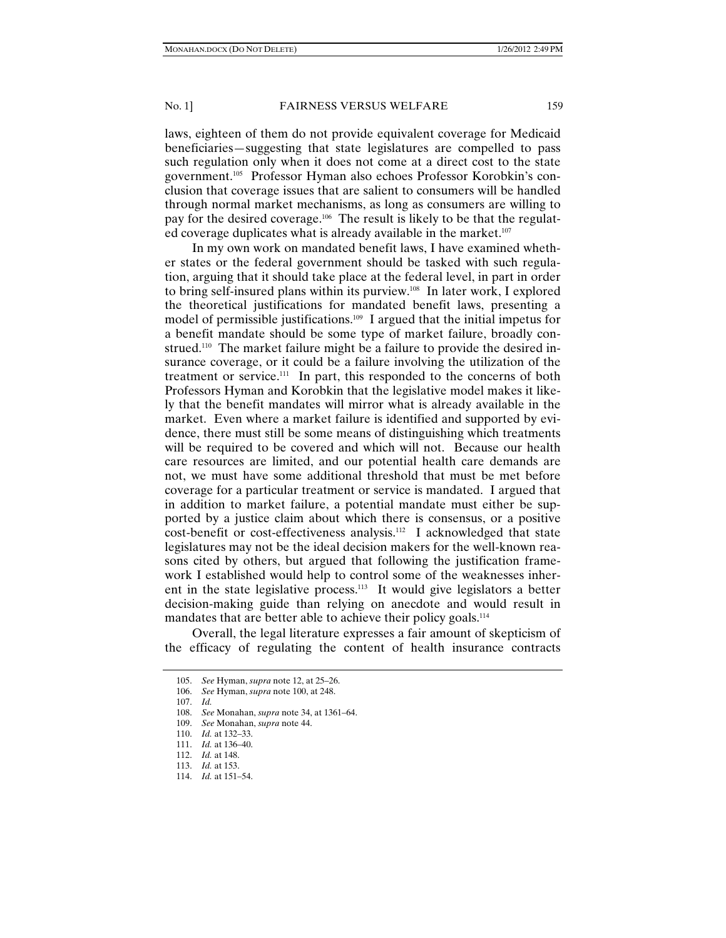laws, eighteen of them do not provide equivalent coverage for Medicaid beneficiaries—suggesting that state legislatures are compelled to pass such regulation only when it does not come at a direct cost to the state government.105 Professor Hyman also echoes Professor Korobkin's conclusion that coverage issues that are salient to consumers will be handled through normal market mechanisms, as long as consumers are willing to pay for the desired coverage.<sup>106</sup> The result is likely to be that the regulated coverage duplicates what is already available in the market.<sup>107</sup>

In my own work on mandated benefit laws, I have examined whether states or the federal government should be tasked with such regulation, arguing that it should take place at the federal level, in part in order to bring self-insured plans within its purview.108 In later work, I explored the theoretical justifications for mandated benefit laws, presenting a model of permissible justifications.<sup>109</sup> I argued that the initial impetus for a benefit mandate should be some type of market failure, broadly construed.<sup>110</sup> The market failure might be a failure to provide the desired insurance coverage, or it could be a failure involving the utilization of the treatment or service.111 In part, this responded to the concerns of both Professors Hyman and Korobkin that the legislative model makes it likely that the benefit mandates will mirror what is already available in the market. Even where a market failure is identified and supported by evidence, there must still be some means of distinguishing which treatments will be required to be covered and which will not. Because our health care resources are limited, and our potential health care demands are not, we must have some additional threshold that must be met before coverage for a particular treatment or service is mandated. I argued that in addition to market failure, a potential mandate must either be supported by a justice claim about which there is consensus, or a positive cost-benefit or cost-effectiveness analysis.112 I acknowledged that state legislatures may not be the ideal decision makers for the well-known reasons cited by others, but argued that following the justification framework I established would help to control some of the weaknesses inherent in the state legislative process.<sup>113</sup> It would give legislators a better decision-making guide than relying on anecdote and would result in mandates that are better able to achieve their policy goals.<sup>114</sup>

Overall, the legal literature expresses a fair amount of skepticism of the efficacy of regulating the content of health insurance contracts

 <sup>105.</sup> *See* Hyman, *supra* note 12, at 25*–*26.

 <sup>106.</sup> *See* Hyman, *supra* note 100, at 248.

 <sup>107.</sup> *Id.*

 <sup>108.</sup> *See* Monahan, *supra* note 34, at 1361–64.

 <sup>109.</sup> *See* Monahan, *supra* note 44.

 <sup>110.</sup> *Id.* at 132–33.

 <sup>111.</sup> *Id.* at 136*–*40.

 <sup>112.</sup> *Id.* at 148.

 <sup>113.</sup> *Id.* at 153.

 <sup>114.</sup> *Id.* at 151*–*54.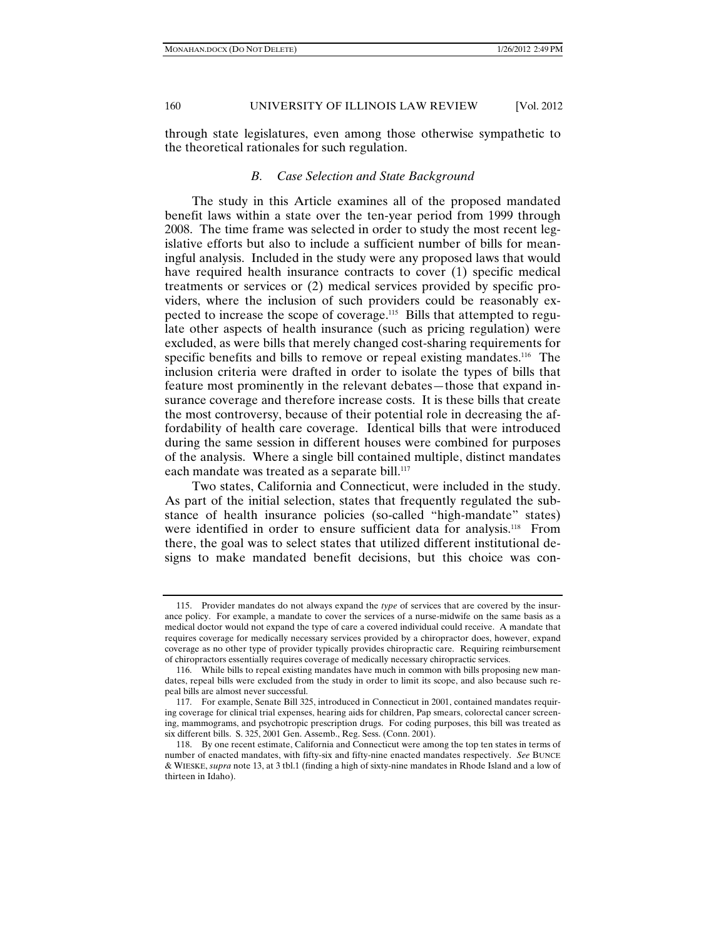through state legislatures, even among those otherwise sympathetic to the theoretical rationales for such regulation.

# *B. Case Selection and State Background*

The study in this Article examines all of the proposed mandated benefit laws within a state over the ten-year period from 1999 through 2008. The time frame was selected in order to study the most recent legislative efforts but also to include a sufficient number of bills for meaningful analysis. Included in the study were any proposed laws that would have required health insurance contracts to cover (1) specific medical treatments or services or (2) medical services provided by specific providers, where the inclusion of such providers could be reasonably expected to increase the scope of coverage.115 Bills that attempted to regulate other aspects of health insurance (such as pricing regulation) were excluded, as were bills that merely changed cost-sharing requirements for specific benefits and bills to remove or repeal existing mandates.<sup>116</sup> The inclusion criteria were drafted in order to isolate the types of bills that feature most prominently in the relevant debates—those that expand insurance coverage and therefore increase costs. It is these bills that create the most controversy, because of their potential role in decreasing the affordability of health care coverage. Identical bills that were introduced during the same session in different houses were combined for purposes of the analysis. Where a single bill contained multiple, distinct mandates each mandate was treated as a separate bill.<sup>117</sup>

Two states, California and Connecticut, were included in the study. As part of the initial selection, states that frequently regulated the substance of health insurance policies (so-called "high-mandate" states) were identified in order to ensure sufficient data for analysis.<sup>118</sup> From there, the goal was to select states that utilized different institutional designs to make mandated benefit decisions, but this choice was con-

 <sup>115.</sup> Provider mandates do not always expand the *type* of services that are covered by the insurance policy. For example, a mandate to cover the services of a nurse-midwife on the same basis as a medical doctor would not expand the type of care a covered individual could receive. A mandate that requires coverage for medically necessary services provided by a chiropractor does, however, expand coverage as no other type of provider typically provides chiropractic care. Requiring reimbursement of chiropractors essentially requires coverage of medically necessary chiropractic services.

 <sup>116.</sup> While bills to repeal existing mandates have much in common with bills proposing new mandates, repeal bills were excluded from the study in order to limit its scope, and also because such repeal bills are almost never successful.

 <sup>117.</sup> For example, Senate Bill 325, introduced in Connecticut in 2001, contained mandates requiring coverage for clinical trial expenses, hearing aids for children, Pap smears, colorectal cancer screening, mammograms, and psychotropic prescription drugs. For coding purposes, this bill was treated as six different bills. S. 325, 2001 Gen. Assemb., Reg. Sess. (Conn. 2001).

 <sup>118.</sup> By one recent estimate, California and Connecticut were among the top ten states in terms of number of enacted mandates, with fifty-six and fifty-nine enacted mandates respectively. *See* BUNCE & WIESKE, *supra* note 13, at 3 tbl.1 (finding a high of sixty-nine mandates in Rhode Island and a low of thirteen in Idaho).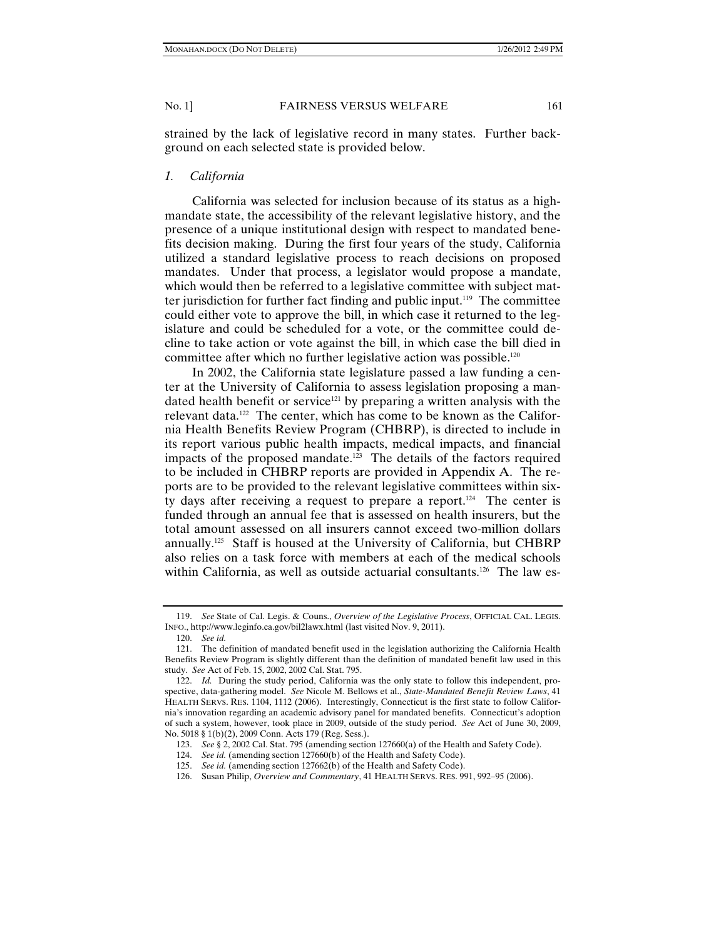strained by the lack of legislative record in many states. Further background on each selected state is provided below.

# *1. California*

California was selected for inclusion because of its status as a highmandate state, the accessibility of the relevant legislative history, and the presence of a unique institutional design with respect to mandated benefits decision making. During the first four years of the study, California utilized a standard legislative process to reach decisions on proposed mandates. Under that process, a legislator would propose a mandate, which would then be referred to a legislative committee with subject matter jurisdiction for further fact finding and public input.119 The committee could either vote to approve the bill, in which case it returned to the legislature and could be scheduled for a vote, or the committee could decline to take action or vote against the bill, in which case the bill died in committee after which no further legislative action was possible.<sup>120</sup>

In 2002, the California state legislature passed a law funding a center at the University of California to assess legislation proposing a mandated health benefit or service<sup>121</sup> by preparing a written analysis with the relevant data.122 The center, which has come to be known as the California Health Benefits Review Program (CHBRP), is directed to include in its report various public health impacts, medical impacts, and financial impacts of the proposed mandate.<sup>123</sup> The details of the factors required to be included in CHBRP reports are provided in Appendix A. The reports are to be provided to the relevant legislative committees within sixty days after receiving a request to prepare a report.<sup>124</sup> The center is funded through an annual fee that is assessed on health insurers, but the total amount assessed on all insurers cannot exceed two-million dollars annually.125 Staff is housed at the University of California, but CHBRP also relies on a task force with members at each of the medical schools within California, as well as outside actuarial consultants.<sup>126</sup> The law es-

 <sup>119.</sup> *See* State of Cal. Legis. & Couns., *Overview of the Legislative Process*, OFFICIAL CAL. LEGIS. INFO., http://www.leginfo.ca.gov/bil2lawx.html (last visited Nov. 9, 2011).

 <sup>120.</sup> *See id.*

 <sup>121.</sup> The definition of mandated benefit used in the legislation authorizing the California Health Benefits Review Program is slightly different than the definition of mandated benefit law used in this study. *See* Act of Feb. 15, 2002, 2002 Cal. Stat. 795.

 <sup>122.</sup> *Id.* During the study period, California was the only state to follow this independent, prospective, data-gathering model. *See* Nicole M. Bellows et al., *State-Mandated Benefit Review Laws*, 41 HEALTH SERVS. RES. 1104, 1112 (2006). Interestingly, Connecticut is the first state to follow California's innovation regarding an academic advisory panel for mandated benefits. Connecticut's adoption of such a system, however, took place in 2009, outside of the study period. *See* Act of June 30, 2009, No. 5018 § 1(b)(2), 2009 Conn. Acts 179 (Reg. Sess.).

 <sup>123.</sup> *See* § 2, 2002 Cal. Stat. 795 (amending section 127660(a) of the Health and Safety Code).

 <sup>124.</sup> *See id.* (amending section 127660(b) of the Health and Safety Code).

 <sup>125.</sup> *See id.* (amending section 127662(b) of the Health and Safety Code).

 <sup>126.</sup> Susan Philip, *Overview and Commentary*, 41 HEALTH SERVS. RES. 991, 992*–*95 (2006).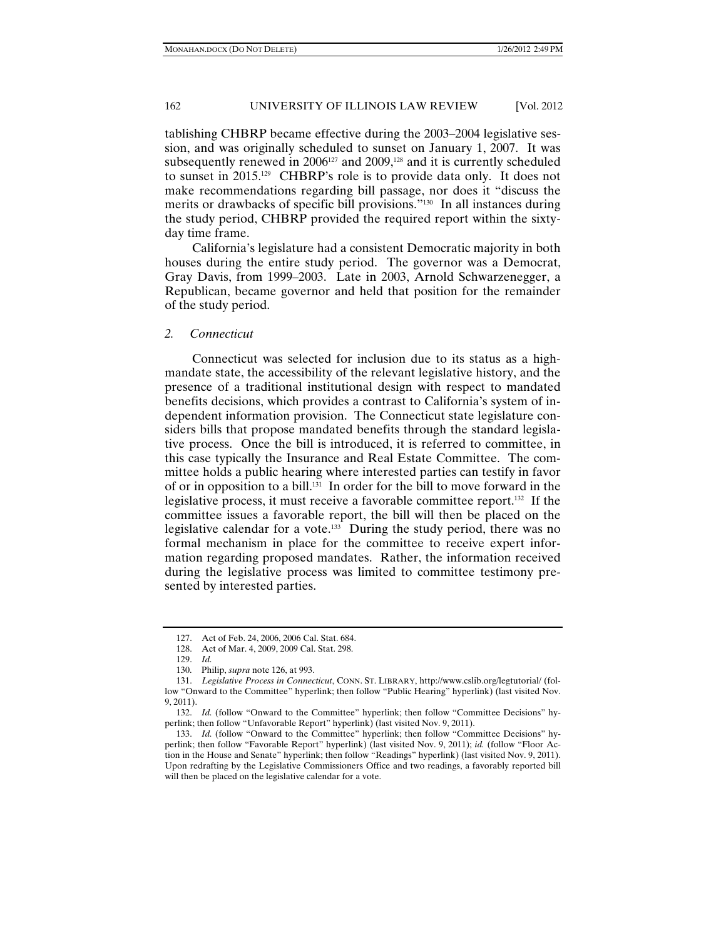tablishing CHBRP became effective during the 2003–2004 legislative session, and was originally scheduled to sunset on January 1, 2007. It was subsequently renewed in 2006<sup>127</sup> and 2009,<sup>128</sup> and it is currently scheduled to sunset in 2015.129 CHBRP's role is to provide data only. It does not make recommendations regarding bill passage, nor does it "discuss the merits or drawbacks of specific bill provisions."130 In all instances during the study period, CHBRP provided the required report within the sixtyday time frame.

California's legislature had a consistent Democratic majority in both houses during the entire study period. The governor was a Democrat, Gray Davis, from 1999–2003. Late in 2003, Arnold Schwarzenegger, a Republican, became governor and held that position for the remainder of the study period.

#### *2. Connecticut*

Connecticut was selected for inclusion due to its status as a highmandate state, the accessibility of the relevant legislative history, and the presence of a traditional institutional design with respect to mandated benefits decisions, which provides a contrast to California's system of independent information provision. The Connecticut state legislature considers bills that propose mandated benefits through the standard legislative process. Once the bill is introduced, it is referred to committee, in this case typically the Insurance and Real Estate Committee. The committee holds a public hearing where interested parties can testify in favor of or in opposition to a bill.131 In order for the bill to move forward in the legislative process, it must receive a favorable committee report.132 If the committee issues a favorable report, the bill will then be placed on the legislative calendar for a vote.<sup>133</sup> During the study period, there was no formal mechanism in place for the committee to receive expert information regarding proposed mandates. Rather, the information received during the legislative process was limited to committee testimony presented by interested parties.

 <sup>127.</sup> Act of Feb. 24, 2006, 2006 Cal. Stat. 684.

 <sup>128.</sup> Act of Mar. 4, 2009, 2009 Cal. Stat. 298.

 <sup>129.</sup> *Id.*

 <sup>130.</sup> Philip, *supra* note 126, at 993.

 <sup>131.</sup> *Legislative Process in Connecticut*, CONN. ST. LIBRARY, http://www.cslib.org/legtutorial/ (follow "Onward to the Committee" hyperlink; then follow "Public Hearing" hyperlink) (last visited Nov. 9, 2011).

 <sup>132.</sup> *Id.* (follow "Onward to the Committee" hyperlink; then follow "Committee Decisions" hyperlink; then follow "Unfavorable Report" hyperlink) (last visited Nov. 9, 2011).

 <sup>133.</sup> *Id.* (follow "Onward to the Committee" hyperlink; then follow "Committee Decisions" hyperlink; then follow "Favorable Report" hyperlink) (last visited Nov. 9, 2011); *id.* (follow "Floor Action in the House and Senate" hyperlink; then follow "Readings" hyperlink) (last visited Nov. 9, 2011). Upon redrafting by the Legislative Commissioners Office and two readings, a favorably reported bill will then be placed on the legislative calendar for a vote.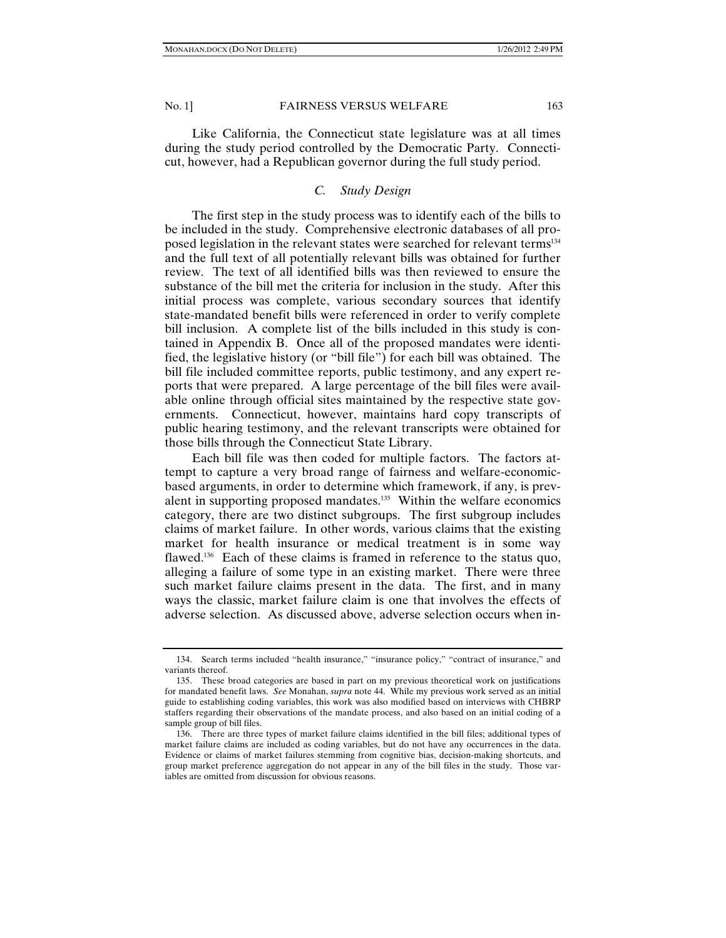Like California, the Connecticut state legislature was at all times during the study period controlled by the Democratic Party. Connecticut, however, had a Republican governor during the full study period.

# *C. Study Design*

The first step in the study process was to identify each of the bills to be included in the study. Comprehensive electronic databases of all proposed legislation in the relevant states were searched for relevant terms134 and the full text of all potentially relevant bills was obtained for further review. The text of all identified bills was then reviewed to ensure the substance of the bill met the criteria for inclusion in the study. After this initial process was complete, various secondary sources that identify state-mandated benefit bills were referenced in order to verify complete bill inclusion. A complete list of the bills included in this study is contained in Appendix B. Once all of the proposed mandates were identified, the legislative history (or "bill file") for each bill was obtained. The bill file included committee reports, public testimony, and any expert reports that were prepared. A large percentage of the bill files were available online through official sites maintained by the respective state governments. Connecticut, however, maintains hard copy transcripts of public hearing testimony, and the relevant transcripts were obtained for those bills through the Connecticut State Library.

Each bill file was then coded for multiple factors. The factors attempt to capture a very broad range of fairness and welfare-economicbased arguments, in order to determine which framework, if any, is prevalent in supporting proposed mandates.<sup>135</sup> Within the welfare economics category, there are two distinct subgroups. The first subgroup includes claims of market failure. In other words, various claims that the existing market for health insurance or medical treatment is in some way flawed.<sup>136</sup> Each of these claims is framed in reference to the status quo, alleging a failure of some type in an existing market. There were three such market failure claims present in the data. The first, and in many ways the classic, market failure claim is one that involves the effects of adverse selection. As discussed above, adverse selection occurs when in-

 <sup>134.</sup> Search terms included "health insurance," "insurance policy," "contract of insurance," and variants thereof.

 <sup>135.</sup> These broad categories are based in part on my previous theoretical work on justifications for mandated benefit laws. *See* Monahan, *supra* note 44. While my previous work served as an initial guide to establishing coding variables, this work was also modified based on interviews with CHBRP staffers regarding their observations of the mandate process, and also based on an initial coding of a sample group of bill files.

 <sup>136.</sup> There are three types of market failure claims identified in the bill files; additional types of market failure claims are included as coding variables, but do not have any occurrences in the data. Evidence or claims of market failures stemming from cognitive bias, decision-making shortcuts, and group market preference aggregation do not appear in any of the bill files in the study. Those variables are omitted from discussion for obvious reasons.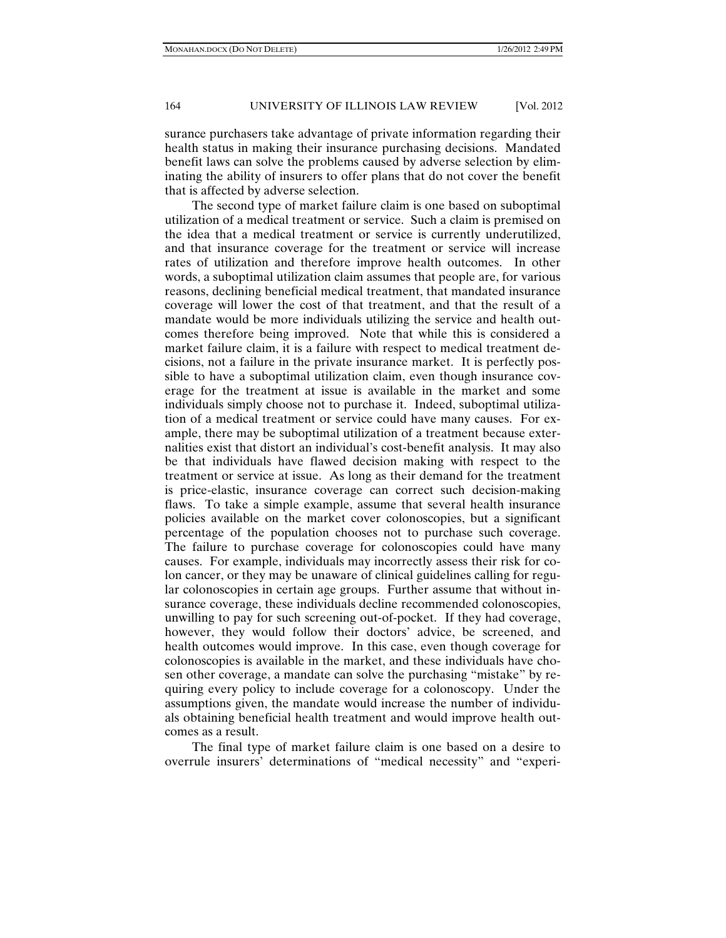surance purchasers take advantage of private information regarding their health status in making their insurance purchasing decisions. Mandated benefit laws can solve the problems caused by adverse selection by eliminating the ability of insurers to offer plans that do not cover the benefit that is affected by adverse selection.

The second type of market failure claim is one based on suboptimal utilization of a medical treatment or service. Such a claim is premised on the idea that a medical treatment or service is currently underutilized, and that insurance coverage for the treatment or service will increase rates of utilization and therefore improve health outcomes. In other words, a suboptimal utilization claim assumes that people are, for various reasons, declining beneficial medical treatment, that mandated insurance coverage will lower the cost of that treatment, and that the result of a mandate would be more individuals utilizing the service and health outcomes therefore being improved. Note that while this is considered a market failure claim, it is a failure with respect to medical treatment decisions, not a failure in the private insurance market. It is perfectly possible to have a suboptimal utilization claim, even though insurance coverage for the treatment at issue is available in the market and some individuals simply choose not to purchase it. Indeed, suboptimal utilization of a medical treatment or service could have many causes. For example, there may be suboptimal utilization of a treatment because externalities exist that distort an individual's cost-benefit analysis. It may also be that individuals have flawed decision making with respect to the treatment or service at issue. As long as their demand for the treatment is price-elastic, insurance coverage can correct such decision-making flaws. To take a simple example, assume that several health insurance policies available on the market cover colonoscopies, but a significant percentage of the population chooses not to purchase such coverage. The failure to purchase coverage for colonoscopies could have many causes. For example, individuals may incorrectly assess their risk for colon cancer, or they may be unaware of clinical guidelines calling for regular colonoscopies in certain age groups. Further assume that without insurance coverage, these individuals decline recommended colonoscopies, unwilling to pay for such screening out-of-pocket. If they had coverage, however, they would follow their doctors' advice, be screened, and health outcomes would improve. In this case, even though coverage for colonoscopies is available in the market, and these individuals have chosen other coverage, a mandate can solve the purchasing "mistake" by requiring every policy to include coverage for a colonoscopy. Under the assumptions given, the mandate would increase the number of individuals obtaining beneficial health treatment and would improve health outcomes as a result.

The final type of market failure claim is one based on a desire to overrule insurers' determinations of "medical necessity" and "experi-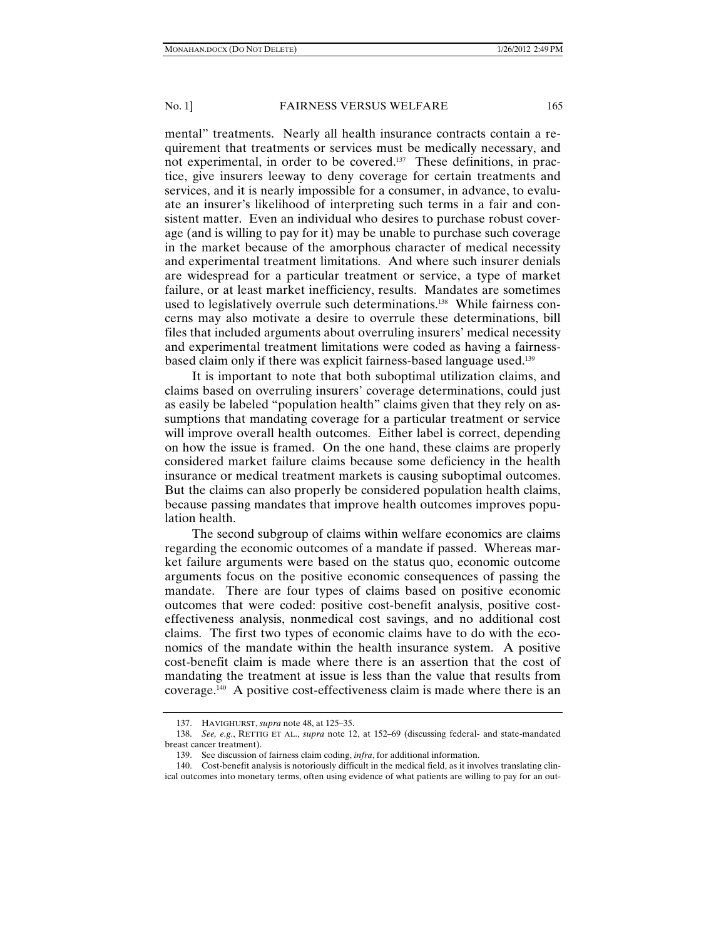mental" treatments. Nearly all health insurance contracts contain a requirement that treatments or services must be medically necessary, and not experimental, in order to be covered.<sup>137</sup> These definitions, in practice, give insurers leeway to deny coverage for certain treatments and services, and it is nearly impossible for a consumer, in advance, to evaluate an insurer's likelihood of interpreting such terms in a fair and consistent matter. Even an individual who desires to purchase robust coverage (and is willing to pay for it) may be unable to purchase such coverage in the market because of the amorphous character of medical necessity and experimental treatment limitations. And where such insurer denials are widespread for a particular treatment or service, a type of market failure, or at least market inefficiency, results. Mandates are sometimes used to legislatively overrule such determinations.<sup>138</sup> While fairness concerns may also motivate a desire to overrule these determinations, bill files that included arguments about overruling insurers' medical necessity and experimental treatment limitations were coded as having a fairnessbased claim only if there was explicit fairness-based language used.139

It is important to note that both suboptimal utilization claims, and claims based on overruling insurers' coverage determinations, could just as easily be labeled "population health" claims given that they rely on assumptions that mandating coverage for a particular treatment or service will improve overall health outcomes. Either label is correct, depending on how the issue is framed. On the one hand, these claims are properly considered market failure claims because some deficiency in the health insurance or medical treatment markets is causing suboptimal outcomes. But the claims can also properly be considered population health claims, because passing mandates that improve health outcomes improves population health.

The second subgroup of claims within welfare economics are claims regarding the economic outcomes of a mandate if passed. Whereas market failure arguments were based on the status quo, economic outcome arguments focus on the positive economic consequences of passing the mandate. There are four types of claims based on positive economic outcomes that were coded: positive cost-benefit analysis, positive costeffectiveness analysis, nonmedical cost savings, and no additional cost claims. The first two types of economic claims have to do with the economics of the mandate within the health insurance system. A positive cost-benefit claim is made where there is an assertion that the cost of mandating the treatment at issue is less than the value that results from coverage.140 A positive cost-effectiveness claim is made where there is an

 <sup>137.</sup> HAVIGHURST, *supra* note 48, at 125–35.

 <sup>138.</sup> *See, e.g.*, RETTIG ET AL., *supra* note 12, at 152–69 (discussing federal- and state-mandated breast cancer treatment).

 <sup>139.</sup> See discussion of fairness claim coding, *infra*, for additional information.

 <sup>140.</sup> Cost-benefit analysis is notoriously difficult in the medical field, as it involves translating clinical outcomes into monetary terms, often using evidence of what patients are willing to pay for an out-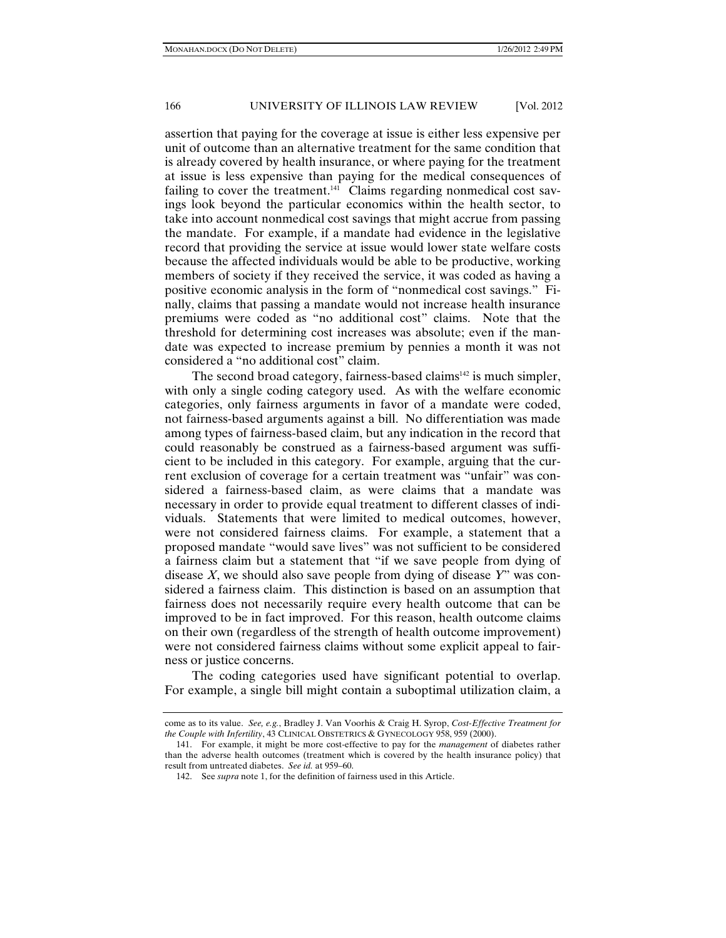assertion that paying for the coverage at issue is either less expensive per unit of outcome than an alternative treatment for the same condition that is already covered by health insurance, or where paying for the treatment at issue is less expensive than paying for the medical consequences of failing to cover the treatment.<sup>141</sup> Claims regarding nonmedical cost savings look beyond the particular economics within the health sector, to take into account nonmedical cost savings that might accrue from passing the mandate. For example, if a mandate had evidence in the legislative record that providing the service at issue would lower state welfare costs because the affected individuals would be able to be productive, working members of society if they received the service, it was coded as having a positive economic analysis in the form of "nonmedical cost savings." Finally, claims that passing a mandate would not increase health insurance premiums were coded as "no additional cost" claims. Note that the threshold for determining cost increases was absolute; even if the mandate was expected to increase premium by pennies a month it was not considered a "no additional cost" claim.

The second broad category, fairness-based claims<sup> $142$ </sup> is much simpler, with only a single coding category used. As with the welfare economic categories, only fairness arguments in favor of a mandate were coded, not fairness-based arguments against a bill. No differentiation was made among types of fairness-based claim, but any indication in the record that could reasonably be construed as a fairness-based argument was sufficient to be included in this category. For example, arguing that the current exclusion of coverage for a certain treatment was "unfair" was considered a fairness-based claim, as were claims that a mandate was necessary in order to provide equal treatment to different classes of individuals. Statements that were limited to medical outcomes, however, were not considered fairness claims. For example, a statement that a proposed mandate "would save lives" was not sufficient to be considered a fairness claim but a statement that "if we save people from dying of disease *X*, we should also save people from dying of disease *Y*" was considered a fairness claim. This distinction is based on an assumption that fairness does not necessarily require every health outcome that can be improved to be in fact improved. For this reason, health outcome claims on their own (regardless of the strength of health outcome improvement) were not considered fairness claims without some explicit appeal to fairness or justice concerns.

The coding categories used have significant potential to overlap. For example, a single bill might contain a suboptimal utilization claim, a

come as to its value. *See, e.g.*, Bradley J. Van Voorhis & Craig H. Syrop, *Cost-Effective Treatment for the Couple with Infertility*, 43 CLINICAL OBSTETRICS & GYNECOLOGY 958, 959 (2000).

 <sup>141.</sup> For example, it might be more cost-effective to pay for the *management* of diabetes rather than the adverse health outcomes (treatment which is covered by the health insurance policy) that result from untreated diabetes. *See id.* at 959–60.

 <sup>142.</sup> See *supra* note 1, for the definition of fairness used in this Article.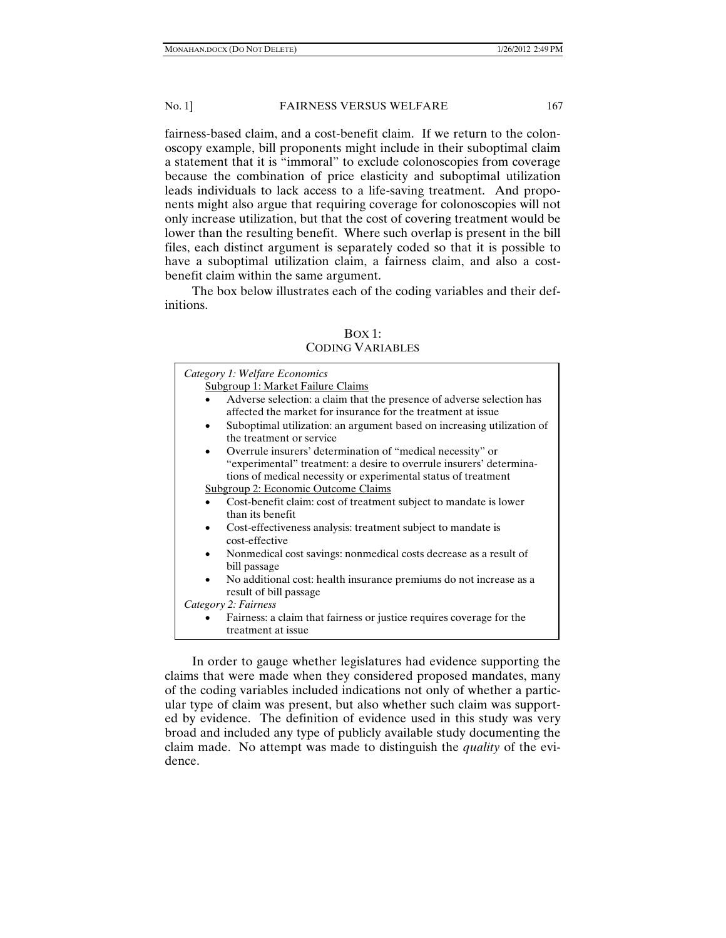fairness-based claim, and a cost-benefit claim. If we return to the colonoscopy example, bill proponents might include in their suboptimal claim a statement that it is "immoral" to exclude colonoscopies from coverage because the combination of price elasticity and suboptimal utilization leads individuals to lack access to a life-saving treatment. And proponents might also argue that requiring coverage for colonoscopies will not only increase utilization, but that the cost of covering treatment would be lower than the resulting benefit. Where such overlap is present in the bill files, each distinct argument is separately coded so that it is possible to have a suboptimal utilization claim, a fairness claim, and also a costbenefit claim within the same argument.

The box below illustrates each of the coding variables and their definitions.

| Category 1: Welfare Economics<br>Subgroup 1: Market Failure Claims                                                                    |  |  |  |  |
|---------------------------------------------------------------------------------------------------------------------------------------|--|--|--|--|
| Adverse selection: a claim that the presence of adverse selection has<br>affected the market for insurance for the treatment at issue |  |  |  |  |
| Suboptimal utilization: an argument based on increasing utilization of<br>the treatment or service                                    |  |  |  |  |
| Overrule insurers' determination of "medical necessity" or<br>$\bullet$                                                               |  |  |  |  |
| "experimental" treatment: a desire to overrule insurers' determina-<br>tions of medical necessity or experimental status of treatment |  |  |  |  |
| Subgroup 2: Economic Outcome Claims                                                                                                   |  |  |  |  |
| Cost-benefit claim: cost of treatment subject to mandate is lower                                                                     |  |  |  |  |
| than its benefit                                                                                                                      |  |  |  |  |
| Cost-effectiveness analysis: treatment subject to mandate is<br>$\bullet$<br>cost-effective                                           |  |  |  |  |
| Nonmedical cost savings: nonmedical costs decrease as a result of<br>$\bullet$                                                        |  |  |  |  |
| bill passage                                                                                                                          |  |  |  |  |
| No additional cost: health insurance premiums do not increase as a<br>$\bullet$                                                       |  |  |  |  |
| result of bill passage                                                                                                                |  |  |  |  |
| Category 2: Fairness                                                                                                                  |  |  |  |  |
| Fairness: a claim that fairness or justice requires coverage for the<br>treatment at issue                                            |  |  |  |  |

BOX 1: CODING VARIABLES

In order to gauge whether legislatures had evidence supporting the claims that were made when they considered proposed mandates, many of the coding variables included indications not only of whether a particular type of claim was present, but also whether such claim was supported by evidence. The definition of evidence used in this study was very broad and included any type of publicly available study documenting the claim made. No attempt was made to distinguish the *quality* of the evidence.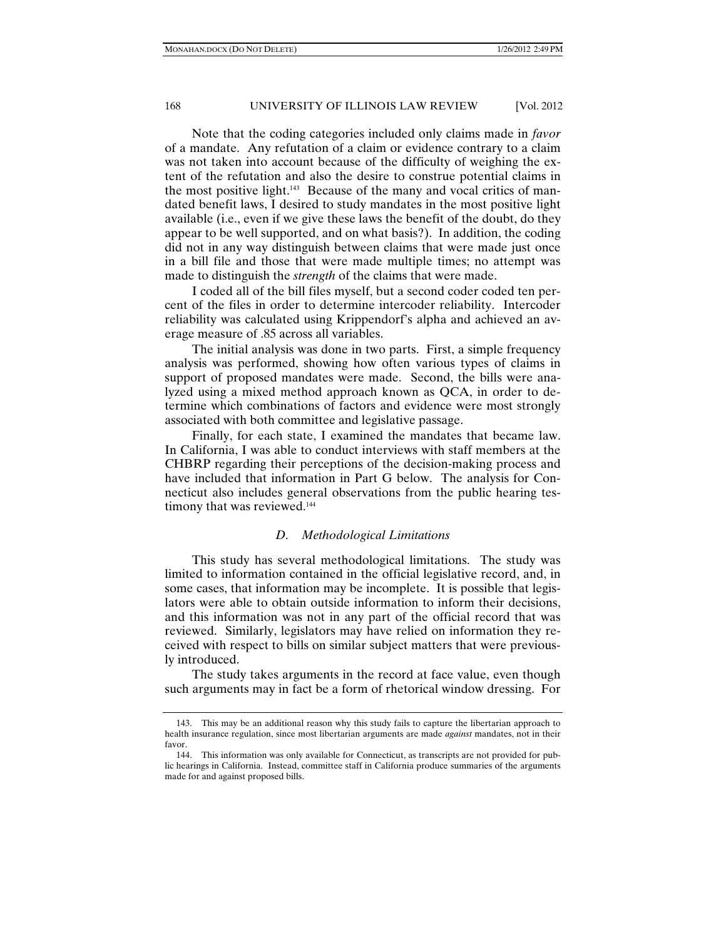Note that the coding categories included only claims made in *favor*  of a mandate. Any refutation of a claim or evidence contrary to a claim was not taken into account because of the difficulty of weighing the extent of the refutation and also the desire to construe potential claims in the most positive light.143 Because of the many and vocal critics of mandated benefit laws, I desired to study mandates in the most positive light available (i.e., even if we give these laws the benefit of the doubt, do they appear to be well supported, and on what basis?). In addition, the coding did not in any way distinguish between claims that were made just once in a bill file and those that were made multiple times; no attempt was made to distinguish the *strength* of the claims that were made.

I coded all of the bill files myself, but a second coder coded ten percent of the files in order to determine intercoder reliability. Intercoder reliability was calculated using Krippendorf's alpha and achieved an average measure of .85 across all variables.

The initial analysis was done in two parts. First, a simple frequency analysis was performed, showing how often various types of claims in support of proposed mandates were made. Second, the bills were analyzed using a mixed method approach known as QCA, in order to determine which combinations of factors and evidence were most strongly associated with both committee and legislative passage.

Finally, for each state, I examined the mandates that became law. In California, I was able to conduct interviews with staff members at the CHBRP regarding their perceptions of the decision-making process and have included that information in Part G below. The analysis for Connecticut also includes general observations from the public hearing testimony that was reviewed.<sup>144</sup>

# *D. Methodological Limitations*

This study has several methodological limitations. The study was limited to information contained in the official legislative record, and, in some cases, that information may be incomplete. It is possible that legislators were able to obtain outside information to inform their decisions, and this information was not in any part of the official record that was reviewed. Similarly, legislators may have relied on information they received with respect to bills on similar subject matters that were previously introduced.

The study takes arguments in the record at face value, even though such arguments may in fact be a form of rhetorical window dressing. For

 <sup>143.</sup> This may be an additional reason why this study fails to capture the libertarian approach to health insurance regulation, since most libertarian arguments are made *against* mandates, not in their favor.

 <sup>144.</sup> This information was only available for Connecticut, as transcripts are not provided for public hearings in California. Instead, committee staff in California produce summaries of the arguments made for and against proposed bills.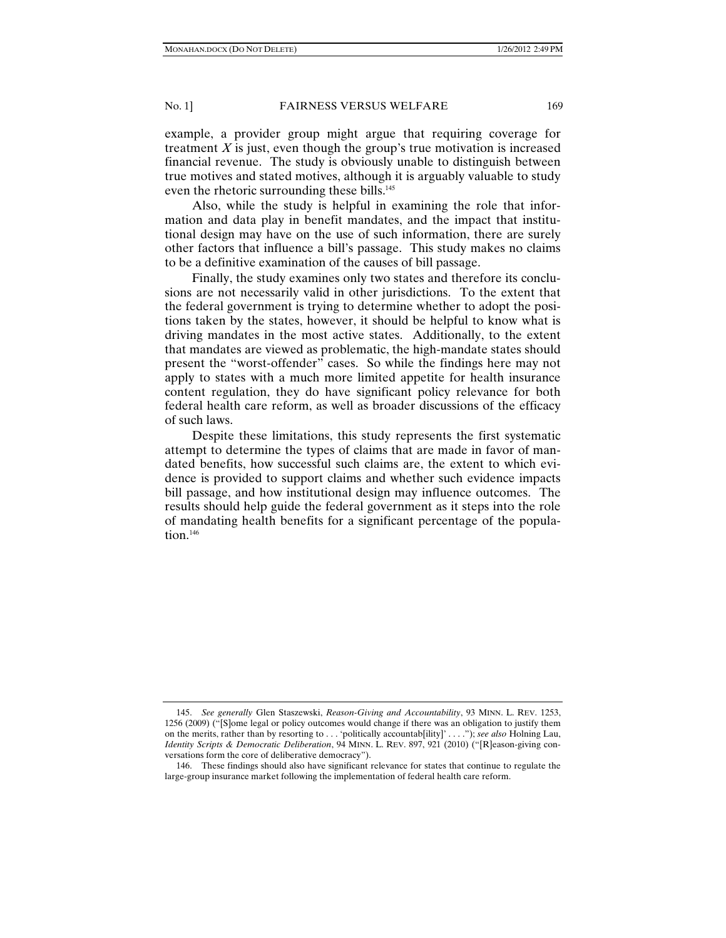example, a provider group might argue that requiring coverage for treatment *X* is just, even though the group's true motivation is increased financial revenue. The study is obviously unable to distinguish between true motives and stated motives, although it is arguably valuable to study even the rhetoric surrounding these bills.<sup>145</sup>

Also, while the study is helpful in examining the role that information and data play in benefit mandates, and the impact that institutional design may have on the use of such information, there are surely other factors that influence a bill's passage. This study makes no claims to be a definitive examination of the causes of bill passage.

Finally, the study examines only two states and therefore its conclusions are not necessarily valid in other jurisdictions. To the extent that the federal government is trying to determine whether to adopt the positions taken by the states, however, it should be helpful to know what is driving mandates in the most active states. Additionally, to the extent that mandates are viewed as problematic, the high-mandate states should present the "worst-offender" cases. So while the findings here may not apply to states with a much more limited appetite for health insurance content regulation, they do have significant policy relevance for both federal health care reform, as well as broader discussions of the efficacy of such laws.

Despite these limitations, this study represents the first systematic attempt to determine the types of claims that are made in favor of mandated benefits, how successful such claims are, the extent to which evidence is provided to support claims and whether such evidence impacts bill passage, and how institutional design may influence outcomes. The results should help guide the federal government as it steps into the role of mandating health benefits for a significant percentage of the population.<sup>146</sup>

 <sup>145.</sup> *See generally* Glen Staszewski, *Reason-Giving and Accountability*, 93 MINN. L. REV. 1253, 1256 (2009) ("[S]ome legal or policy outcomes would change if there was an obligation to justify them on the merits, rather than by resorting to . . . 'politically accountab[ility]' . . . ."); *see also* Holning Lau, *Identity Scripts & Democratic Deliberation*, 94 MINN. L. REV. 897, 921 (2010) ("[R]eason-giving conversations form the core of deliberative democracy").

 <sup>146.</sup> These findings should also have significant relevance for states that continue to regulate the large-group insurance market following the implementation of federal health care reform.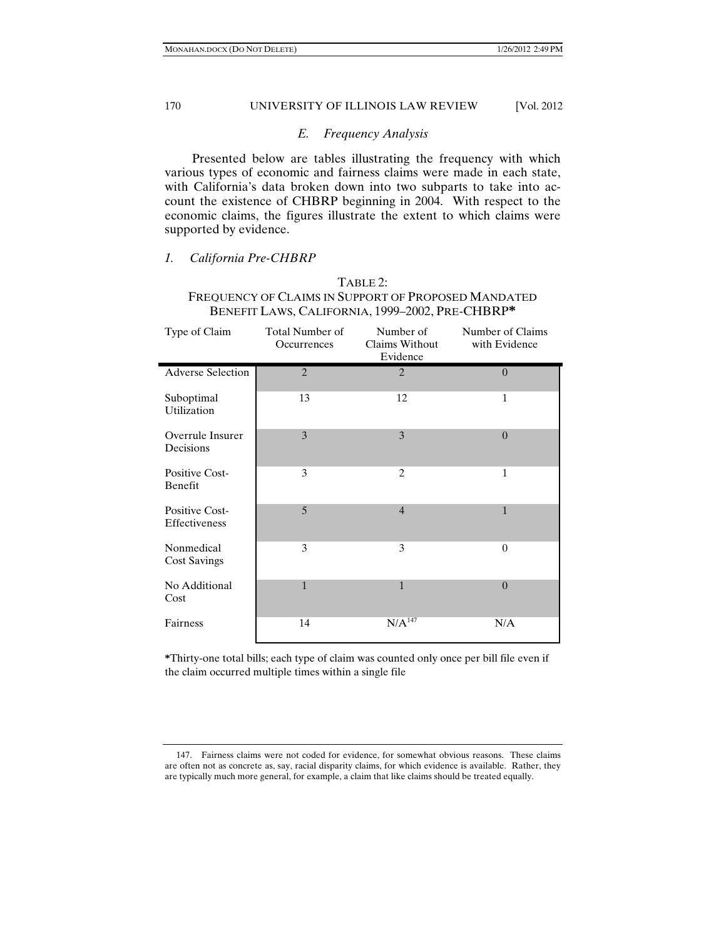# *E. Frequency Analysis*

Presented below are tables illustrating the frequency with which various types of economic and fairness claims were made in each state, with California's data broken down into two subparts to take into account the existence of CHBRP beginning in 2004. With respect to the economic claims, the figures illustrate the extent to which claims were supported by evidence.

# *1. California Pre-CHBRP*

Ē,

# TABLE 2: FREQUENCY OF CLAIMS IN SUPPORT OF PROPOSED MANDATED BENEFIT LAWS, CALIFORNIA, 1999–2002, PRE-CHBRP**\***

| Type of Claim                     | Total Number of<br>Occurrences | Number of<br>Claims Without<br>Evidence | Number of Claims<br>with Evidence |
|-----------------------------------|--------------------------------|-----------------------------------------|-----------------------------------|
| <b>Adverse Selection</b>          | $\overline{2}$                 | $\overline{2}$                          | $\Omega$                          |
| Suboptimal<br>Utilization         | 13                             | 12                                      | $\mathbf{1}$                      |
| Overrule Insurer<br>Decisions     | 3                              | 3                                       | $\overline{0}$                    |
| Positive Cost-<br>Benefit         | 3                              | $\overline{c}$                          | $\mathbf{1}$                      |
| Positive Cost-<br>Effectiveness   | 5                              | $\overline{4}$                          | $\mathbf{1}$                      |
| Nonmedical<br><b>Cost Savings</b> | 3                              | 3                                       | $\Omega$                          |
| No Additional<br>Cost             | $\mathbf{1}$                   | $\mathbf{1}$                            | $\theta$                          |
| Fairness                          | 14                             | $N/A^{147}$                             | N/A                               |

**\***Thirty-one total bills; each type of claim was counted only once per bill file even if the claim occurred multiple times within a single file

 <sup>147.</sup> Fairness claims were not coded for evidence, for somewhat obvious reasons. These claims are often not as concrete as, say, racial disparity claims, for which evidence is available. Rather, they are typically much more general, for example, a claim that like claims should be treated equally.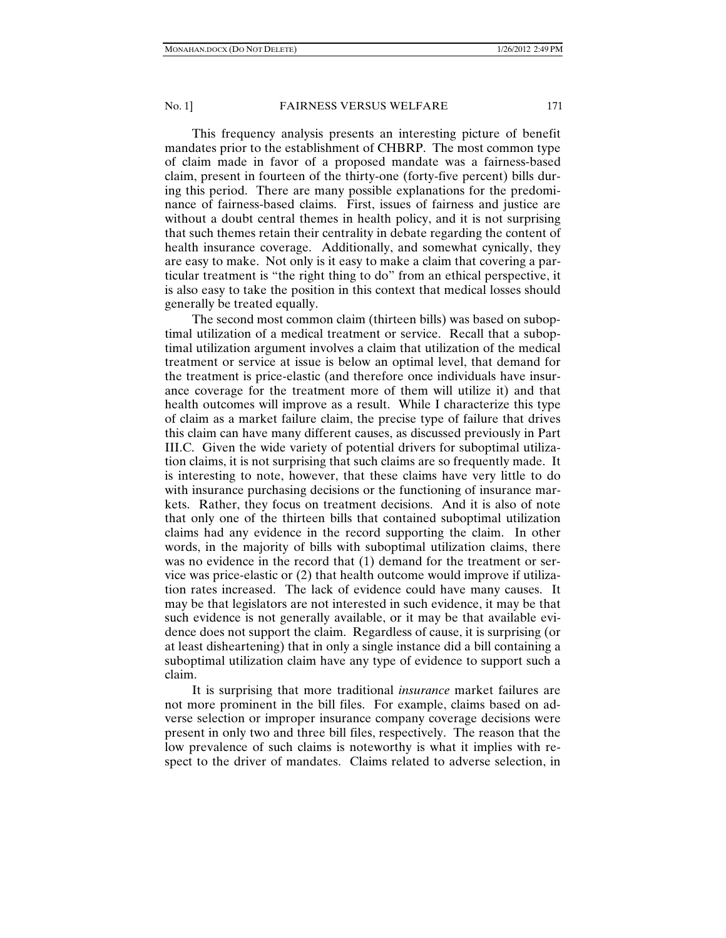This frequency analysis presents an interesting picture of benefit mandates prior to the establishment of CHBRP. The most common type of claim made in favor of a proposed mandate was a fairness-based claim, present in fourteen of the thirty-one (forty-five percent) bills during this period. There are many possible explanations for the predominance of fairness-based claims. First, issues of fairness and justice are without a doubt central themes in health policy, and it is not surprising that such themes retain their centrality in debate regarding the content of health insurance coverage. Additionally, and somewhat cynically, they are easy to make. Not only is it easy to make a claim that covering a particular treatment is "the right thing to do" from an ethical perspective, it is also easy to take the position in this context that medical losses should generally be treated equally.

The second most common claim (thirteen bills) was based on suboptimal utilization of a medical treatment or service. Recall that a suboptimal utilization argument involves a claim that utilization of the medical treatment or service at issue is below an optimal level, that demand for the treatment is price-elastic (and therefore once individuals have insurance coverage for the treatment more of them will utilize it) and that health outcomes will improve as a result. While I characterize this type of claim as a market failure claim, the precise type of failure that drives this claim can have many different causes, as discussed previously in Part III.C. Given the wide variety of potential drivers for suboptimal utilization claims, it is not surprising that such claims are so frequently made. It is interesting to note, however, that these claims have very little to do with insurance purchasing decisions or the functioning of insurance markets. Rather, they focus on treatment decisions. And it is also of note that only one of the thirteen bills that contained suboptimal utilization claims had any evidence in the record supporting the claim. In other words, in the majority of bills with suboptimal utilization claims, there was no evidence in the record that (1) demand for the treatment or service was price-elastic or (2) that health outcome would improve if utilization rates increased. The lack of evidence could have many causes. It may be that legislators are not interested in such evidence, it may be that such evidence is not generally available, or it may be that available evidence does not support the claim. Regardless of cause, it is surprising (or at least disheartening) that in only a single instance did a bill containing a suboptimal utilization claim have any type of evidence to support such a claim.

It is surprising that more traditional *insurance* market failures are not more prominent in the bill files. For example, claims based on adverse selection or improper insurance company coverage decisions were present in only two and three bill files, respectively. The reason that the low prevalence of such claims is noteworthy is what it implies with respect to the driver of mandates. Claims related to adverse selection, in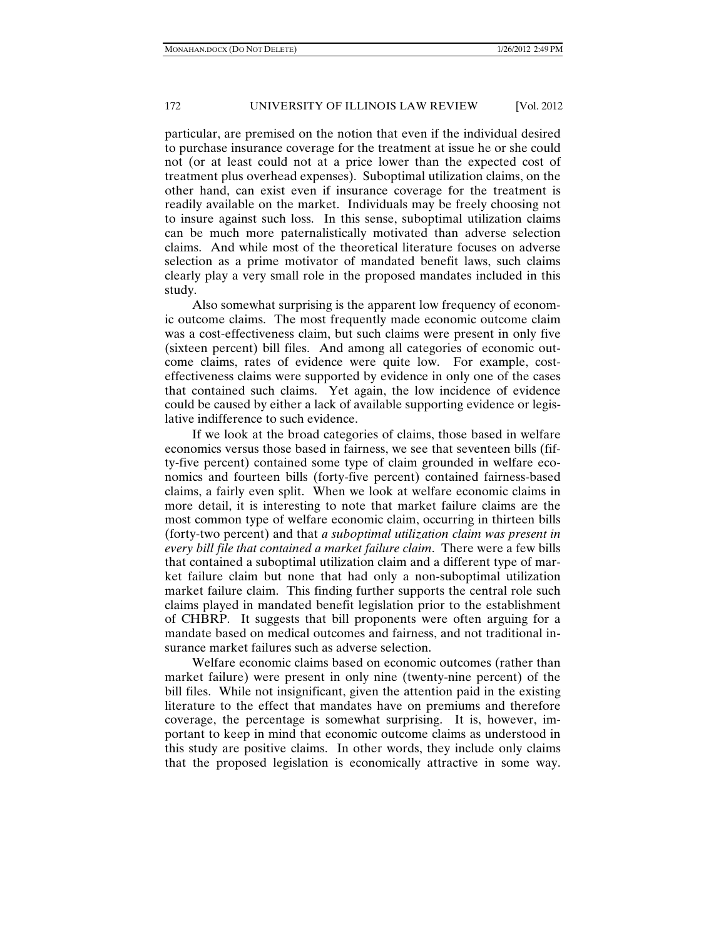particular, are premised on the notion that even if the individual desired to purchase insurance coverage for the treatment at issue he or she could not (or at least could not at a price lower than the expected cost of treatment plus overhead expenses). Suboptimal utilization claims, on the other hand, can exist even if insurance coverage for the treatment is readily available on the market. Individuals may be freely choosing not to insure against such loss. In this sense, suboptimal utilization claims can be much more paternalistically motivated than adverse selection claims. And while most of the theoretical literature focuses on adverse selection as a prime motivator of mandated benefit laws, such claims clearly play a very small role in the proposed mandates included in this study.

Also somewhat surprising is the apparent low frequency of economic outcome claims. The most frequently made economic outcome claim was a cost-effectiveness claim, but such claims were present in only five (sixteen percent) bill files. And among all categories of economic outcome claims, rates of evidence were quite low. For example, costeffectiveness claims were supported by evidence in only one of the cases that contained such claims. Yet again, the low incidence of evidence could be caused by either a lack of available supporting evidence or legislative indifference to such evidence.

If we look at the broad categories of claims, those based in welfare economics versus those based in fairness, we see that seventeen bills (fifty-five percent) contained some type of claim grounded in welfare economics and fourteen bills (forty-five percent) contained fairness-based claims, a fairly even split. When we look at welfare economic claims in more detail, it is interesting to note that market failure claims are the most common type of welfare economic claim, occurring in thirteen bills (forty-two percent) and that *a suboptimal utilization claim was present in every bill file that contained a market failure claim*. There were a few bills that contained a suboptimal utilization claim and a different type of market failure claim but none that had only a non-suboptimal utilization market failure claim. This finding further supports the central role such claims played in mandated benefit legislation prior to the establishment of CHBRP. It suggests that bill proponents were often arguing for a mandate based on medical outcomes and fairness, and not traditional insurance market failures such as adverse selection.

Welfare economic claims based on economic outcomes (rather than market failure) were present in only nine (twenty-nine percent) of the bill files. While not insignificant, given the attention paid in the existing literature to the effect that mandates have on premiums and therefore coverage, the percentage is somewhat surprising. It is, however, important to keep in mind that economic outcome claims as understood in this study are positive claims. In other words, they include only claims that the proposed legislation is economically attractive in some way.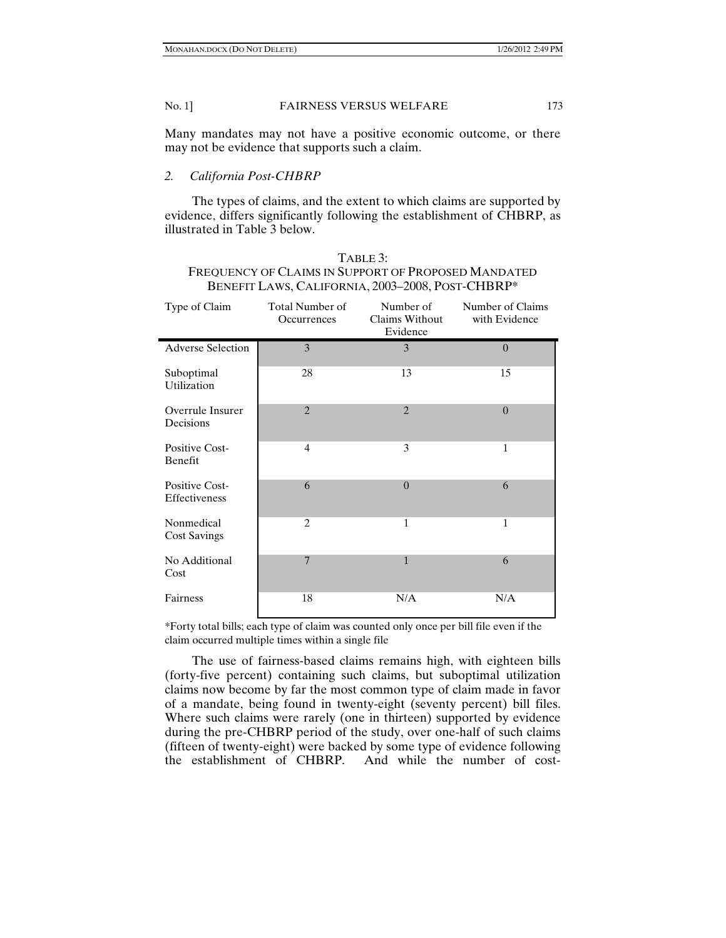Many mandates may not have a positive economic outcome, or there may not be evidence that supports such a claim.

# *2. California Post-CHBRP*

The types of claims, and the extent to which claims are supported by evidence, differs significantly following the establishment of CHBRP, as illustrated in Table 3 below.

| TABLE 3:                                            |
|-----------------------------------------------------|
| FREQUENCY OF CLAIMS IN SUPPORT OF PROPOSED MANDATED |
| BENEFIT LAWS, CALIFORNIA, 2003-2008, POST-CHBRP*    |

| Type of Claim                     | Total Number of<br>Occurrences | Number of<br>Claims Without<br>Evidence | Number of Claims<br>with Evidence |
|-----------------------------------|--------------------------------|-----------------------------------------|-----------------------------------|
| <b>Adverse Selection</b>          | 3                              | 3                                       | $\theta$                          |
| Suboptimal<br>Utilization         | 28                             | 13                                      | 15                                |
| Overrule Insurer<br>Decisions     | $\overline{2}$                 | $\overline{2}$                          | $\theta$                          |
| Positive Cost-<br>Benefit         | $\overline{4}$                 | 3                                       | 1                                 |
| Positive Cost-<br>Effectiveness   | 6                              | $\theta$                                | 6                                 |
| Nonmedical<br><b>Cost Savings</b> | $\overline{2}$                 | $\mathbf{1}$                            | 1                                 |
| No Additional<br>Cost             | $\overline{7}$                 | $\mathbf{1}$                            | 6                                 |
| Fairness                          | 18                             | N/A                                     | N/A                               |

\*Forty total bills; each type of claim was counted only once per bill file even if the claim occurred multiple times within a single file

The use of fairness-based claims remains high, with eighteen bills (forty-five percent) containing such claims, but suboptimal utilization claims now become by far the most common type of claim made in favor of a mandate, being found in twenty-eight (seventy percent) bill files. Where such claims were rarely (one in thirteen) supported by evidence during the pre-CHBRP period of the study, over one-half of such claims (fifteen of twenty-eight) were backed by some type of evidence following the establishment of CHBRP. And while the number of cost-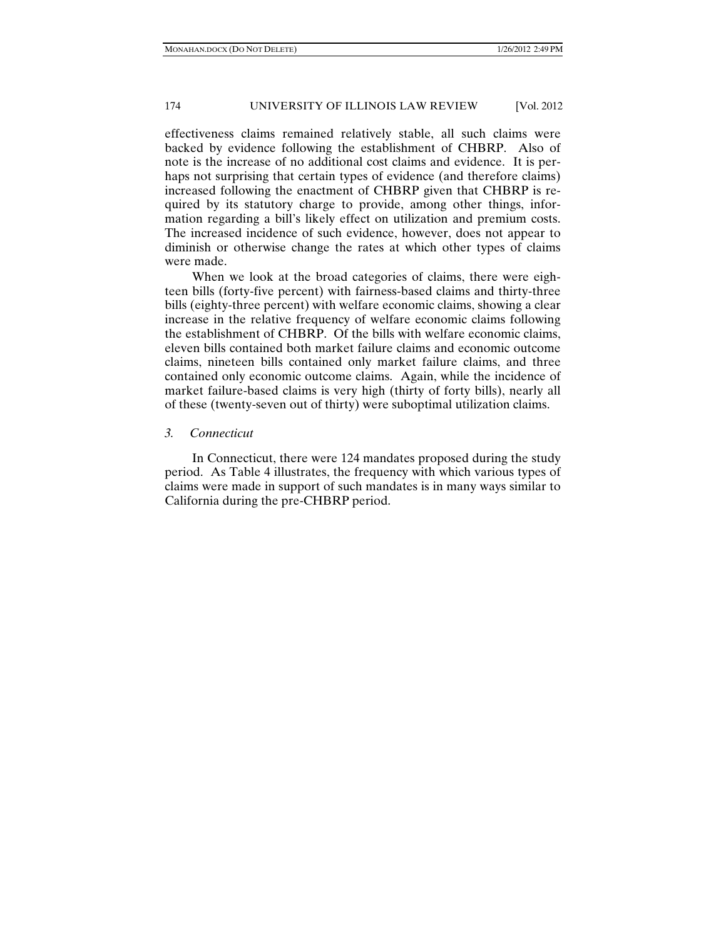effectiveness claims remained relatively stable, all such claims were backed by evidence following the establishment of CHBRP. Also of note is the increase of no additional cost claims and evidence. It is perhaps not surprising that certain types of evidence (and therefore claims) increased following the enactment of CHBRP given that CHBRP is required by its statutory charge to provide, among other things, information regarding a bill's likely effect on utilization and premium costs. The increased incidence of such evidence, however, does not appear to diminish or otherwise change the rates at which other types of claims were made.

When we look at the broad categories of claims, there were eighteen bills (forty-five percent) with fairness-based claims and thirty-three bills (eighty-three percent) with welfare economic claims, showing a clear increase in the relative frequency of welfare economic claims following the establishment of CHBRP. Of the bills with welfare economic claims, eleven bills contained both market failure claims and economic outcome claims, nineteen bills contained only market failure claims, and three contained only economic outcome claims. Again, while the incidence of market failure-based claims is very high (thirty of forty bills), nearly all of these (twenty-seven out of thirty) were suboptimal utilization claims.

# *3. Connecticut*

In Connecticut, there were 124 mandates proposed during the study period. As Table 4 illustrates, the frequency with which various types of claims were made in support of such mandates is in many ways similar to California during the pre-CHBRP period.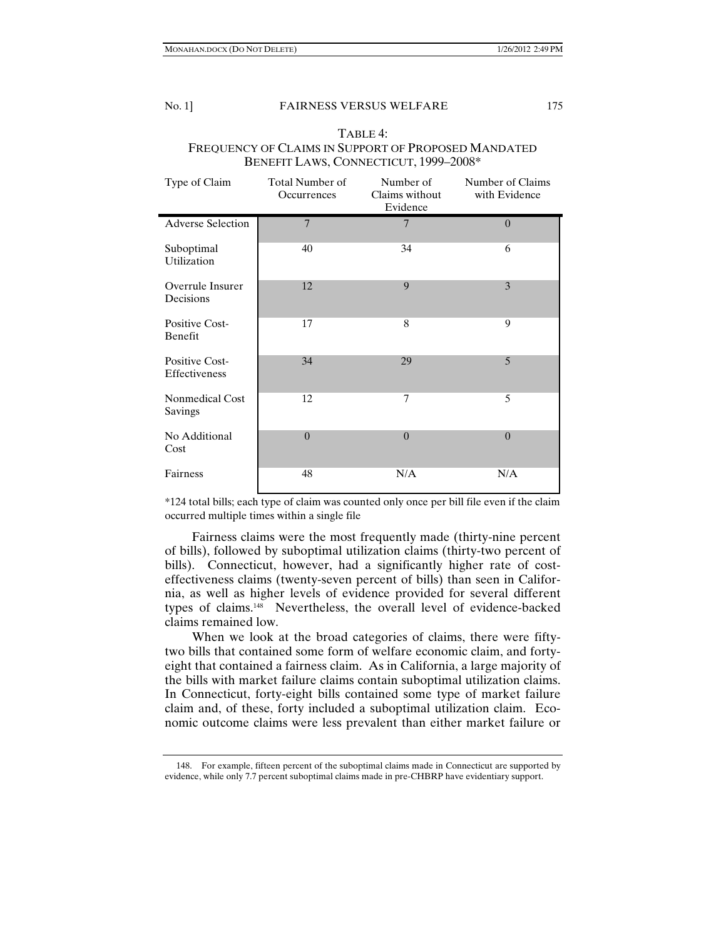# No. 1] FAIRNESS VERSUS WELFARE 175  $T \cdot \mathbf{r} = 4$

| TABLE 4:                                            |
|-----------------------------------------------------|
| FREQUENCY OF CLAIMS IN SUPPORT OF PROPOSED MANDATED |
| BENEFIT LAWS, CONNECTICUT, 1999-2008*               |

| Type of Claim                   | Total Number of<br>Occurrences | Number of<br>Claims without<br>Evidence | Number of Claims<br>with Evidence |
|---------------------------------|--------------------------------|-----------------------------------------|-----------------------------------|
| <b>Adverse Selection</b>        | $\overline{7}$                 | $\overline{7}$                          | $\theta$                          |
| Suboptimal<br>Utilization       | 40                             | 34                                      | 6                                 |
| Overrule Insurer<br>Decisions   | 12                             | 9                                       | 3                                 |
| Positive Cost-<br>Benefit       | 17                             | 8                                       | 9                                 |
| Positive Cost-<br>Effectiveness | 34                             | 29                                      | 5                                 |
| Nonmedical Cost<br>Savings      | 12                             | $\tau$                                  | 5                                 |
| No Additional<br>Cost           | $\Omega$                       | $\overline{0}$                          | $\theta$                          |
| Fairness                        | 48                             | N/A                                     | N/A                               |

\*124 total bills; each type of claim was counted only once per bill file even if the claim occurred multiple times within a single file

Fairness claims were the most frequently made (thirty-nine percent of bills), followed by suboptimal utilization claims (thirty-two percent of bills). Connecticut, however, had a significantly higher rate of costeffectiveness claims (twenty-seven percent of bills) than seen in California, as well as higher levels of evidence provided for several different types of claims.148 Nevertheless, the overall level of evidence-backed claims remained low.

When we look at the broad categories of claims, there were fiftytwo bills that contained some form of welfare economic claim, and fortyeight that contained a fairness claim. As in California, a large majority of the bills with market failure claims contain suboptimal utilization claims. In Connecticut, forty-eight bills contained some type of market failure claim and, of these, forty included a suboptimal utilization claim. Economic outcome claims were less prevalent than either market failure or

 <sup>148.</sup> For example, fifteen percent of the suboptimal claims made in Connecticut are supported by evidence, while only 7.7 percent suboptimal claims made in pre-CHBRP have evidentiary support.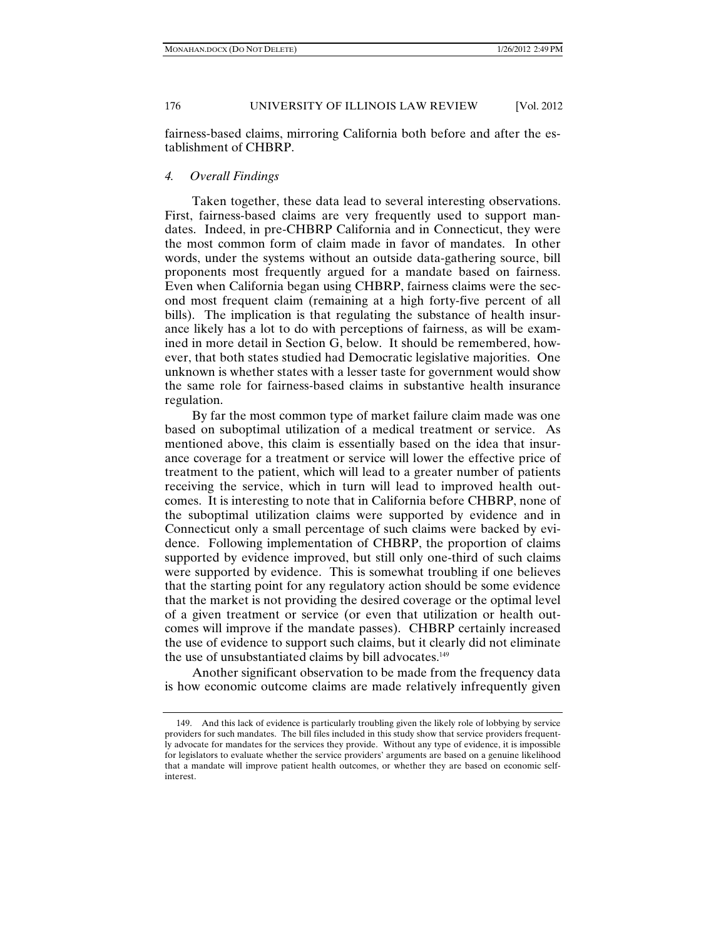fairness-based claims, mirroring California both before and after the establishment of CHBRP.

## *4. Overall Findings*

Taken together, these data lead to several interesting observations. First, fairness-based claims are very frequently used to support mandates. Indeed, in pre-CHBRP California and in Connecticut, they were the most common form of claim made in favor of mandates. In other words, under the systems without an outside data-gathering source, bill proponents most frequently argued for a mandate based on fairness. Even when California began using CHBRP, fairness claims were the second most frequent claim (remaining at a high forty-five percent of all bills). The implication is that regulating the substance of health insurance likely has a lot to do with perceptions of fairness, as will be examined in more detail in Section G, below. It should be remembered, however, that both states studied had Democratic legislative majorities. One unknown is whether states with a lesser taste for government would show the same role for fairness-based claims in substantive health insurance regulation.

By far the most common type of market failure claim made was one based on suboptimal utilization of a medical treatment or service. As mentioned above, this claim is essentially based on the idea that insurance coverage for a treatment or service will lower the effective price of treatment to the patient, which will lead to a greater number of patients receiving the service, which in turn will lead to improved health outcomes. It is interesting to note that in California before CHBRP, none of the suboptimal utilization claims were supported by evidence and in Connecticut only a small percentage of such claims were backed by evidence. Following implementation of CHBRP, the proportion of claims supported by evidence improved, but still only one-third of such claims were supported by evidence. This is somewhat troubling if one believes that the starting point for any regulatory action should be some evidence that the market is not providing the desired coverage or the optimal level of a given treatment or service (or even that utilization or health outcomes will improve if the mandate passes). CHBRP certainly increased the use of evidence to support such claims, but it clearly did not eliminate the use of unsubstantiated claims by bill advocates.<sup>149</sup>

Another significant observation to be made from the frequency data is how economic outcome claims are made relatively infrequently given

 <sup>149.</sup> And this lack of evidence is particularly troubling given the likely role of lobbying by service providers for such mandates. The bill files included in this study show that service providers frequently advocate for mandates for the services they provide. Without any type of evidence, it is impossible for legislators to evaluate whether the service providers' arguments are based on a genuine likelihood that a mandate will improve patient health outcomes, or whether they are based on economic selfinterest.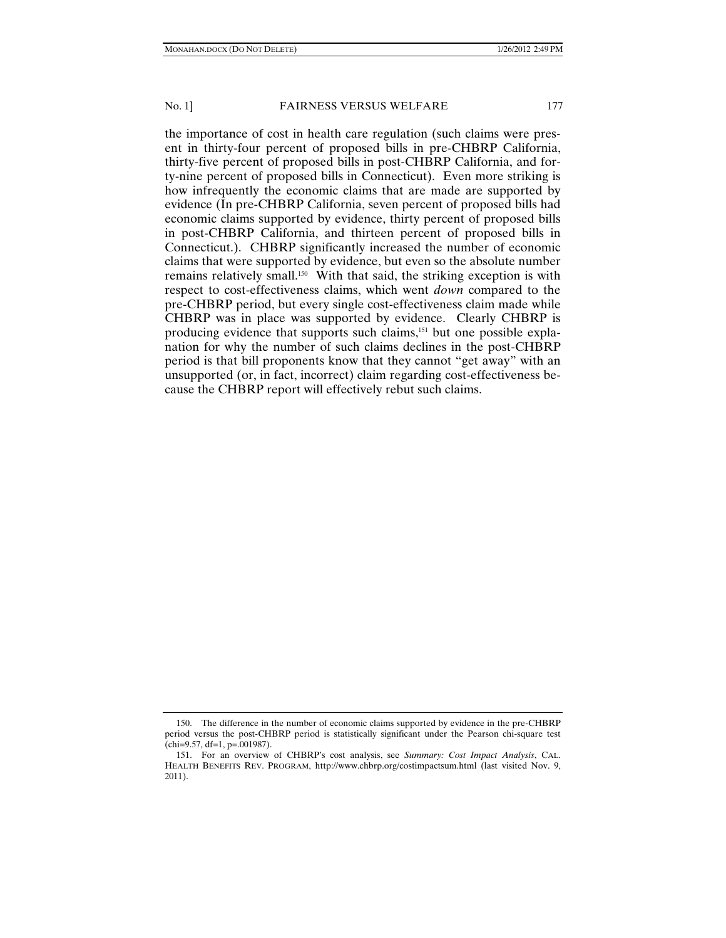the importance of cost in health care regulation (such claims were present in thirty-four percent of proposed bills in pre-CHBRP California, thirty-five percent of proposed bills in post-CHBRP California, and forty-nine percent of proposed bills in Connecticut). Even more striking is how infrequently the economic claims that are made are supported by evidence (In pre-CHBRP California, seven percent of proposed bills had economic claims supported by evidence, thirty percent of proposed bills in post-CHBRP California, and thirteen percent of proposed bills in Connecticut.). CHBRP significantly increased the number of economic claims that were supported by evidence, but even so the absolute number remains relatively small.<sup>150</sup> With that said, the striking exception is with respect to cost-effectiveness claims, which went *down* compared to the pre-CHBRP period, but every single cost-effectiveness claim made while CHBRP was in place was supported by evidence. Clearly CHBRP is producing evidence that supports such claims,<sup>151</sup> but one possible explanation for why the number of such claims declines in the post-CHBRP period is that bill proponents know that they cannot "get away" with an unsupported (or, in fact, incorrect) claim regarding cost-effectiveness because the CHBRP report will effectively rebut such claims.

 <sup>150.</sup> The difference in the number of economic claims supported by evidence in the pre-CHBRP period versus the post-CHBRP period is statistically significant under the Pearson chi-square test  $chi=9.57, df=1, p=.001987$ .

 <sup>151.</sup> For an overview of CHBRP's cost analysis, see *Summary: Cost Impact Analysis*, CAL. HEALTH BENEFITS REV. PROGRAM, http://www.chbrp.org/costimpactsum.html (last visited Nov. 9, 2011).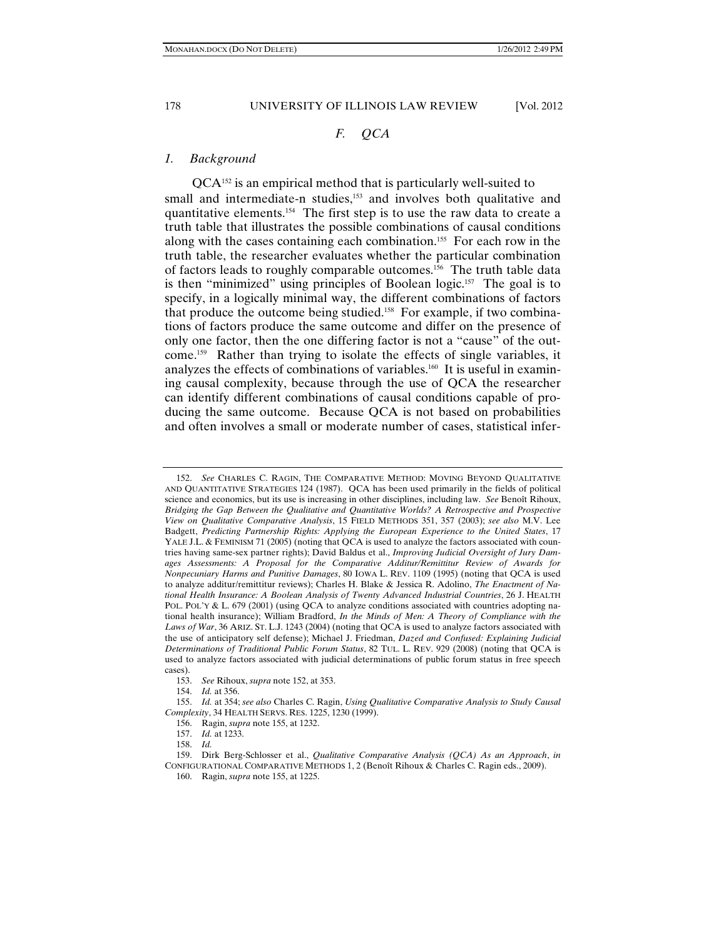# *F. QCA*

## *1. Background*

QCA152 is an empirical method that is particularly well-suited to small and intermediate-n studies,<sup>153</sup> and involves both qualitative and quantitative elements.154 The first step is to use the raw data to create a truth table that illustrates the possible combinations of causal conditions along with the cases containing each combination.155 For each row in the truth table, the researcher evaluates whether the particular combination of factors leads to roughly comparable outcomes.156 The truth table data is then "minimized" using principles of Boolean logic.<sup>157</sup> The goal is to specify, in a logically minimal way, the different combinations of factors that produce the outcome being studied.158 For example, if two combinations of factors produce the same outcome and differ on the presence of only one factor, then the one differing factor is not a "cause" of the outcome.159 Rather than trying to isolate the effects of single variables, it analyzes the effects of combinations of variables.160 It is useful in examining causal complexity, because through the use of QCA the researcher can identify different combinations of causal conditions capable of producing the same outcome. Because QCA is not based on probabilities and often involves a small or moderate number of cases, statistical infer-

154. *Id.* at 356.

 <sup>152.</sup> *See* CHARLES C. RAGIN, THE COMPARATIVE METHOD: MOVING BEYOND QUALITATIVE AND QUANTITATIVE STRATEGIES 124 (1987). QCA has been used primarily in the fields of political science and economics, but its use is increasing in other disciplines, including law. *See* Benoît Rihoux, *Bridging the Gap Between the Qualitative and Quantitative Worlds? A Retrospective and Prospective View on Qualitative Comparative Analysis*, 15 FIELD METHODS 351, 357 (2003); *see also* M.V. Lee Badgett, *Predicting Partnership Rights: Applying the European Experience to the United States*, 17 YALE J.L. & FEMINISM 71 (2005) (noting that QCA is used to analyze the factors associated with countries having same-sex partner rights); David Baldus et al., *Improving Judicial Oversight of Jury Damages Assessments: A Proposal for the Comparative Additur/Remittitur Review of Awards for Nonpecuniary Harms and Punitive Damages*, 80 IOWA L. REV. 1109 (1995) (noting that QCA is used to analyze additur/remittitur reviews); Charles H. Blake & Jessica R. Adolino, *The Enactment of National Health Insurance: A Boolean Analysis of Twenty Advanced Industrial Countries*, 26 J. HEALTH POL. POL'Y & L. 679 (2001) (using QCA to analyze conditions associated with countries adopting national health insurance); William Bradford, *In the Minds of Men: A Theory of Compliance with the Laws of War*, 36 ARIZ. ST. L.J. 1243 (2004) (noting that QCA is used to analyze factors associated with the use of anticipatory self defense); Michael J. Friedman, *Dazed and Confused: Explaining Judicial Determinations of Traditional Public Forum Status*, 82 TUL. L. REV. 929 (2008) (noting that QCA is used to analyze factors associated with judicial determinations of public forum status in free speech cases).

 <sup>153.</sup> *See* Rihoux, *supra* note 152, at 353.

 <sup>155.</sup> *Id.* at 354; *see also* Charles C. Ragin, *Using Qualitative Comparative Analysis to Study Causal Complexity*, 34 HEALTH SERVS. RES. 1225, 1230 (1999).

 <sup>156.</sup> Ragin, *supra* note 155, at 1232.

 <sup>157.</sup> *Id.* at 1233.

 <sup>158.</sup> *Id.*

 <sup>159.</sup> Dirk Berg-Schlosser et al., *Qualitative Comparative Analysis (QCA) As an Approach*, *in*  CONFIGURATIONAL COMPARATIVE METHODS 1, 2 (Benoît Rihoux & Charles C. Ragin eds., 2009).

 <sup>160.</sup> Ragin, *supra* note 155, at 1225.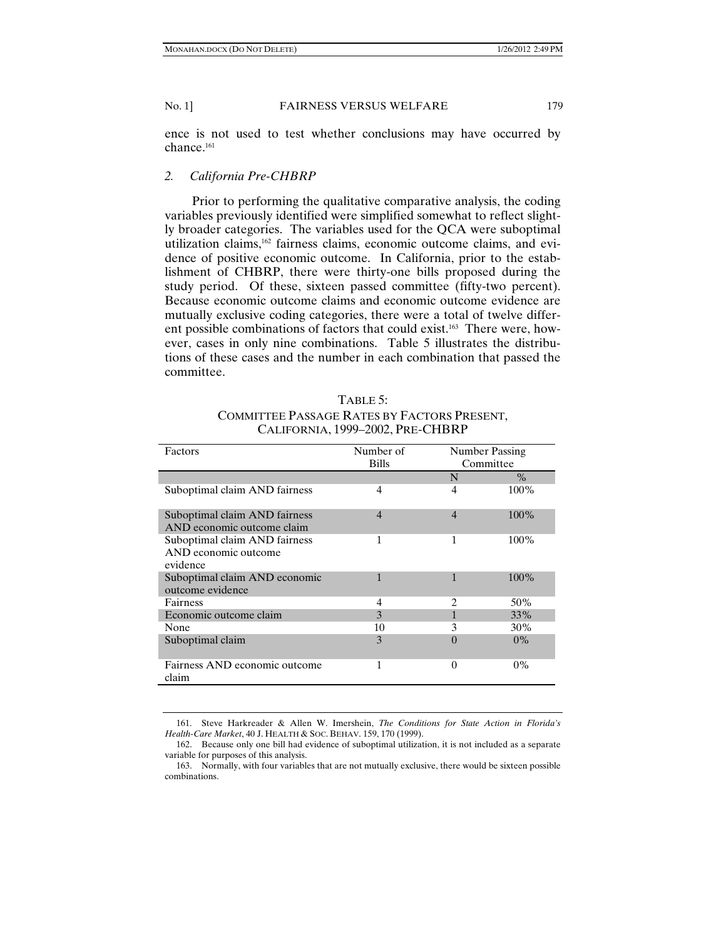ence is not used to test whether conclusions may have occurred by chance.<sup>161</sup>

# *2. California Pre-CHBRP*

Prior to performing the qualitative comparative analysis, the coding variables previously identified were simplified somewhat to reflect slightly broader categories. The variables used for the QCA were suboptimal utilization claims,<sup>162</sup> fairness claims, economic outcome claims, and evidence of positive economic outcome. In California, prior to the establishment of CHBRP, there were thirty-one bills proposed during the study period. Of these, sixteen passed committee (fifty-two percent). Because economic outcome claims and economic outcome evidence are mutually exclusive coding categories, there were a total of twelve different possible combinations of factors that could exist.<sup>163</sup> There were, however, cases in only nine combinations. Table 5 illustrates the distributions of these cases and the number in each combination that passed the committee.

| TABLE 5:                                    |
|---------------------------------------------|
| COMMITTEE PASSAGE RATES BY FACTORS PRESENT, |
| CALIFORNIA, 1999-2002, PRE-CHBRP            |

| Factors                                                           | Number of<br><b>Bills</b> | Number Passing<br>Committee |         |
|-------------------------------------------------------------------|---------------------------|-----------------------------|---------|
|                                                                   |                           | N                           | $\%$    |
| Suboptimal claim AND fairness                                     | 4                         | 4                           | 100%    |
| Suboptimal claim AND fairness<br>AND economic outcome claim       | $\overline{4}$            | $\overline{4}$              | $100\%$ |
| Suboptimal claim AND fairness<br>AND economic outcome<br>evidence | 1                         | 1                           | $100\%$ |
| Suboptimal claim AND economic<br>outcome evidence                 |                           | 1                           | 100%    |
| <b>Fairness</b>                                                   | 4                         | 2                           | 50%     |
| Economic outcome claim                                            | $\mathbf{3}$              |                             | 33%     |
| None                                                              | 10                        | 3                           | 30%     |
| Suboptimal claim                                                  | 3                         | 0                           | $0\%$   |
| Fairness AND economic outcome<br>claim                            | 1                         | $\Omega$                    | $0\%$   |

 <sup>161.</sup> Steve Harkreader & Allen W. Imershein, *The Conditions for State Action in Florida's Health-Care Market*, 40 J. HEALTH & SOC. BEHAV. 159, 170 (1999).

 <sup>162.</sup> Because only one bill had evidence of suboptimal utilization, it is not included as a separate variable for purposes of this analysis.

 <sup>163.</sup> Normally, with four variables that are not mutually exclusive, there would be sixteen possible combinations.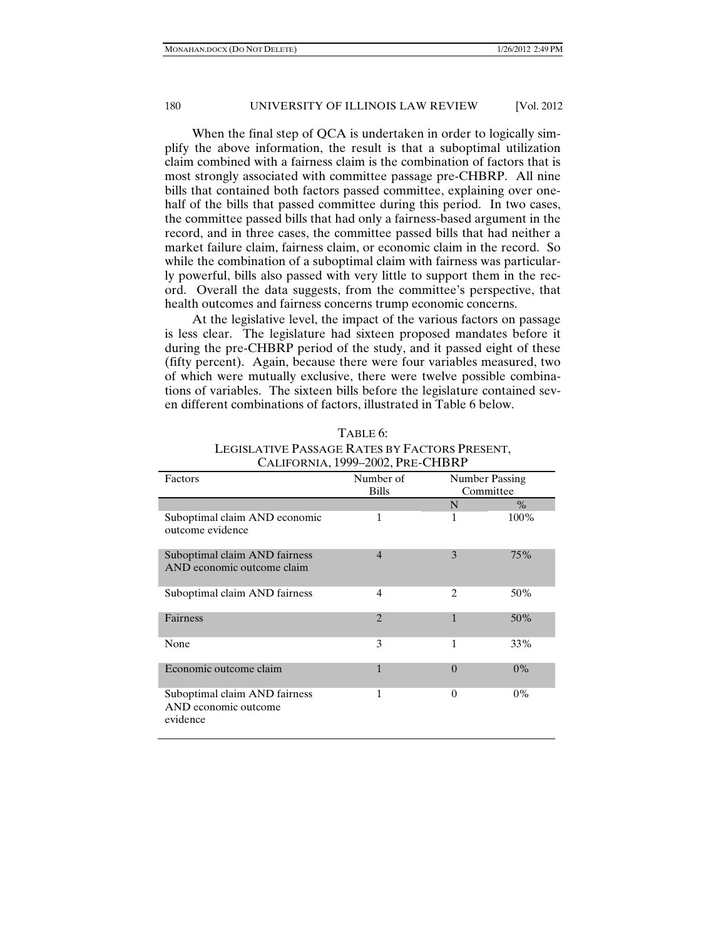When the final step of QCA is undertaken in order to logically simplify the above information, the result is that a suboptimal utilization claim combined with a fairness claim is the combination of factors that is most strongly associated with committee passage pre-CHBRP. All nine bills that contained both factors passed committee, explaining over onehalf of the bills that passed committee during this period. In two cases, the committee passed bills that had only a fairness-based argument in the record, and in three cases, the committee passed bills that had neither a market failure claim, fairness claim, or economic claim in the record. So while the combination of a suboptimal claim with fairness was particularly powerful, bills also passed with very little to support them in the record. Overall the data suggests, from the committee's perspective, that health outcomes and fairness concerns trump economic concerns.

At the legislative level, the impact of the various factors on passage is less clear. The legislature had sixteen proposed mandates before it during the pre-CHBRP period of the study, and it passed eight of these (fifty percent). Again, because there were four variables measured, two of which were mutually exclusive, there were twelve possible combinations of variables. The sixteen bills before the legislature contained seven different combinations of factors, illustrated in Table 6 below.

|                                                                   | CALIFORNIA, 1999-2002, PRE-CHBRP |                             |       |
|-------------------------------------------------------------------|----------------------------------|-----------------------------|-------|
| Factors                                                           | Number of<br><b>Bills</b>        | Number Passing<br>Committee |       |
|                                                                   |                                  | N                           | $\%$  |
| Suboptimal claim AND economic<br>outcome evidence                 | 1                                | 1                           | 100%  |
| Suboptimal claim AND fairness<br>AND economic outcome claim       | $\overline{4}$                   | 3                           | 75%   |
| Suboptimal claim AND fairness                                     | 4                                | $\overline{c}$              | 50%   |
| <b>Fairness</b>                                                   | $\mathfrak{D}$                   | 1                           | 50%   |
| None                                                              | 3                                | 1                           | 33%   |
| Economic outcome claim                                            | 1                                | $\theta$                    | $0\%$ |
| Suboptimal claim AND fairness<br>AND economic outcome<br>evidence | 1                                | $\Omega$                    | $0\%$ |

| TABLE 0:                                      |
|-----------------------------------------------|
| LEGISLATIVE PASSAGE RATES BY FACTORS PRESENT, |
| $Q_{12}$ trees $\pi$ : 4000, 3003, Ber CUBBB  |

 $T = -6$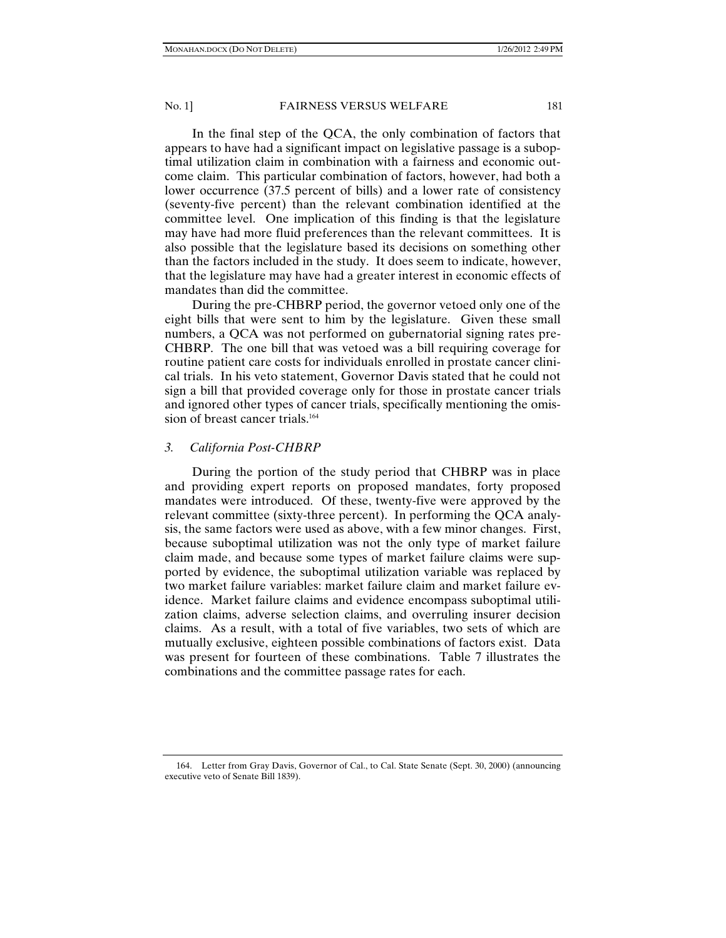In the final step of the QCA, the only combination of factors that appears to have had a significant impact on legislative passage is a suboptimal utilization claim in combination with a fairness and economic outcome claim. This particular combination of factors, however, had both a lower occurrence (37.5 percent of bills) and a lower rate of consistency (seventy-five percent) than the relevant combination identified at the committee level. One implication of this finding is that the legislature may have had more fluid preferences than the relevant committees. It is also possible that the legislature based its decisions on something other than the factors included in the study. It does seem to indicate, however, that the legislature may have had a greater interest in economic effects of mandates than did the committee.

During the pre-CHBRP period, the governor vetoed only one of the eight bills that were sent to him by the legislature. Given these small numbers, a QCA was not performed on gubernatorial signing rates pre-CHBRP. The one bill that was vetoed was a bill requiring coverage for routine patient care costs for individuals enrolled in prostate cancer clinical trials. In his veto statement, Governor Davis stated that he could not sign a bill that provided coverage only for those in prostate cancer trials and ignored other types of cancer trials, specifically mentioning the omission of breast cancer trials.<sup>164</sup>

### *3. California Post-CHBRP*

During the portion of the study period that CHBRP was in place and providing expert reports on proposed mandates, forty proposed mandates were introduced. Of these, twenty-five were approved by the relevant committee (sixty-three percent). In performing the QCA analysis, the same factors were used as above, with a few minor changes. First, because suboptimal utilization was not the only type of market failure claim made, and because some types of market failure claims were supported by evidence, the suboptimal utilization variable was replaced by two market failure variables: market failure claim and market failure evidence. Market failure claims and evidence encompass suboptimal utilization claims, adverse selection claims, and overruling insurer decision claims. As a result, with a total of five variables, two sets of which are mutually exclusive, eighteen possible combinations of factors exist. Data was present for fourteen of these combinations. Table 7 illustrates the combinations and the committee passage rates for each.

 <sup>164.</sup> Letter from Gray Davis, Governor of Cal., to Cal. State Senate (Sept. 30, 2000) (announcing executive veto of Senate Bill 1839).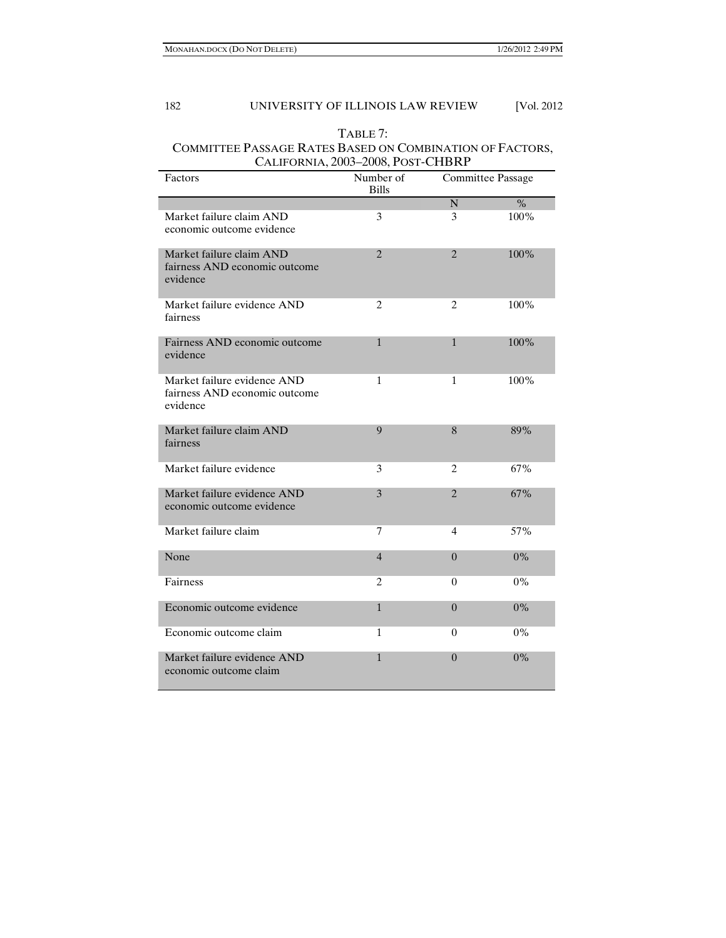# TABLE 7: COMMITTEE PASSAGE RATES BASED ON COMBINATION OF FACTORS, CALIFORNIA, 2003–2008, POST-CHBRP

| Factors                                                                  | Number of<br><b>Bills</b> | Committee Passage     |         |
|--------------------------------------------------------------------------|---------------------------|-----------------------|---------|
|                                                                          |                           | N.                    | $\%$    |
| Market failure claim AND<br>economic outcome evidence                    | 3                         | 3                     | 100%    |
| Market failure claim AND<br>fairness AND economic outcome<br>evidence    | $\mathfrak{D}$            | $\mathcal{D}_{\cdot}$ | 100%    |
| Market failure evidence AND<br>fairness                                  | 2                         | 2                     | 100%    |
| Fairness AND economic outcome<br>evidence                                | 1                         | $\mathbf{1}$          | $100\%$ |
| Market failure evidence AND<br>fairness AND economic outcome<br>evidence | 1                         | 1                     | 100%    |
| Market failure claim AND<br>fairness                                     | 9                         | 8                     | 89%     |
| Market failure evidence                                                  | 3                         | 2                     | 67%     |
| Market failure evidence AND<br>economic outcome evidence                 | 3                         | $\overline{2}$        | 67%     |
| Market failure claim                                                     | 7                         | 4                     | 57%     |
| None                                                                     | $\overline{4}$            | $\theta$              | $0\%$   |
| Fairness                                                                 | 2                         | $\overline{0}$        | $0\%$   |
| Economic outcome evidence                                                | $\mathbf{1}$              | $\theta$              | $0\%$   |
| Economic outcome claim                                                   | 1                         | 0                     | $0\%$   |
| Market failure evidence AND<br>economic outcome claim                    | 1                         | $\Omega$              | $0\%$   |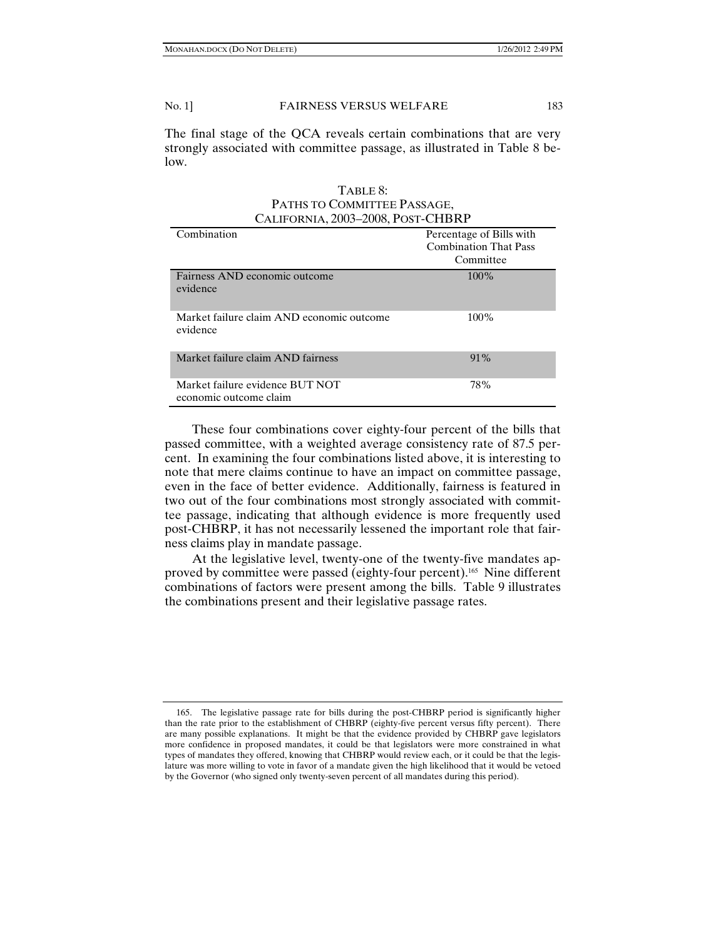The final stage of the QCA reveals certain combinations that are very strongly associated with committee passage, as illustrated in Table 8 below.

# TABLE 8: PATHS TO COMMITTEE PASSAGE, CALIFORNIA, 2003–2008, POST-CHBRP

| Combination                                               | Percentage of Bills with<br><b>Combination That Pass</b><br>Committee |
|-----------------------------------------------------------|-----------------------------------------------------------------------|
| Fairness AND economic outcome<br>evidence                 | $100\%$                                                               |
| Market failure claim AND economic outcome<br>evidence     | $100\%$                                                               |
| Market failure claim AND fairness                         | $91\%$                                                                |
| Market failure evidence BUT NOT<br>economic outcome claim | 78%                                                                   |

These four combinations cover eighty-four percent of the bills that passed committee, with a weighted average consistency rate of 87.5 percent. In examining the four combinations listed above, it is interesting to note that mere claims continue to have an impact on committee passage, even in the face of better evidence. Additionally, fairness is featured in two out of the four combinations most strongly associated with committee passage, indicating that although evidence is more frequently used post-CHBRP, it has not necessarily lessened the important role that fairness claims play in mandate passage.

At the legislative level, twenty-one of the twenty-five mandates approved by committee were passed (eighty-four percent).<sup>165</sup> Nine different combinations of factors were present among the bills. Table 9 illustrates the combinations present and their legislative passage rates.

 <sup>165.</sup> The legislative passage rate for bills during the post-CHBRP period is significantly higher than the rate prior to the establishment of CHBRP (eighty-five percent versus fifty percent). There are many possible explanations. It might be that the evidence provided by CHBRP gave legislators more confidence in proposed mandates, it could be that legislators were more constrained in what types of mandates they offered, knowing that CHBRP would review each, or it could be that the legislature was more willing to vote in favor of a mandate given the high likelihood that it would be vetoed by the Governor (who signed only twenty-seven percent of all mandates during this period).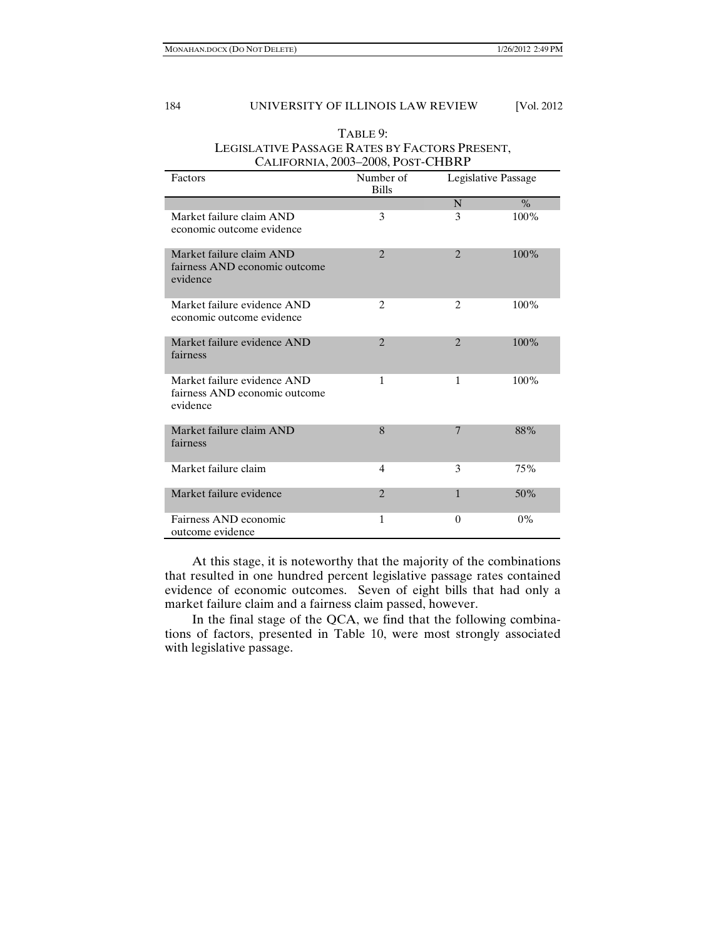|                                                                          | CALIFORNIA, 2003-2008, POST-CHBRP |                     |         |
|--------------------------------------------------------------------------|-----------------------------------|---------------------|---------|
| Factors                                                                  | Number of<br><b>Bills</b>         | Legislative Passage |         |
|                                                                          |                                   | N                   | $\%$    |
| Market failure claim AND<br>economic outcome evidence                    | 3                                 | 3                   | 100%    |
| Market failure claim AND<br>fairness AND economic outcome<br>evidence    | $\mathfrak{D}$                    | $\overline{2}$      | 100%    |
| Market failure evidence AND<br>economic outcome evidence                 | $\overline{c}$                    | $\overline{c}$      | 100%    |
| Market failure evidence AND<br>fairness                                  | $\overline{2}$                    | $\overline{2}$      | 100%    |
| Market failure evidence AND<br>fairness AND economic outcome<br>evidence | 1                                 | 1                   | $100\%$ |
| Market failure claim AND<br>fairness                                     | 8                                 | $\overline{7}$      | 88%     |
| Market failure claim                                                     | 4                                 | 3                   | 75%     |
| Market failure evidence                                                  | $\overline{2}$                    | $\mathbf{1}$        | 50%     |
| Fairness AND economic<br>outcome evidence                                | 1                                 | $\Omega$            | $0\%$   |

TABLE 9: LEGISLATIVE PASSAGE RATES BY FACTORS PRESENT,

At this stage, it is noteworthy that the majority of the combinations that resulted in one hundred percent legislative passage rates contained evidence of economic outcomes. Seven of eight bills that had only a market failure claim and a fairness claim passed, however.

In the final stage of the QCA, we find that the following combinations of factors, presented in Table 10, were most strongly associated with legislative passage.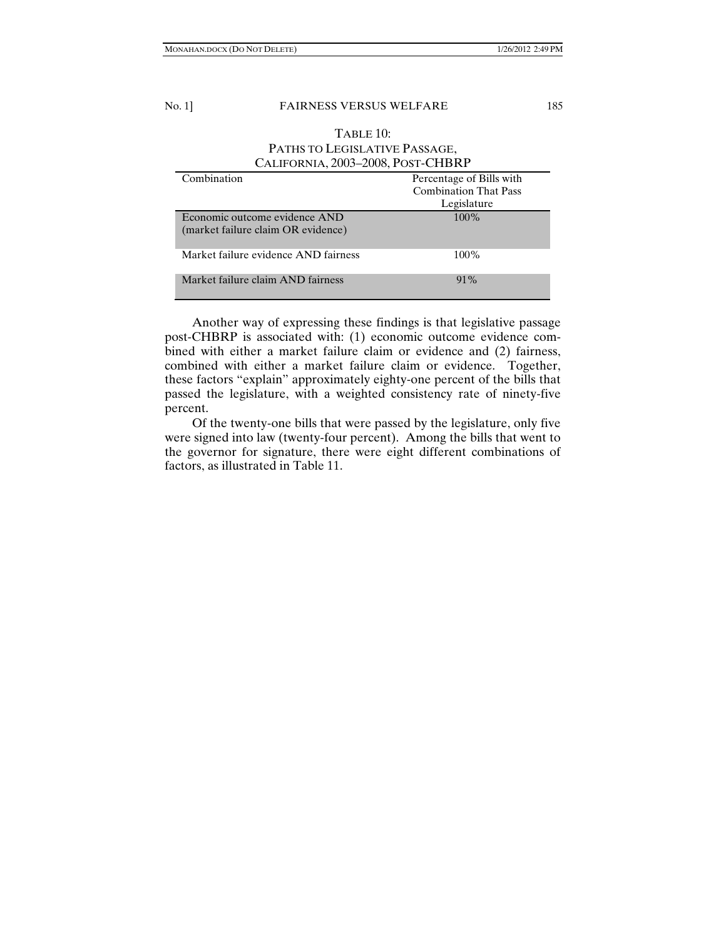# TABLE 10: PATHS TO LEGISLATIVE PASSAGE, CALIFORNIA, 2003–2008, POST-CHBRP

| Combination                                                         | Percentage of Bills with     |
|---------------------------------------------------------------------|------------------------------|
|                                                                     | <b>Combination That Pass</b> |
|                                                                     | Legislature                  |
| Economic outcome evidence AND<br>(market failure claim OR evidence) | $100\%$                      |
| Market failure evidence AND fairness                                | $100\%$                      |
| Market failure claim AND fairness                                   | $91\%$                       |

Another way of expressing these findings is that legislative passage post-CHBRP is associated with: (1) economic outcome evidence combined with either a market failure claim or evidence and (2) fairness, combined with either a market failure claim or evidence. Together, these factors "explain" approximately eighty-one percent of the bills that passed the legislature, with a weighted consistency rate of ninety-five percent.

Of the twenty-one bills that were passed by the legislature, only five were signed into law (twenty-four percent). Among the bills that went to the governor for signature, there were eight different combinations of factors, as illustrated in Table 11.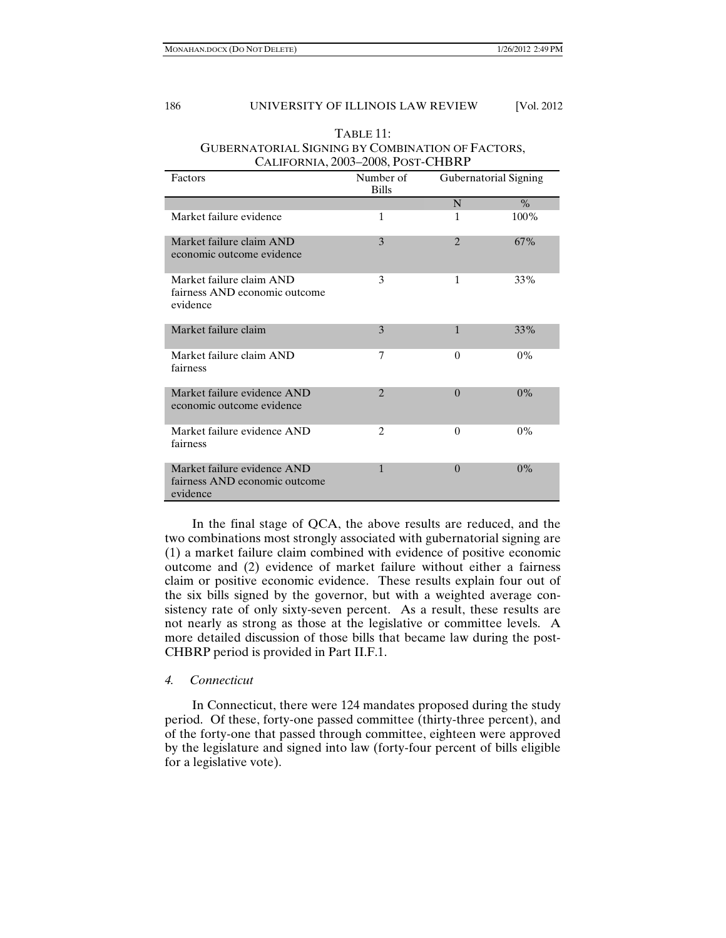|                                                                          | CALII ONNIA, 2009–2000, I OST-CHIDINI |                       |       |
|--------------------------------------------------------------------------|---------------------------------------|-----------------------|-------|
| Factors                                                                  | Number of<br><b>Bills</b>             | Gubernatorial Signing |       |
|                                                                          |                                       | N                     | $\%$  |
| Market failure evidence                                                  | 1                                     | 1                     | 100%  |
| Market failure claim AND<br>economic outcome evidence                    | 3                                     | $\overline{2}$        | 67%   |
| Market failure claim AND<br>fairness AND economic outcome<br>evidence    | 3                                     | 1                     | 33%   |
| Market failure claim                                                     | 3                                     | $\mathbf{1}$          | 33%   |
| Market failure claim AND<br>fairness                                     | 7                                     | $\theta$              | $0\%$ |
| Market failure evidence AND<br>economic outcome evidence                 | $\mathfrak{D}$                        | $\Omega$              | $0\%$ |
| Market failure evidence AND<br>fairness                                  | $\overline{c}$                        | $\theta$              | $0\%$ |
| Market failure evidence AND<br>fairness AND economic outcome<br>evidence | $\mathbf{1}$                          | $\theta$              | $0\%$ |

## TABLE 11: GUBERNATORIAL SIGNING BY COMBINATION OF FACTORS, CALIFORNIA, 2003–2008, POST-CHBRP

In the final stage of QCA, the above results are reduced, and the two combinations most strongly associated with gubernatorial signing are (1) a market failure claim combined with evidence of positive economic outcome and (2) evidence of market failure without either a fairness claim or positive economic evidence. These results explain four out of the six bills signed by the governor, but with a weighted average consistency rate of only sixty-seven percent. As a result, these results are not nearly as strong as those at the legislative or committee levels. A more detailed discussion of those bills that became law during the post-CHBRP period is provided in Part II.F.1.

# *4. Connecticut*

In Connecticut, there were 124 mandates proposed during the study period. Of these, forty-one passed committee (thirty-three percent), and of the forty-one that passed through committee, eighteen were approved by the legislature and signed into law (forty-four percent of bills eligible for a legislative vote).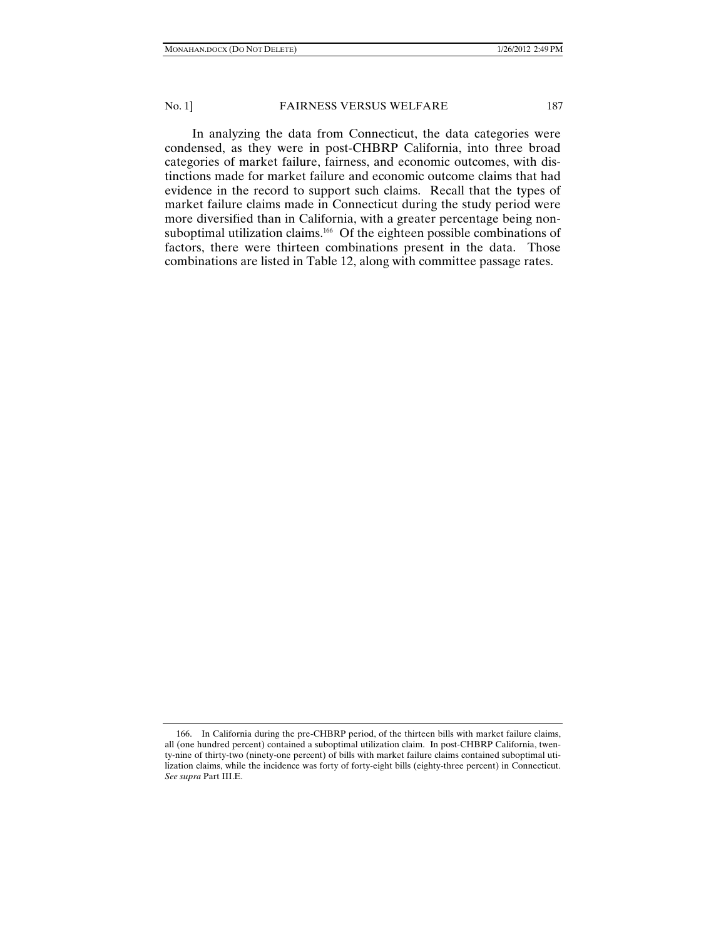In analyzing the data from Connecticut, the data categories were condensed, as they were in post-CHBRP California, into three broad categories of market failure, fairness, and economic outcomes, with distinctions made for market failure and economic outcome claims that had evidence in the record to support such claims. Recall that the types of market failure claims made in Connecticut during the study period were more diversified than in California, with a greater percentage being nonsuboptimal utilization claims.<sup>166</sup> Of the eighteen possible combinations of factors, there were thirteen combinations present in the data. Those combinations are listed in Table 12, along with committee passage rates.

 <sup>166.</sup> In California during the pre-CHBRP period, of the thirteen bills with market failure claims, all (one hundred percent) contained a suboptimal utilization claim. In post-CHBRP California, twenty-nine of thirty-two (ninety-one percent) of bills with market failure claims contained suboptimal utilization claims, while the incidence was forty of forty-eight bills (eighty-three percent) in Connecticut. *See supra* Part III.E.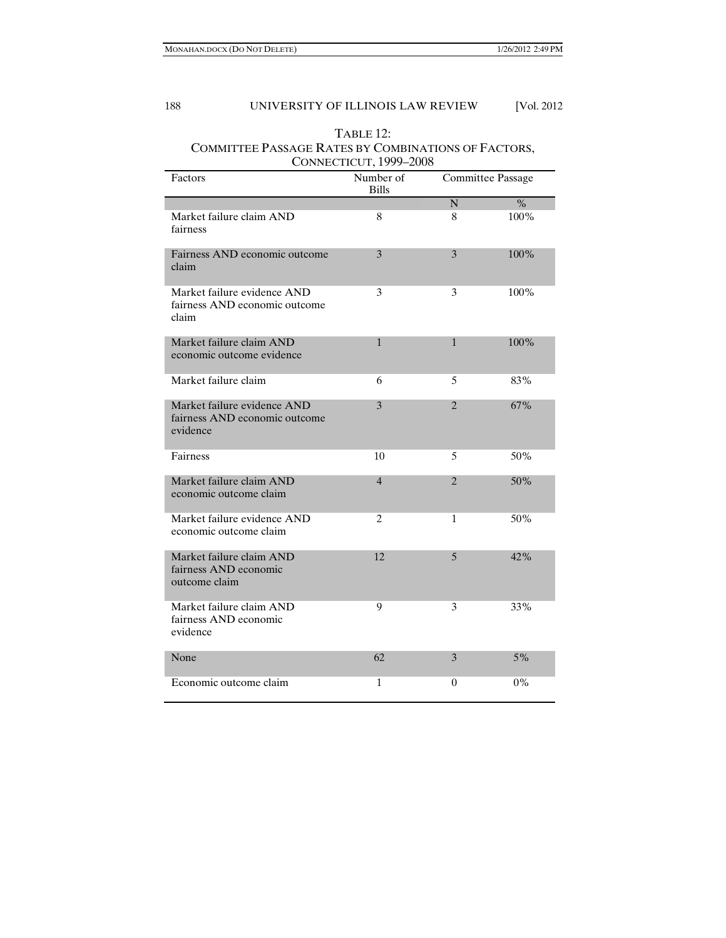| $T$ ABLE 12:                                        |
|-----------------------------------------------------|
| COMMITTEE PASSAGE RATES BY COMBINATIONS OF FACTORS, |
| CONNECTICUT, 1999-2008                              |

| Factors                                                                  | Number of<br><b>Bills</b> | <b>Committee Passage</b> |               |
|--------------------------------------------------------------------------|---------------------------|--------------------------|---------------|
|                                                                          |                           | $\mathbf N$              | $\frac{0}{0}$ |
| Market failure claim AND<br>fairness                                     | 8                         | 8                        | 100%          |
| Fairness AND economic outcome<br>claim                                   | 3                         | 3                        | 100%          |
| Market failure evidence AND<br>fairness AND economic outcome<br>claim    | 3                         | 3                        | 100%          |
| Market failure claim AND<br>economic outcome evidence                    | $\mathbf{1}$              | 1                        | 100%          |
| Market failure claim                                                     | 6                         | 5                        | 83%           |
| Market failure evidence AND<br>fairness AND economic outcome<br>evidence | 3                         | $\overline{2}$           | 67%           |
| Fairness                                                                 | 10                        | 5                        | 50%           |
| Market failure claim AND<br>economic outcome claim                       | $\overline{4}$            | 2                        | 50%           |
| Market failure evidence AND<br>economic outcome claim                    | $\overline{c}$            | 1                        | 50%           |
| Market failure claim AND<br>fairness AND economic<br>outcome claim       | 12                        | 5                        | 42%           |
| Market failure claim AND<br>fairness AND economic<br>evidence            | 9                         | 3                        | 33%           |
| None                                                                     | 62                        | 3                        | $5\%$         |
| Economic outcome claim                                                   | 1                         | 0                        | 0%            |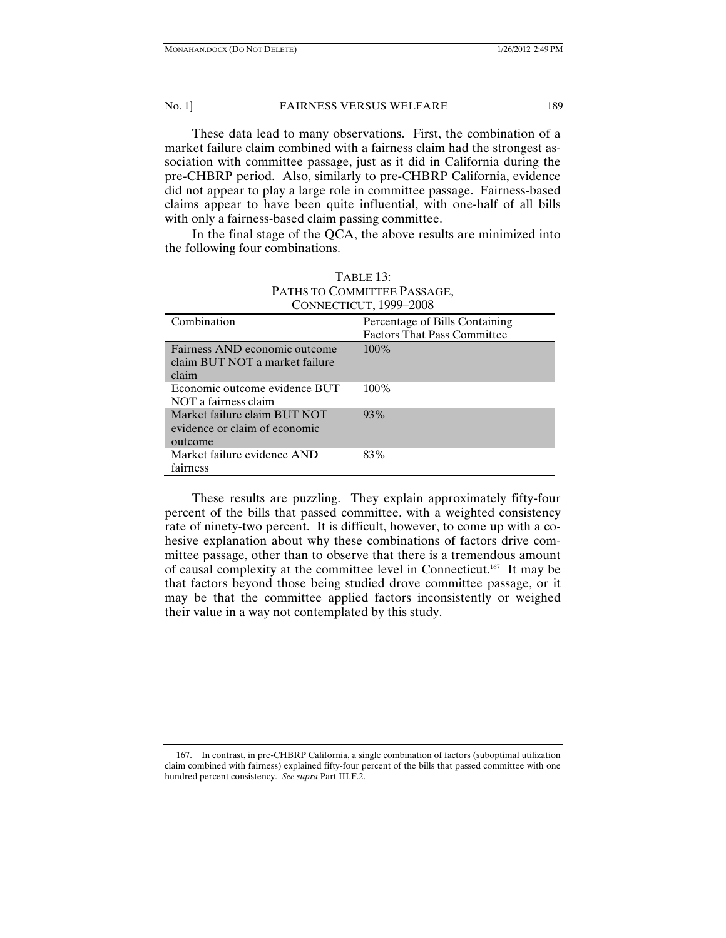These data lead to many observations. First, the combination of a market failure claim combined with a fairness claim had the strongest association with committee passage, just as it did in California during the pre-CHBRP period. Also, similarly to pre-CHBRP California, evidence did not appear to play a large role in committee passage. Fairness-based claims appear to have been quite influential, with one-half of all bills with only a fairness-based claim passing committee.

In the final stage of the QCA, the above results are minimized into the following four combinations.

| CONNECTICUT, 1999-2008                                                   |                                    |  |  |  |
|--------------------------------------------------------------------------|------------------------------------|--|--|--|
| Combination                                                              | Percentage of Bills Containing     |  |  |  |
|                                                                          | <b>Factors That Pass Committee</b> |  |  |  |
| Fairness AND economic outcome<br>claim BUT NOT a market failure<br>claim | $100\%$                            |  |  |  |
| Economic outcome evidence BUT<br>NOT a fairness claim                    | $100\%$                            |  |  |  |
| Market failure claim BUT NOT<br>evidence or claim of economic<br>outcome | 93%                                |  |  |  |
| Market failure evidence AND<br>fairness                                  | 83%                                |  |  |  |

| TABLE <sub>13</sub> :       |
|-----------------------------|
| PATHS TO COMMITTEE PASSAGE, |
| CONNECTICUT. 1999–2008      |

These results are puzzling. They explain approximately fifty-four percent of the bills that passed committee, with a weighted consistency rate of ninety-two percent. It is difficult, however, to come up with a cohesive explanation about why these combinations of factors drive committee passage, other than to observe that there is a tremendous amount of causal complexity at the committee level in Connecticut.167 It may be that factors beyond those being studied drove committee passage, or it may be that the committee applied factors inconsistently or weighed their value in a way not contemplated by this study.

 <sup>167.</sup> In contrast, in pre-CHBRP California, a single combination of factors (suboptimal utilization claim combined with fairness) explained fifty-four percent of the bills that passed committee with one hundred percent consistency. *See supra* Part III.F.2.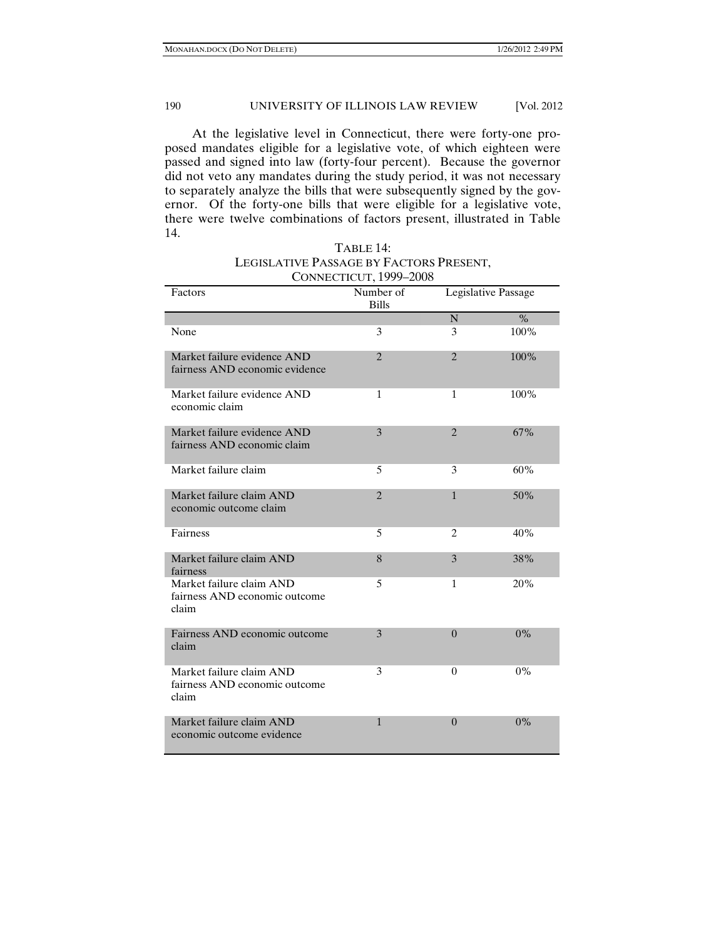At the legislative level in Connecticut, there were forty-one proposed mandates eligible for a legislative vote, of which eighteen were passed and signed into law (forty-four percent). Because the governor did not veto any mandates during the study period, it was not necessary to separately analyze the bills that were subsequently signed by the governor. Of the forty-one bills that were eligible for a legislative vote, there were twelve combinations of factors present, illustrated in Table 14.

| CONNECTICOT, 1777–2000                                             |                           |                     |       |  |
|--------------------------------------------------------------------|---------------------------|---------------------|-------|--|
| Factors                                                            | Number of<br><b>Bills</b> | Legislative Passage |       |  |
|                                                                    |                           | $\mathbf N$         | $\%$  |  |
| None                                                               | 3                         | 3                   | 100%  |  |
| Market failure evidence AND<br>fairness AND economic evidence      | $\mathfrak{D}$            | $\overline{2}$      | 100%  |  |
| Market failure evidence AND<br>economic claim                      | 1                         | 1                   | 100%  |  |
| Market failure evidence AND<br>fairness AND economic claim         | 3                         | $\overline{2}$      | 67%   |  |
| Market failure claim                                               | 5                         | 3                   | 60%   |  |
| Market failure claim AND<br>economic outcome claim                 | $\overline{2}$            | $\mathbf{1}$        | 50%   |  |
| Fairness                                                           | 5                         | $\overline{2}$      | 40%   |  |
| Market failure claim AND<br>fairness                               | 8                         | 3                   | 38%   |  |
| Market failure claim AND<br>fairness AND economic outcome<br>claim | 5                         | $\mathbf{1}$        | 20%   |  |
| Fairness AND economic outcome<br>claim                             | 3                         | $\Omega$            | $0\%$ |  |
| Market failure claim AND<br>fairness AND economic outcome<br>claim | 3                         | 0                   | $0\%$ |  |
| Market failure claim AND<br>economic outcome evidence              | $\mathbf{1}$              | $\Omega$            | $0\%$ |  |

| TABLE 14:                               |
|-----------------------------------------|
| LEGISLATIVE PASSAGE BY FACTORS PRESENT, |
| CONNECTICUT, 1999-2008                  |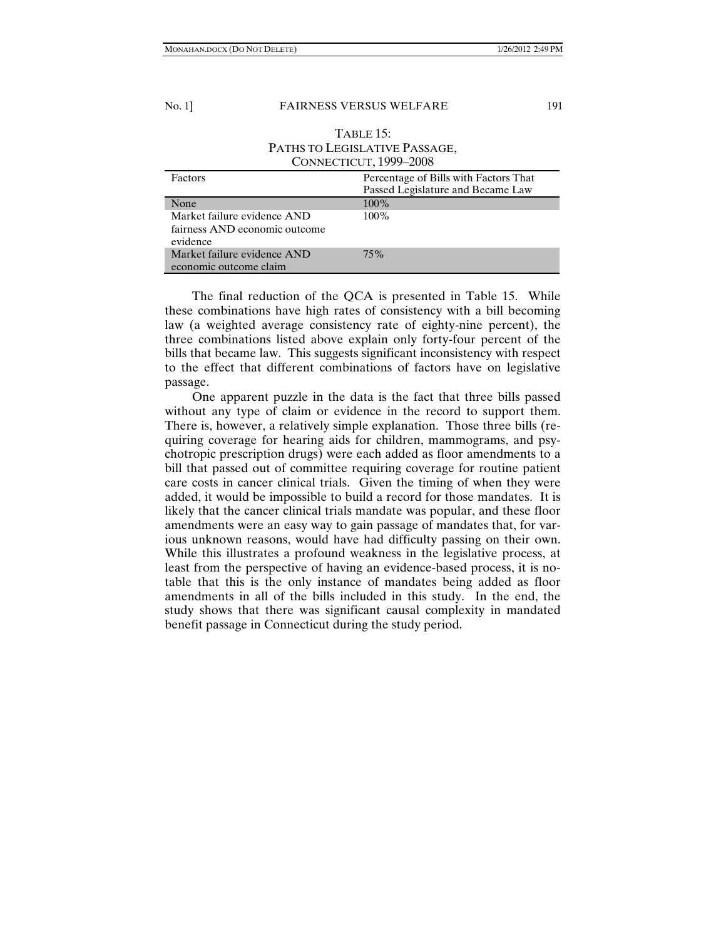## TABLE 15: PATHS TO LEGISLATIVE PASSAGE, CONNECTICUT, 1999–2008

| Factors                                                                  | Percentage of Bills with Factors That<br>Passed Legislature and Became Law |
|--------------------------------------------------------------------------|----------------------------------------------------------------------------|
| None                                                                     | $100\%$                                                                    |
| Market failure evidence AND<br>fairness AND economic outcome<br>evidence | $100\%$                                                                    |
| Market failure evidence AND<br>economic outcome claim                    | 75%                                                                        |

The final reduction of the QCA is presented in Table 15. While these combinations have high rates of consistency with a bill becoming law (a weighted average consistency rate of eighty-nine percent), the three combinations listed above explain only forty-four percent of the bills that became law. This suggests significant inconsistency with respect to the effect that different combinations of factors have on legislative passage.

One apparent puzzle in the data is the fact that three bills passed without any type of claim or evidence in the record to support them. There is, however, a relatively simple explanation. Those three bills (requiring coverage for hearing aids for children, mammograms, and psychotropic prescription drugs) were each added as floor amendments to a bill that passed out of committee requiring coverage for routine patient care costs in cancer clinical trials. Given the timing of when they were added, it would be impossible to build a record for those mandates. It is likely that the cancer clinical trials mandate was popular, and these floor amendments were an easy way to gain passage of mandates that, for various unknown reasons, would have had difficulty passing on their own. While this illustrates a profound weakness in the legislative process, at least from the perspective of having an evidence-based process, it is notable that this is the only instance of mandates being added as floor amendments in all of the bills included in this study. In the end, the study shows that there was significant causal complexity in mandated benefit passage in Connecticut during the study period.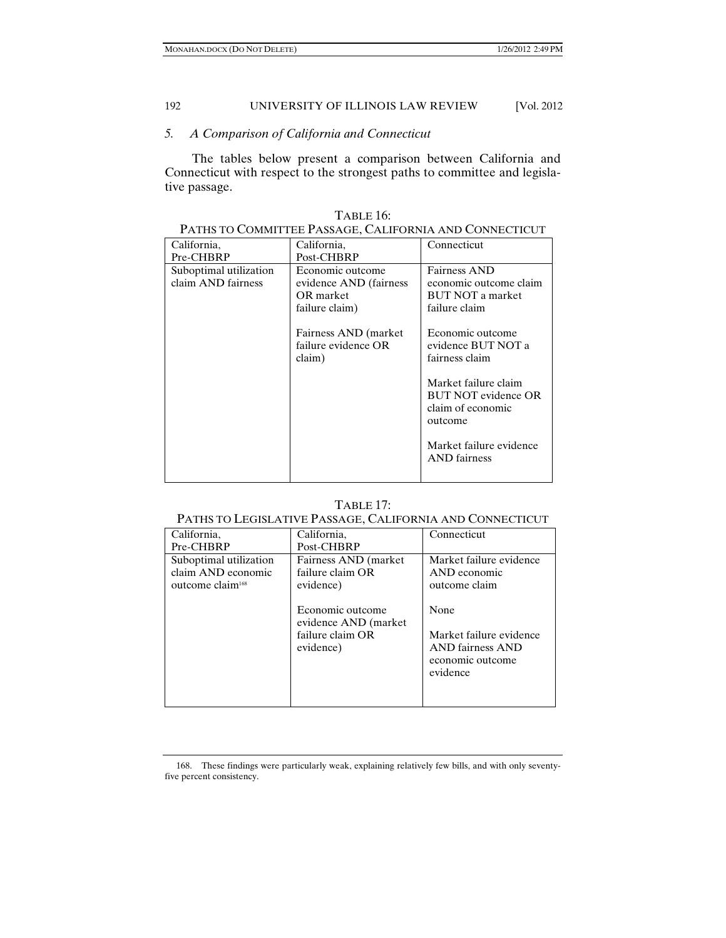# *5. A Comparison of California and Connecticut*

The tables below present a comparison between California and Connecticut with respect to the strongest paths to committee and legislative passage.

| PATHS TO COMMITTEE PASSAGE, CALIFORNIA AND CONNECTICUT |                                                                           |                                                                                    |  |
|--------------------------------------------------------|---------------------------------------------------------------------------|------------------------------------------------------------------------------------|--|
| California,                                            | California,                                                               | Connecticut                                                                        |  |
| Pre-CHBRP                                              | Post-CHBRP                                                                |                                                                                    |  |
| Suboptimal utilization<br>claim AND fairness           | Economic outcome<br>evidence AND (fairness<br>OR market<br>failure claim) | Fairness AND<br>economic outcome claim<br><b>BUT NOT a market</b><br>failure claim |  |
|                                                        | Fairness AND (market)<br>failure evidence OR<br>claim)                    | Economic outcome<br>evidence BUT NOT a<br>fairness claim                           |  |
|                                                        |                                                                           | Market failure claim<br><b>BUT NOT evidence OR</b><br>claim of economic<br>outcome |  |
|                                                        |                                                                           | Market failure evidence<br><b>AND</b> fairness                                     |  |

TABLE 16:

## PATHS TO COMMITTEE PASSAGE, CALIFORNIA AND CONNECTICUT

| ABLE. |  |
|-------|--|
|-------|--|

# PATHS TO LEGISLATIVE PASSAGE, CALIFORNIA AND CONNECTICUT

| California,                                                                  | California.                                                                                                                          | Connecticut                                                                                                                                     |
|------------------------------------------------------------------------------|--------------------------------------------------------------------------------------------------------------------------------------|-------------------------------------------------------------------------------------------------------------------------------------------------|
| Pre-CHBRP                                                                    | Post-CHBRP                                                                                                                           |                                                                                                                                                 |
| Suboptimal utilization<br>claim AND economic<br>outcome claim <sup>168</sup> | Fairness AND (market)<br>failure claim OR<br>evidence)<br>Economic outcome<br>evidence AND (market)<br>failure claim OR<br>evidence) | Market failure evidence<br>AND economic<br>outcome claim<br>None<br>Market failure evidence<br>AND fairness AND<br>economic outcome<br>evidence |

 168. These findings were particularly weak, explaining relatively few bills, and with only seventyfive percent consistency.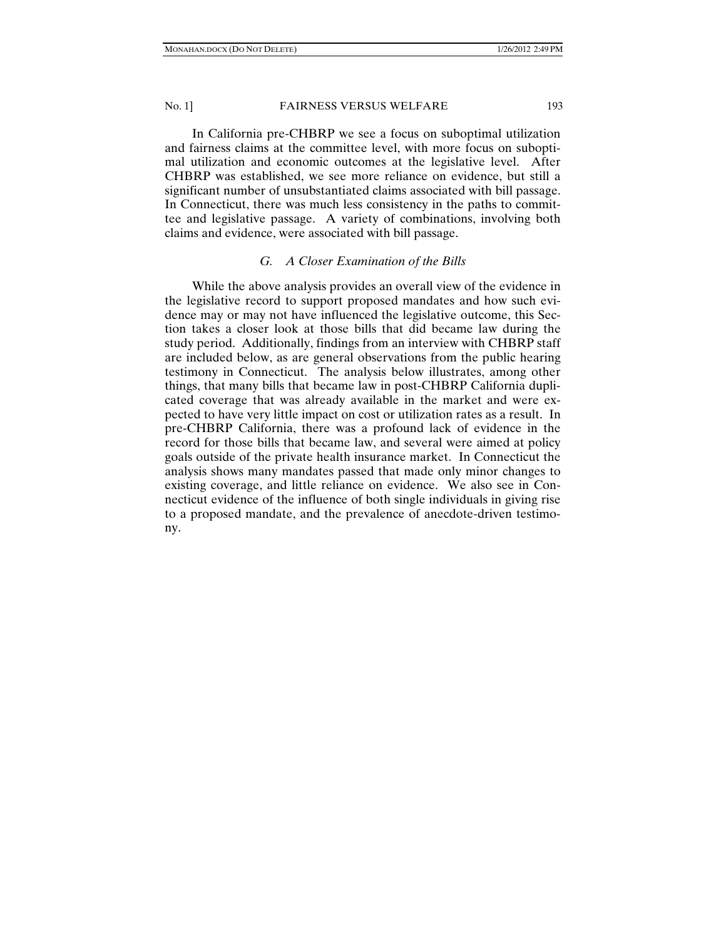In California pre-CHBRP we see a focus on suboptimal utilization and fairness claims at the committee level, with more focus on suboptimal utilization and economic outcomes at the legislative level. After CHBRP was established, we see more reliance on evidence, but still a significant number of unsubstantiated claims associated with bill passage. In Connecticut, there was much less consistency in the paths to committee and legislative passage. A variety of combinations, involving both claims and evidence, were associated with bill passage.

## *G. A Closer Examination of the Bills*

While the above analysis provides an overall view of the evidence in the legislative record to support proposed mandates and how such evidence may or may not have influenced the legislative outcome, this Section takes a closer look at those bills that did became law during the study period. Additionally, findings from an interview with CHBRP staff are included below, as are general observations from the public hearing testimony in Connecticut. The analysis below illustrates, among other things, that many bills that became law in post-CHBRP California duplicated coverage that was already available in the market and were expected to have very little impact on cost or utilization rates as a result. In pre-CHBRP California, there was a profound lack of evidence in the record for those bills that became law, and several were aimed at policy goals outside of the private health insurance market. In Connecticut the analysis shows many mandates passed that made only minor changes to existing coverage, and little reliance on evidence. We also see in Connecticut evidence of the influence of both single individuals in giving rise to a proposed mandate, and the prevalence of anecdote-driven testimony.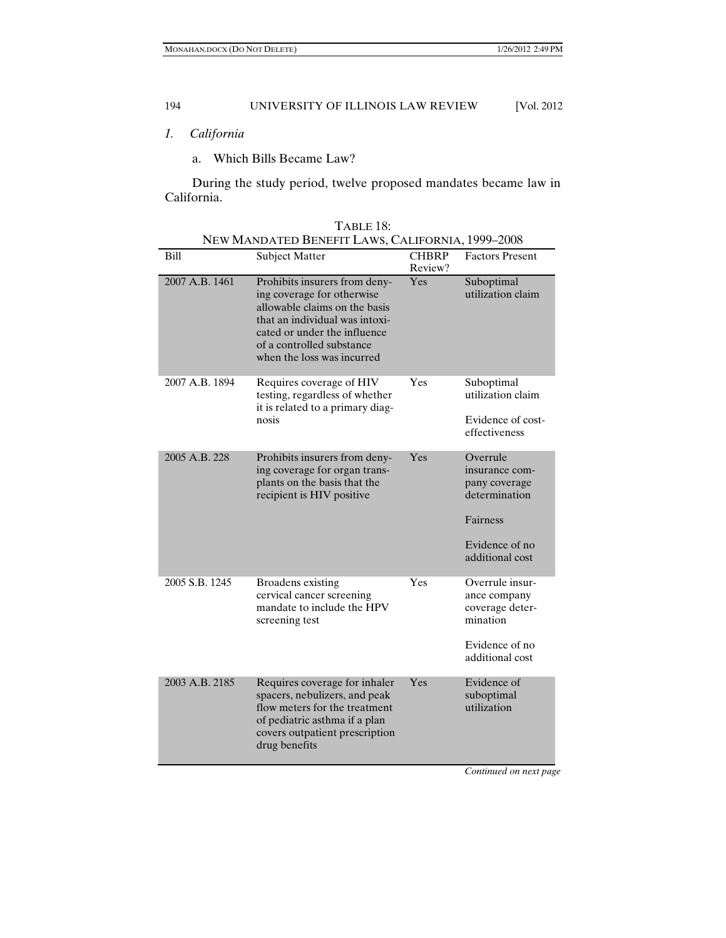- *1. California* 
	- a. Which Bills Became Law?

During the study period, twelve proposed mandates became law in California.

| NEW MANDATED BENEFIT LAWS, CALIFORNIA, 1999-2008 |                                                                                                                                                                                                                           |                         |                                                                                                               |  |
|--------------------------------------------------|---------------------------------------------------------------------------------------------------------------------------------------------------------------------------------------------------------------------------|-------------------------|---------------------------------------------------------------------------------------------------------------|--|
| Bill                                             | <b>Subject Matter</b>                                                                                                                                                                                                     | <b>CHBRP</b><br>Review? | <b>Factors Present</b>                                                                                        |  |
| 2007 A.B. 1461                                   | Prohibits insurers from deny-<br>ing coverage for otherwise<br>allowable claims on the basis<br>that an individual was intoxi-<br>cated or under the influence<br>of a controlled substance<br>when the loss was incurred | Yes                     | Suboptimal<br>utilization claim                                                                               |  |
| 2007 A.B. 1894                                   | Requires coverage of HIV<br>testing, regardless of whether<br>it is related to a primary diag-<br>nosis                                                                                                                   | Yes                     | Suboptimal<br>utilization claim<br>Evidence of cost-<br>effectiveness                                         |  |
| 2005 A.B. 228                                    | Prohibits insurers from deny-<br>ing coverage for organ trans-<br>plants on the basis that the<br>recipient is HIV positive                                                                                               | Yes                     | Overrule<br>insurance com-<br>pany coverage<br>determination<br>Fairness<br>Evidence of no<br>additional cost |  |
| 2005 S.B. 1245                                   | Broadens existing<br>cervical cancer screening<br>mandate to include the HPV<br>screening test                                                                                                                            | Yes                     | Overrule insur-<br>ance company<br>coverage deter-<br>mination<br>Evidence of no<br>additional cost           |  |
| 2003 A.B. 2185                                   | Requires coverage for inhaler<br>spacers, nebulizers, and peak<br>flow meters for the treatment<br>of pediatric asthma if a plan<br>covers outpatient prescription<br>drug benefits                                       | Yes                     | Evidence of<br>suboptimal<br>utilization                                                                      |  |

*Continued on next page*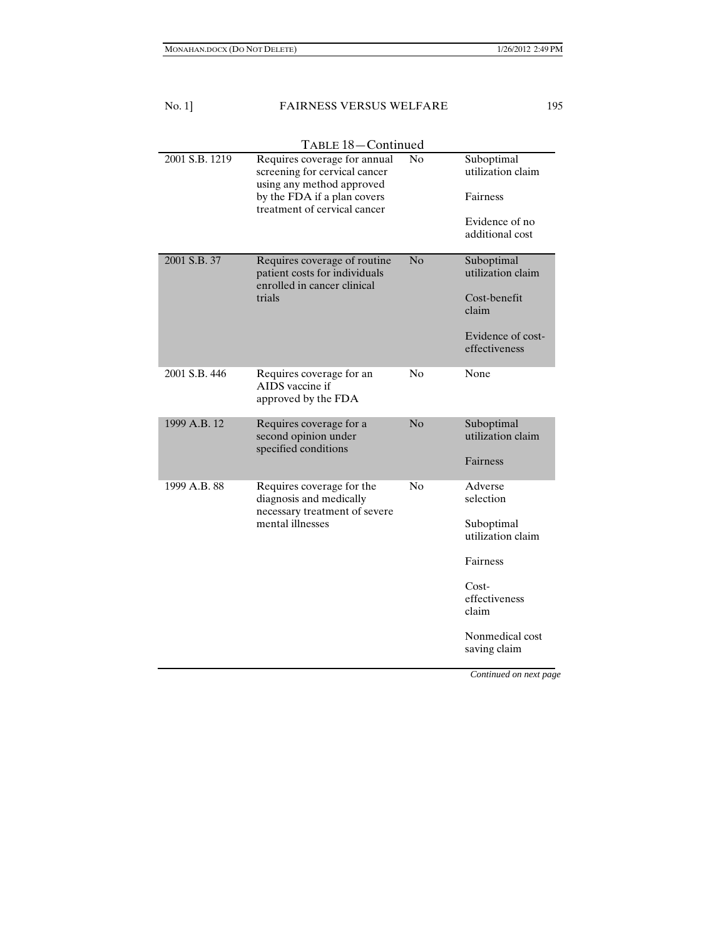| $No. 1$ ]      | <b>FAIRNESS VERSUS WELFARE</b>                                                                                                                            |    |                                                                                                                             |
|----------------|-----------------------------------------------------------------------------------------------------------------------------------------------------------|----|-----------------------------------------------------------------------------------------------------------------------------|
|                | TABLE 18-Continued                                                                                                                                        |    |                                                                                                                             |
| 2001 S.B. 1219 | Requires coverage for annual<br>screening for cervical cancer<br>using any method approved<br>by the FDA if a plan covers<br>treatment of cervical cancer | No | Suboptimal<br>utilization claim<br>Fairness<br>Evidence of no<br>additional cost                                            |
| 2001 S.B. 37   | Requires coverage of routine<br>patient costs for individuals<br>enrolled in cancer clinical<br>trials                                                    | No | Suboptimal<br>utilization claim<br>Cost-benefit<br>claim<br>Evidence of cost-<br>effectiveness                              |
| 2001 S.B. 446  | Requires coverage for an<br>AIDS vaccine if<br>approved by the FDA                                                                                        | No | None                                                                                                                        |
| 1999 A.B. 12   | Requires coverage for a<br>second opinion under<br>specified conditions                                                                                   | No | Suboptimal<br>utilization claim<br>Fairness                                                                                 |
| 1999 A.B. 88   | Requires coverage for the<br>diagnosis and medically<br>necessary treatment of severe<br>mental illnesses                                                 | No | Adverse<br>selection<br>Suboptimal<br>utilization claim<br>Fairness<br>$Cost-$<br>effectiveness<br>claim<br>Nonmedical cost |

*Continued on next page* 

saving claim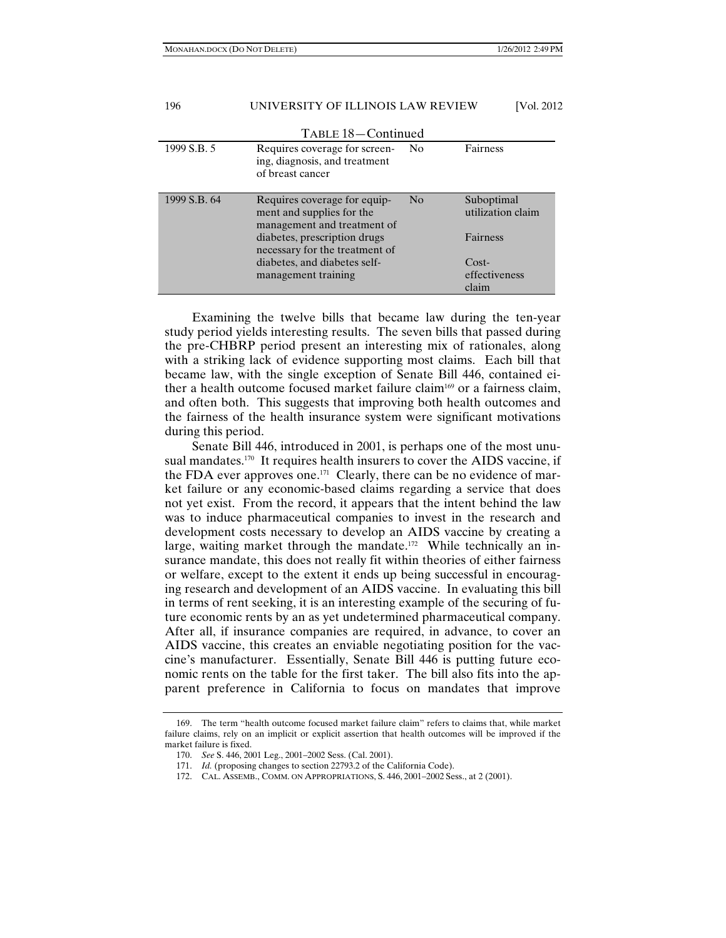#### 196 UNIVERSITY OF ILLINOIS LAW REVIEW [Vol. 2012 TABLE 18—Continued 1999 S.B. 5 Requires coverage for screening, diagnosis, and treatment of breast cancer No Fairness 1999 S.B. 64 Requires coverage for equipment and supplies for the management and treatment of diabetes, prescription drugs necessary for the treatment of diabetes, and diabetes selfmanagement training No Suboptimal utilization claim Fairness Costeffectiveness claim

Examining the twelve bills that became law during the ten-year study period yields interesting results. The seven bills that passed during the pre-CHBRP period present an interesting mix of rationales, along with a striking lack of evidence supporting most claims. Each bill that became law, with the single exception of Senate Bill 446, contained either a health outcome focused market failure claim<sup>169</sup> or a fairness claim, and often both. This suggests that improving both health outcomes and the fairness of the health insurance system were significant motivations during this period.

Senate Bill 446, introduced in 2001, is perhaps one of the most unusual mandates.<sup>170</sup> It requires health insurers to cover the AIDS vaccine, if the FDA ever approves one.<sup>171</sup> Clearly, there can be no evidence of market failure or any economic-based claims regarding a service that does not yet exist. From the record, it appears that the intent behind the law was to induce pharmaceutical companies to invest in the research and development costs necessary to develop an AIDS vaccine by creating a large, waiting market through the mandate.<sup>172</sup> While technically an insurance mandate, this does not really fit within theories of either fairness or welfare, except to the extent it ends up being successful in encouraging research and development of an AIDS vaccine. In evaluating this bill in terms of rent seeking, it is an interesting example of the securing of future economic rents by an as yet undetermined pharmaceutical company. After all, if insurance companies are required, in advance, to cover an AIDS vaccine, this creates an enviable negotiating position for the vaccine's manufacturer. Essentially, Senate Bill 446 is putting future economic rents on the table for the first taker. The bill also fits into the apparent preference in California to focus on mandates that improve

 <sup>169.</sup> The term "health outcome focused market failure claim" refers to claims that, while market failure claims, rely on an implicit or explicit assertion that health outcomes will be improved if the market failure is fixed.

 <sup>170.</sup> *See* S. 446, 2001 Leg., 2001–2002 Sess. (Cal. 2001).

 <sup>171.</sup> *Id.* (proposing changes to section 22793.2 of the California Code).

 <sup>172.</sup> CAL. ASSEMB., COMM. ON APPROPRIATIONS, S. 446, 2001–2002 Sess., at 2 (2001).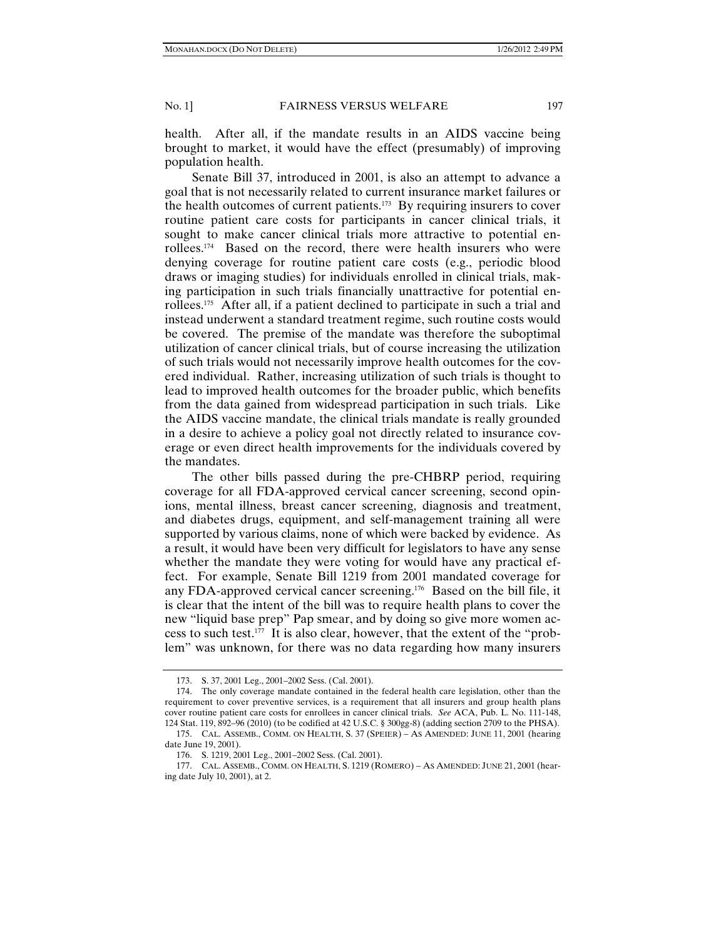health. After all, if the mandate results in an AIDS vaccine being brought to market, it would have the effect (presumably) of improving population health.

Senate Bill 37, introduced in 2001, is also an attempt to advance a goal that is not necessarily related to current insurance market failures or the health outcomes of current patients.<sup>173</sup> By requiring insurers to cover routine patient care costs for participants in cancer clinical trials, it sought to make cancer clinical trials more attractive to potential enrollees.174 Based on the record, there were health insurers who were denying coverage for routine patient care costs (e.g., periodic blood draws or imaging studies) for individuals enrolled in clinical trials, making participation in such trials financially unattractive for potential enrollees.175 After all, if a patient declined to participate in such a trial and instead underwent a standard treatment regime, such routine costs would be covered. The premise of the mandate was therefore the suboptimal utilization of cancer clinical trials, but of course increasing the utilization of such trials would not necessarily improve health outcomes for the covered individual. Rather, increasing utilization of such trials is thought to lead to improved health outcomes for the broader public, which benefits from the data gained from widespread participation in such trials. Like the AIDS vaccine mandate, the clinical trials mandate is really grounded in a desire to achieve a policy goal not directly related to insurance coverage or even direct health improvements for the individuals covered by the mandates.

The other bills passed during the pre-CHBRP period, requiring coverage for all FDA-approved cervical cancer screening, second opinions, mental illness, breast cancer screening, diagnosis and treatment, and diabetes drugs, equipment, and self-management training all were supported by various claims, none of which were backed by evidence. As a result, it would have been very difficult for legislators to have any sense whether the mandate they were voting for would have any practical effect. For example, Senate Bill 1219 from 2001 mandated coverage for any FDA-approved cervical cancer screening.176 Based on the bill file, it is clear that the intent of the bill was to require health plans to cover the new "liquid base prep" Pap smear, and by doing so give more women access to such test.<sup>177</sup> It is also clear, however, that the extent of the "problem" was unknown, for there was no data regarding how many insurers

 <sup>173.</sup> S. 37, 2001 Leg., 2001–2002 Sess. (Cal. 2001).

 <sup>174.</sup> The only coverage mandate contained in the federal health care legislation, other than the requirement to cover preventive services, is a requirement that all insurers and group health plans cover routine patient care costs for enrollees in cancer clinical trials. *See* ACA, Pub. L. No. 111-148, 124 Stat. 119, 892–96 (2010) (to be codified at 42 U.S.C. § 300gg-8) (adding section 2709 to the PHSA).

 <sup>175.</sup> CAL. ASSEMB., COMM. ON HEALTH, S. 37 (SPEIER) – AS AMENDED: JUNE 11, 2001 (hearing date June 19, 2001).

 <sup>176.</sup> S. 1219, 2001 Leg., 2001–2002 Sess. (Cal. 2001).

 <sup>177.</sup> CAL. ASSEMB., COMM. ON HEALTH, S. 1219 (ROMERO) – AS AMENDED: JUNE 21, 2001 (hearing date July 10, 2001), at 2.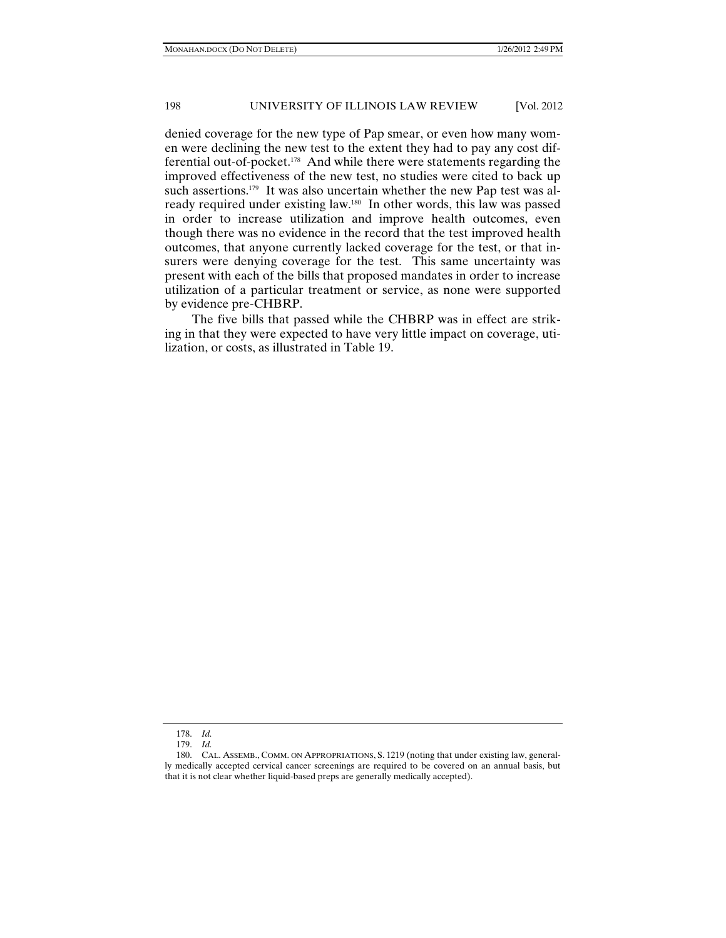denied coverage for the new type of Pap smear, or even how many women were declining the new test to the extent they had to pay any cost differential out-of-pocket.178 And while there were statements regarding the improved effectiveness of the new test, no studies were cited to back up such assertions.<sup>179</sup> It was also uncertain whether the new Pap test was already required under existing law.180 In other words, this law was passed in order to increase utilization and improve health outcomes, even though there was no evidence in the record that the test improved health outcomes, that anyone currently lacked coverage for the test, or that insurers were denying coverage for the test. This same uncertainty was present with each of the bills that proposed mandates in order to increase utilization of a particular treatment or service, as none were supported by evidence pre-CHBRP.

The five bills that passed while the CHBRP was in effect are striking in that they were expected to have very little impact on coverage, utilization, or costs, as illustrated in Table 19.

 <sup>178.</sup> *Id.*

 <sup>179.</sup> *Id.*

 <sup>180.</sup> CAL. ASSEMB., COMM. ON APPROPRIATIONS, S. 1219 (noting that under existing law, generally medically accepted cervical cancer screenings are required to be covered on an annual basis, but that it is not clear whether liquid-based preps are generally medically accepted).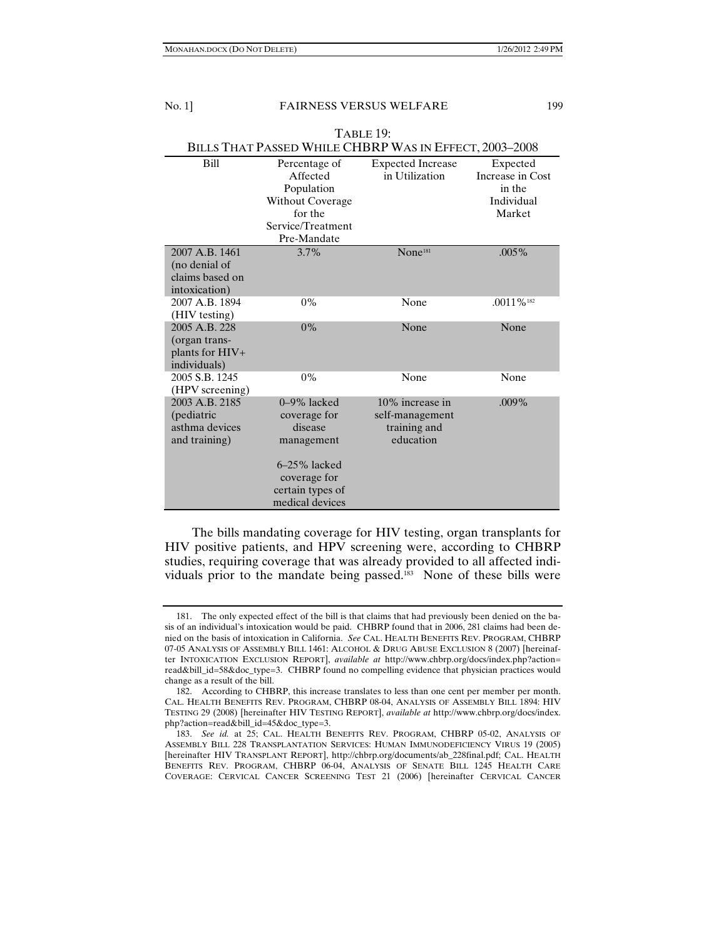| Table 19:                                                           |                                                                       |                                                                 |                                                      |  |
|---------------------------------------------------------------------|-----------------------------------------------------------------------|-----------------------------------------------------------------|------------------------------------------------------|--|
| BILLS THAT PASSED WHILE CHBRP WAS IN EFFECT, 2003-2008              |                                                                       |                                                                 |                                                      |  |
| <b>Bill</b>                                                         | Percentage of<br>Affected<br>Population<br><b>Without Coverage</b>    | <b>Expected Increase</b><br>in Utilization                      | Expected<br>Increase in Cost<br>in the<br>Individual |  |
|                                                                     | for the<br>Service/Treatment                                          |                                                                 | Market                                               |  |
|                                                                     | Pre-Mandate                                                           |                                                                 |                                                      |  |
| 2007 A.B. 1461<br>(no denial of<br>claims based on<br>intoxication) | 3.7%                                                                  | None <sup>181</sup>                                             | $.005\%$                                             |  |
| 2007 A.B. 1894<br>(HIV testing)                                     | $0\%$                                                                 | None                                                            | $.0011\%$ <sup>182</sup>                             |  |
| 2005 A.B. 228<br>(organ trans-<br>plants for HIV+<br>individuals)   | $0\%$                                                                 | None                                                            | None                                                 |  |
| 2005 S.B. 1245<br>(HPV screening)                                   | $0\%$                                                                 | None                                                            | None                                                 |  |
| 2003 A.B. 2185<br>(pediatric<br>asthma devices<br>and training)     | $0-9\%$ lacked<br>coverage for<br>disease<br>management               | 10% increase in<br>self-management<br>training and<br>education | $.009\%$                                             |  |
|                                                                     | $6-25%$ lacked<br>coverage for<br>certain types of<br>medical devices |                                                                 |                                                      |  |

The bills mandating coverage for HIV testing, organ transplants for HIV positive patients, and HPV screening were, according to CHBRP studies, requiring coverage that was already provided to all affected individuals prior to the mandate being passed.<sup>183</sup> None of these bills were

 <sup>181.</sup> The only expected effect of the bill is that claims that had previously been denied on the basis of an individual's intoxication would be paid. CHBRP found that in 2006, 281 claims had been denied on the basis of intoxication in California. *See* CAL. HEALTH BENEFITS REV. PROGRAM, CHBRP 07-05 ANALYSIS OF ASSEMBLY BILL 1461: ALCOHOL & DRUG ABUSE EXCLUSION 8 (2007) [hereinafter INTOXICATION EXCLUSION REPORT], *available at* http://www.chbrp.org/docs/index.php?action= read&bill\_id=58&doc\_type=3. CHBRP found no compelling evidence that physician practices would change as a result of the bill.

 <sup>182.</sup> According to CHBRP, this increase translates to less than one cent per member per month. CAL. HEALTH BENEFITS REV. PROGRAM, CHBRP 08-04, ANALYSIS OF ASSEMBLY BILL 1894: HIV TESTING 29 (2008) [hereinafter HIV TESTING REPORT], *available at* http://www.chbrp.org/docs/index. php?action=read&bill\_id=45&doc\_type=3.

 <sup>183.</sup> *See id.* at 25; CAL. HEALTH BENEFITS REV. PROGRAM, CHBRP 05-02, ANALYSIS OF ASSEMBLY BILL 228 TRANSPLANTATION SERVICES: HUMAN IMMUNODEFICIENCY VIRUS 19 (2005) [hereinafter HIV TRANSPLANT REPORT], http://chbrp.org/documents/ab\_228final.pdf; CAL. HEALTH BENEFITS REV. PROGRAM, CHBRP 06-04, ANALYSIS OF SENATE BILL 1245 HEALTH CARE COVERAGE: CERVICAL CANCER SCREENING TEST 21 (2006) [hereinafter CERVICAL CANCER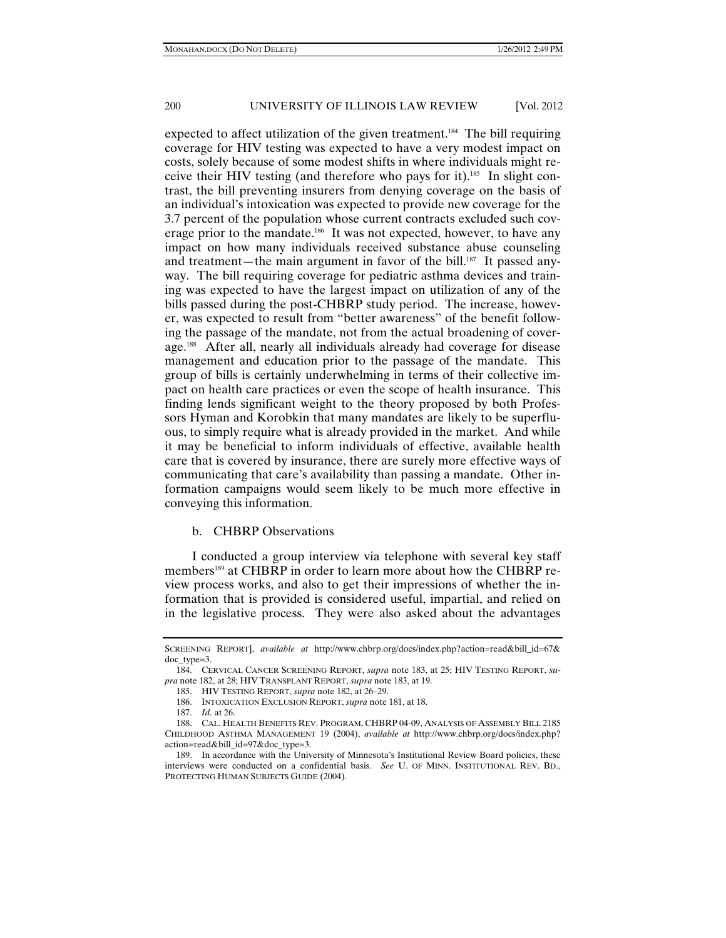expected to affect utilization of the given treatment.<sup>184</sup> The bill requiring coverage for HIV testing was expected to have a very modest impact on costs, solely because of some modest shifts in where individuals might receive their HIV testing (and therefore who pays for it).<sup>185</sup> In slight contrast, the bill preventing insurers from denying coverage on the basis of an individual's intoxication was expected to provide new coverage for the 3.7 percent of the population whose current contracts excluded such coverage prior to the mandate.<sup>186</sup> It was not expected, however, to have any impact on how many individuals received substance abuse counseling and treatment—the main argument in favor of the bill.<sup>187</sup> It passed anyway. The bill requiring coverage for pediatric asthma devices and training was expected to have the largest impact on utilization of any of the bills passed during the post-CHBRP study period. The increase, however, was expected to result from "better awareness" of the benefit following the passage of the mandate, not from the actual broadening of coverage.188 After all, nearly all individuals already had coverage for disease management and education prior to the passage of the mandate. This group of bills is certainly underwhelming in terms of their collective impact on health care practices or even the scope of health insurance. This finding lends significant weight to the theory proposed by both Professors Hyman and Korobkin that many mandates are likely to be superfluous, to simply require what is already provided in the market. And while it may be beneficial to inform individuals of effective, available health care that is covered by insurance, there are surely more effective ways of communicating that care's availability than passing a mandate. Other information campaigns would seem likely to be much more effective in conveying this information.

#### b. CHBRP Observations

I conducted a group interview via telephone with several key staff members<sup>189</sup> at CHBRP in order to learn more about how the CHBRP review process works, and also to get their impressions of whether the information that is provided is considered useful, impartial, and relied on in the legislative process. They were also asked about the advantages

SCREENING REPORT], *available at* http://www.chbrp.org/docs/index.php?action=read&bill\_id=67& doc\_type=3.

 <sup>184.</sup> CERVICAL CANCER SCREENING REPORT, *supra* note 183, at 25; HIV TESTING REPORT, *supra* note 182, at 28; HIV TRANSPLANT REPORT, *supra* note 183, at 19.

 <sup>185.</sup> HIV TESTING REPORT, *supra* note 182, at 26*–*29.

 <sup>186.</sup> INTOXICATION EXCLUSION REPORT, *supra* note 181, at 18.

 <sup>187.</sup> *Id.* at 26.

 <sup>188.</sup> CAL. HEALTH BENEFITS REV. PROGRAM, CHBRP 04-09, ANALYSIS OF ASSEMBLY BILL 2185 CHILDHOOD ASTHMA MANAGEMENT 19 (2004), *available at* http://www.chbrp.org/docs/index.php? action=read&bill\_id=97&doc\_type=3.

 <sup>189.</sup> In accordance with the University of Minnesota's Institutional Review Board policies, these interviews were conducted on a confidential basis. *See* U. OF MINN. INSTITUTIONAL REV. BD., PROTECTING HUMAN SUBJECTS GUIDE (2004).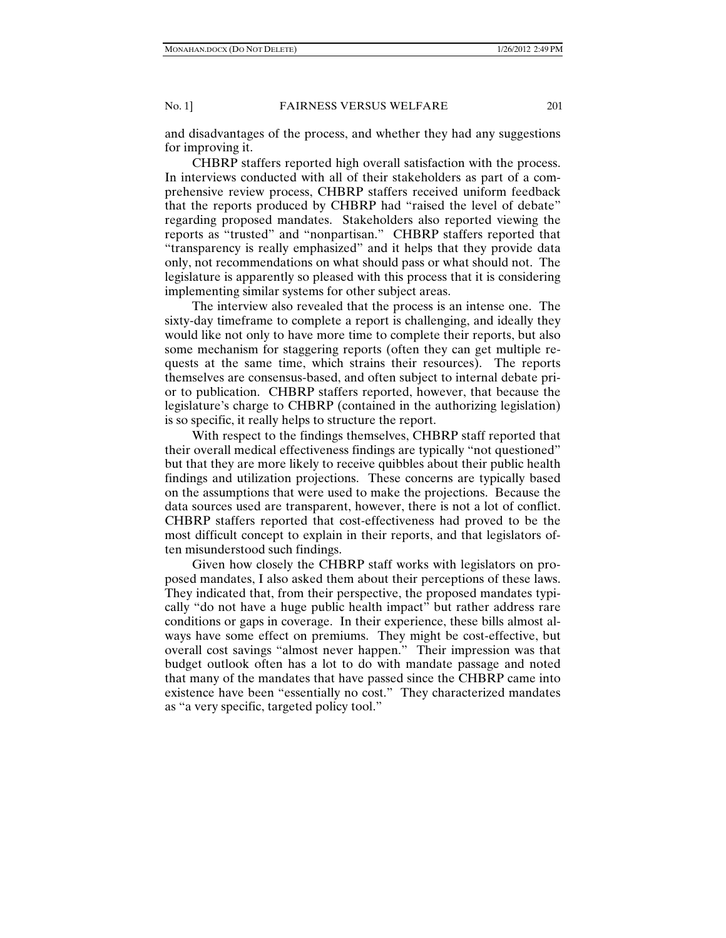and disadvantages of the process, and whether they had any suggestions for improving it.

CHBRP staffers reported high overall satisfaction with the process. In interviews conducted with all of their stakeholders as part of a comprehensive review process, CHBRP staffers received uniform feedback that the reports produced by CHBRP had "raised the level of debate" regarding proposed mandates. Stakeholders also reported viewing the reports as "trusted" and "nonpartisan." CHBRP staffers reported that "transparency is really emphasized" and it helps that they provide data only, not recommendations on what should pass or what should not. The legislature is apparently so pleased with this process that it is considering implementing similar systems for other subject areas.

The interview also revealed that the process is an intense one. The sixty-day timeframe to complete a report is challenging, and ideally they would like not only to have more time to complete their reports, but also some mechanism for staggering reports (often they can get multiple requests at the same time, which strains their resources). The reports themselves are consensus-based, and often subject to internal debate prior to publication. CHBRP staffers reported, however, that because the legislature's charge to CHBRP (contained in the authorizing legislation) is so specific, it really helps to structure the report.

With respect to the findings themselves, CHBRP staff reported that their overall medical effectiveness findings are typically "not questioned" but that they are more likely to receive quibbles about their public health findings and utilization projections. These concerns are typically based on the assumptions that were used to make the projections. Because the data sources used are transparent, however, there is not a lot of conflict. CHBRP staffers reported that cost-effectiveness had proved to be the most difficult concept to explain in their reports, and that legislators often misunderstood such findings.

Given how closely the CHBRP staff works with legislators on proposed mandates, I also asked them about their perceptions of these laws. They indicated that, from their perspective, the proposed mandates typically "do not have a huge public health impact" but rather address rare conditions or gaps in coverage. In their experience, these bills almost always have some effect on premiums. They might be cost-effective, but overall cost savings "almost never happen." Their impression was that budget outlook often has a lot to do with mandate passage and noted that many of the mandates that have passed since the CHBRP came into existence have been "essentially no cost." They characterized mandates as "a very specific, targeted policy tool."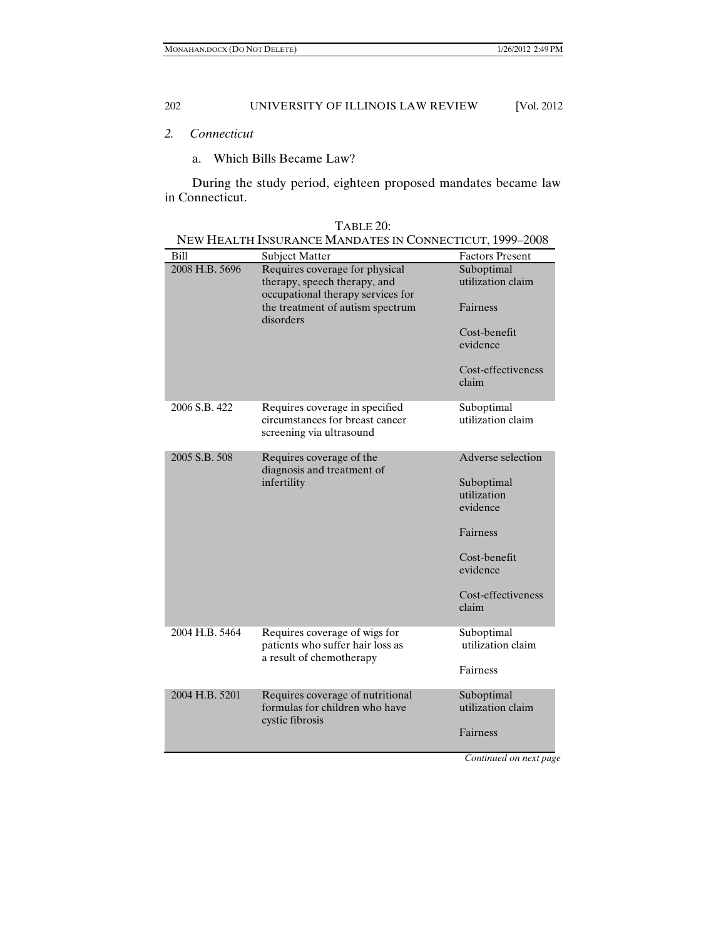# *2. Connecticut*

a. Which Bills Became Law?

During the study period, eighteen proposed mandates became law in Connecticut.

| Bill           | <b>Subject Matter</b>                                                                               | <b>Factors Present</b>                |
|----------------|-----------------------------------------------------------------------------------------------------|---------------------------------------|
| 2008 H.B. 5696 | Requires coverage for physical<br>therapy, speech therapy, and<br>occupational therapy services for | Suboptimal<br>utilization claim       |
|                | the treatment of autism spectrum<br>disorders                                                       | Fairness                              |
|                |                                                                                                     | Cost-benefit<br>evidence              |
|                |                                                                                                     | Cost-effectiveness<br>claim           |
| 2006 S.B. 422  | Requires coverage in specified<br>circumstances for breast cancer<br>screening via ultrasound       | Suboptimal<br>utilization claim       |
| 2005 S.B. 508  | Requires coverage of the<br>diagnosis and treatment of<br>infertility                               | Adverse selection                     |
|                |                                                                                                     | Suboptimal<br>utilization<br>evidence |
|                |                                                                                                     | Fairness                              |
|                |                                                                                                     | Cost-benefit<br>evidence              |
|                |                                                                                                     | Cost-effectiveness<br>claim           |
| 2004 H.B. 5464 | Requires coverage of wigs for<br>patients who suffer hair loss as<br>a result of chemotherapy       | Suboptimal<br>utilization claim       |
|                |                                                                                                     | Fairness                              |
| 2004 H.B. 5201 | Requires coverage of nutritional<br>formulas for children who have<br>cystic fibrosis               | Suboptimal<br>utilization claim       |
|                |                                                                                                     | Fairness                              |
|                |                                                                                                     |                                       |

| `ABLE 20: |
|-----------|
|-----------|

| NEW HEALTH INSURANCE MANDATES IN CONNECTICUT, 1999–2008 |  |
|---------------------------------------------------------|--|
|---------------------------------------------------------|--|

*Continued on next page*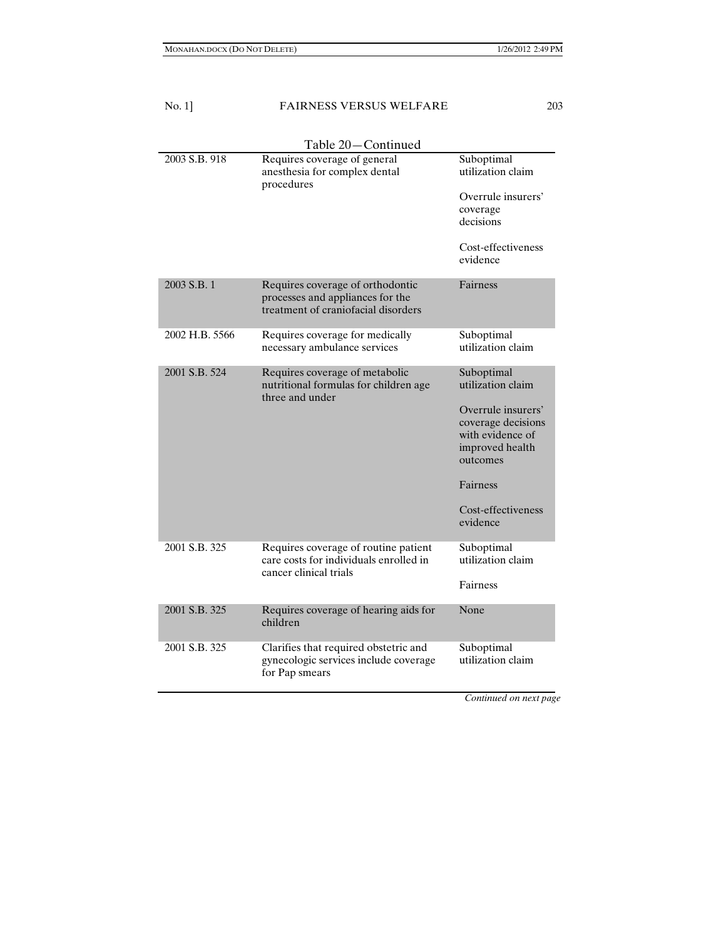| No. 1]         | <b>FAIRNESS VERSUS WELFARE</b>                                                                              | 203                                                                                         |
|----------------|-------------------------------------------------------------------------------------------------------------|---------------------------------------------------------------------------------------------|
|                | Table 20—Continued                                                                                          |                                                                                             |
| 2003 S.B. 918  | Requires coverage of general<br>anesthesia for complex dental<br>procedures                                 | Suboptimal<br>utilization claim                                                             |
|                |                                                                                                             | Overrule insurers'                                                                          |
|                |                                                                                                             | coverage<br>decisions                                                                       |
|                |                                                                                                             | Cost-effectiveness<br>evidence                                                              |
| 2003 S.B. 1    | Requires coverage of orthodontic<br>processes and appliances for the<br>treatment of craniofacial disorders | Fairness                                                                                    |
| 2002 H.B. 5566 | Requires coverage for medically<br>necessary ambulance services                                             | Suboptimal<br>utilization claim                                                             |
| 2001 S.B. 524  | Requires coverage of metabolic<br>nutritional formulas for children age<br>three and under                  | Suboptimal<br>utilization claim                                                             |
|                |                                                                                                             | Overrule insurers'<br>coverage decisions<br>with evidence of<br>improved health<br>outcomes |
|                |                                                                                                             | Fairness                                                                                    |
|                |                                                                                                             | Cost-effectiveness<br>evidence                                                              |
| 2001 S.B. 325  | Requires coverage of routine patient<br>care costs for individuals enrolled in<br>cancer clinical trials    | Suboptimal<br>utilization claim                                                             |
|                |                                                                                                             | Fairness                                                                                    |
| 2001 S.B. 325  | Requires coverage of hearing aids for<br>children                                                           | None                                                                                        |
| 2001 S.B. 325  | Clarifies that required obstetric and<br>gynecologic services include coverage<br>for Pap smears            | Suboptimal<br>utilization claim                                                             |

*Continued on next page*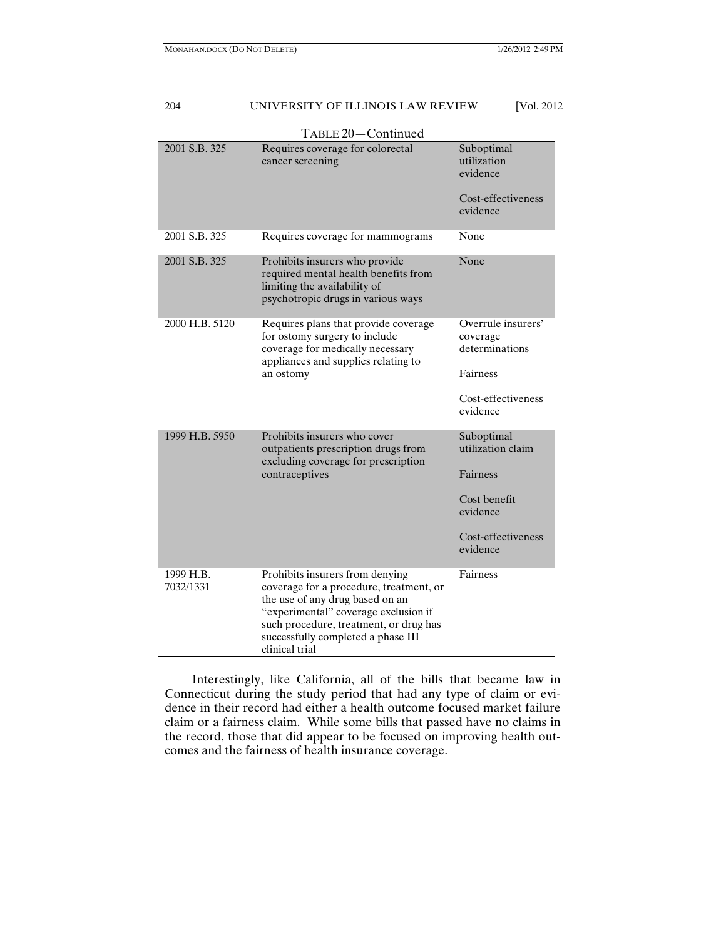|                        | TABLE 20-Continued                                                                                                                                                                                                                                      |                                                  |
|------------------------|---------------------------------------------------------------------------------------------------------------------------------------------------------------------------------------------------------------------------------------------------------|--------------------------------------------------|
| 2001 S.B. 325          | Requires coverage for colorectal<br>cancer screening                                                                                                                                                                                                    | Suboptimal<br>utilization<br>evidence            |
|                        |                                                                                                                                                                                                                                                         | Cost-effectiveness<br>evidence                   |
| 2001 S.B. 325          | Requires coverage for mammograms                                                                                                                                                                                                                        | None                                             |
| 2001 S.B. 325          | Prohibits insurers who provide<br>required mental health benefits from<br>limiting the availability of<br>psychotropic drugs in various ways                                                                                                            | None                                             |
| 2000 H.B. 5120         | Requires plans that provide coverage<br>for ostomy surgery to include<br>coverage for medically necessary<br>appliances and supplies relating to<br>an ostomy                                                                                           | Overrule insurers'<br>coverage<br>determinations |
|                        |                                                                                                                                                                                                                                                         | Fairness                                         |
|                        |                                                                                                                                                                                                                                                         | Cost-effectiveness<br>evidence                   |
| 1999 H.B. 5950         | Prohibits insurers who cover<br>outpatients prescription drugs from<br>excluding coverage for prescription<br>contraceptives                                                                                                                            | Suboptimal<br>utilization claim                  |
|                        |                                                                                                                                                                                                                                                         | Fairness                                         |
|                        |                                                                                                                                                                                                                                                         | Cost benefit<br>evidence                         |
|                        |                                                                                                                                                                                                                                                         | Cost-effectiveness<br>evidence                   |
| 1999 H.B.<br>7032/1331 | Prohibits insurers from denying<br>coverage for a procedure, treatment, or<br>the use of any drug based on an<br>"experimental" coverage exclusion if<br>such procedure, treatment, or drug has<br>successfully completed a phase III<br>clinical trial | Fairness                                         |

Interestingly, like California, all of the bills that became law in Connecticut during the study period that had any type of claim or evidence in their record had either a health outcome focused market failure claim or a fairness claim. While some bills that passed have no claims in the record, those that did appear to be focused on improving health outcomes and the fairness of health insurance coverage.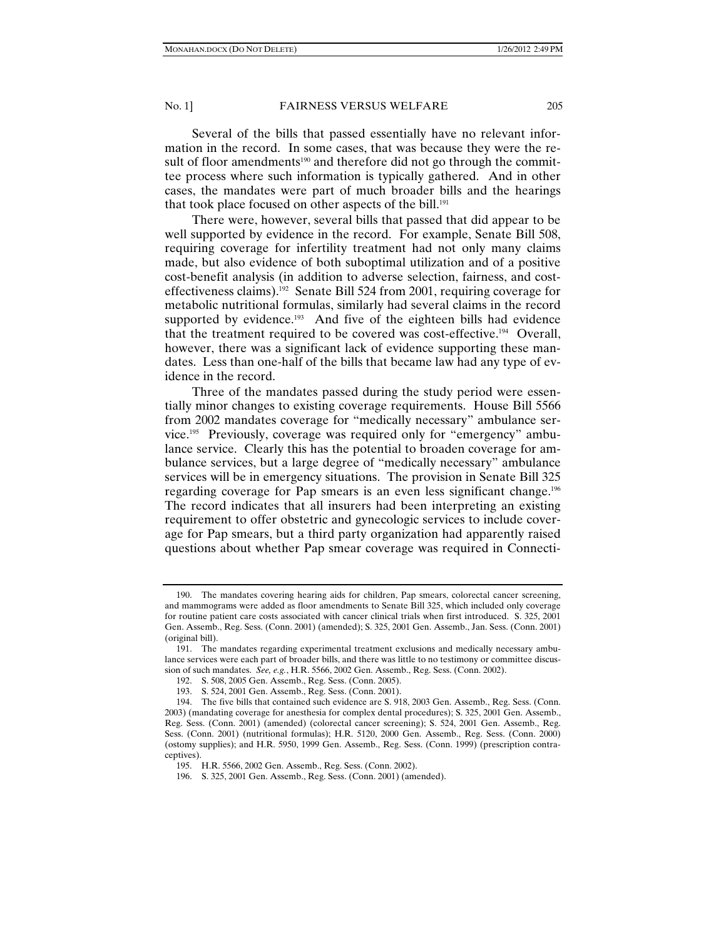Several of the bills that passed essentially have no relevant information in the record. In some cases, that was because they were the result of floor amendments<sup>190</sup> and therefore did not go through the committee process where such information is typically gathered. And in other cases, the mandates were part of much broader bills and the hearings that took place focused on other aspects of the bill.<sup>191</sup>

There were, however, several bills that passed that did appear to be well supported by evidence in the record. For example, Senate Bill 508, requiring coverage for infertility treatment had not only many claims made, but also evidence of both suboptimal utilization and of a positive cost-benefit analysis (in addition to adverse selection, fairness, and costeffectiveness claims).<sup>192</sup> Senate Bill 524 from 2001, requiring coverage for metabolic nutritional formulas, similarly had several claims in the record supported by evidence.<sup>193</sup> And five of the eighteen bills had evidence that the treatment required to be covered was cost-effective.194 Overall, however, there was a significant lack of evidence supporting these mandates. Less than one-half of the bills that became law had any type of evidence in the record.

Three of the mandates passed during the study period were essentially minor changes to existing coverage requirements. House Bill 5566 from 2002 mandates coverage for "medically necessary" ambulance service.195 Previously, coverage was required only for "emergency" ambulance service. Clearly this has the potential to broaden coverage for ambulance services, but a large degree of "medically necessary" ambulance services will be in emergency situations. The provision in Senate Bill 325 regarding coverage for Pap smears is an even less significant change.196 The record indicates that all insurers had been interpreting an existing requirement to offer obstetric and gynecologic services to include coverage for Pap smears, but a third party organization had apparently raised questions about whether Pap smear coverage was required in Connecti-

 <sup>190.</sup> The mandates covering hearing aids for children, Pap smears, colorectal cancer screening, and mammograms were added as floor amendments to Senate Bill 325, which included only coverage for routine patient care costs associated with cancer clinical trials when first introduced. S. 325, 2001 Gen. Assemb., Reg. Sess. (Conn. 2001) (amended); S. 325, 2001 Gen. Assemb., Jan. Sess. (Conn. 2001) (original bill).

 <sup>191.</sup> The mandates regarding experimental treatment exclusions and medically necessary ambulance services were each part of broader bills, and there was little to no testimony or committee discussion of such mandates. *See, e.g.*, H.R. 5566, 2002 Gen. Assemb., Reg. Sess. (Conn. 2002).

 <sup>192.</sup> S. 508, 2005 Gen. Assemb., Reg. Sess. (Conn. 2005).

 <sup>193.</sup> S. 524, 2001 Gen. Assemb., Reg. Sess. (Conn. 2001).

 <sup>194.</sup> The five bills that contained such evidence are S. 918, 2003 Gen. Assemb., Reg. Sess. (Conn. 2003) (mandating coverage for anesthesia for complex dental procedures); S. 325, 2001 Gen. Assemb., Reg. Sess. (Conn. 2001) (amended) (colorectal cancer screening); S. 524, 2001 Gen. Assemb., Reg. Sess. (Conn. 2001) (nutritional formulas); H.R. 5120, 2000 Gen. Assemb., Reg. Sess. (Conn. 2000) (ostomy supplies); and H.R. 5950, 1999 Gen. Assemb., Reg. Sess. (Conn. 1999) (prescription contraceptives).

 <sup>195.</sup> H.R. 5566, 2002 Gen. Assemb., Reg. Sess. (Conn. 2002).

 <sup>196.</sup> S. 325, 2001 Gen. Assemb., Reg. Sess. (Conn. 2001) (amended).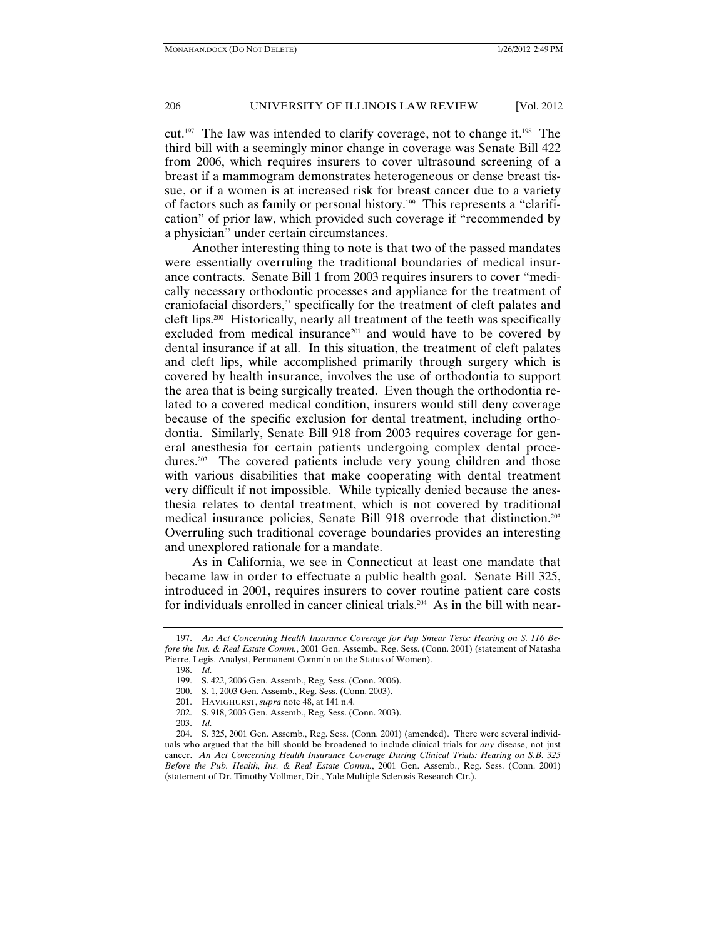cut.197 The law was intended to clarify coverage, not to change it.198 The third bill with a seemingly minor change in coverage was Senate Bill 422 from 2006, which requires insurers to cover ultrasound screening of a breast if a mammogram demonstrates heterogeneous or dense breast tissue, or if a women is at increased risk for breast cancer due to a variety of factors such as family or personal history.199 This represents a "clarification" of prior law, which provided such coverage if "recommended by a physician" under certain circumstances.

Another interesting thing to note is that two of the passed mandates were essentially overruling the traditional boundaries of medical insurance contracts. Senate Bill 1 from 2003 requires insurers to cover "medically necessary orthodontic processes and appliance for the treatment of craniofacial disorders," specifically for the treatment of cleft palates and cleft lips.200 Historically, nearly all treatment of the teeth was specifically excluded from medical insurance<sup>201</sup> and would have to be covered by dental insurance if at all. In this situation, the treatment of cleft palates and cleft lips, while accomplished primarily through surgery which is covered by health insurance, involves the use of orthodontia to support the area that is being surgically treated. Even though the orthodontia related to a covered medical condition, insurers would still deny coverage because of the specific exclusion for dental treatment, including orthodontia. Similarly, Senate Bill 918 from 2003 requires coverage for general anesthesia for certain patients undergoing complex dental procedures.<sup>202</sup> The covered patients include very young children and those with various disabilities that make cooperating with dental treatment very difficult if not impossible. While typically denied because the anesthesia relates to dental treatment, which is not covered by traditional medical insurance policies, Senate Bill 918 overrode that distinction.203 Overruling such traditional coverage boundaries provides an interesting and unexplored rationale for a mandate.

As in California, we see in Connecticut at least one mandate that became law in order to effectuate a public health goal. Senate Bill 325, introduced in 2001, requires insurers to cover routine patient care costs for individuals enrolled in cancer clinical trials.<sup>204</sup> As in the bill with near-

 <sup>197.</sup> *An Act Concerning Health Insurance Coverage for Pap Smear Tests: Hearing on S. 116 Before the Ins. & Real Estate Comm.*, 2001 Gen. Assemb., Reg. Sess. (Conn. 2001) (statement of Natasha Pierre, Legis. Analyst, Permanent Comm'n on the Status of Women).

 <sup>198.</sup> *Id.*

 <sup>199.</sup> S. 422, 2006 Gen. Assemb., Reg. Sess. (Conn. 2006).

 <sup>200.</sup> S. 1, 2003 Gen. Assemb., Reg. Sess. (Conn. 2003).

 <sup>201.</sup> HAVIGHURST, *supra* note 48, at 141 n.4.

 <sup>202.</sup> S. 918, 2003 Gen. Assemb., Reg. Sess. (Conn. 2003).

 <sup>203.</sup> *Id.*

 <sup>204.</sup> S. 325, 2001 Gen. Assemb., Reg. Sess. (Conn. 2001) (amended). There were several individuals who argued that the bill should be broadened to include clinical trials for *any* disease, not just cancer. *An Act Concerning Health Insurance Coverage During Clinical Trials: Hearing on S.B. 325 Before the Pub. Health, Ins. & Real Estate Comm.*, 2001 Gen. Assemb., Reg. Sess. (Conn. 2001) (statement of Dr. Timothy Vollmer, Dir., Yale Multiple Sclerosis Research Ctr.).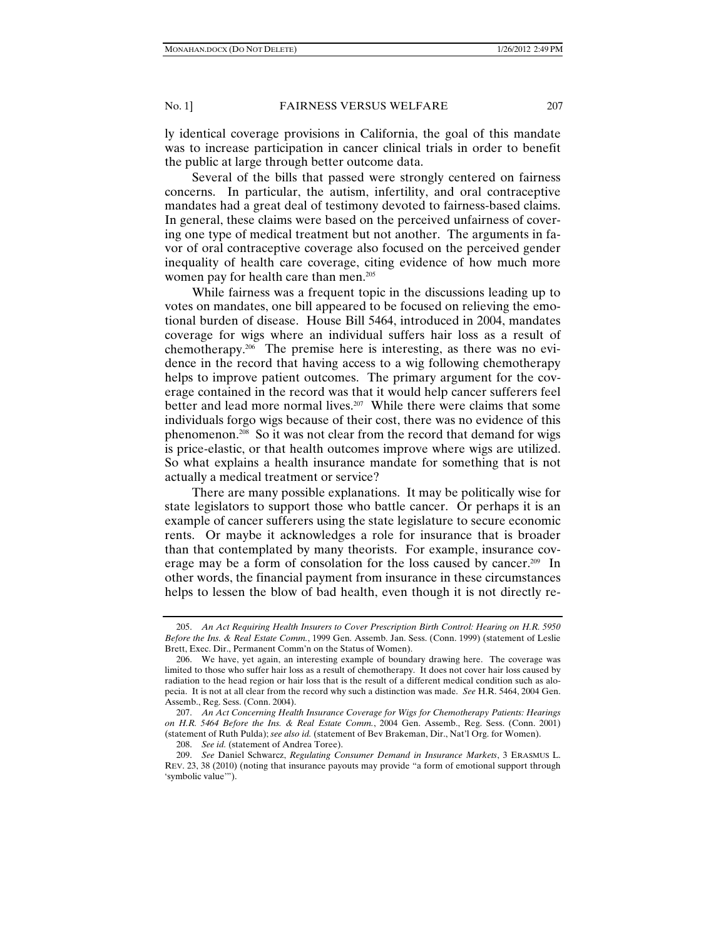ly identical coverage provisions in California, the goal of this mandate was to increase participation in cancer clinical trials in order to benefit the public at large through better outcome data.

Several of the bills that passed were strongly centered on fairness concerns. In particular, the autism, infertility, and oral contraceptive mandates had a great deal of testimony devoted to fairness-based claims. In general, these claims were based on the perceived unfairness of covering one type of medical treatment but not another. The arguments in favor of oral contraceptive coverage also focused on the perceived gender inequality of health care coverage, citing evidence of how much more women pay for health care than men.<sup>205</sup>

While fairness was a frequent topic in the discussions leading up to votes on mandates, one bill appeared to be focused on relieving the emotional burden of disease. House Bill 5464, introduced in 2004, mandates coverage for wigs where an individual suffers hair loss as a result of chemotherapy.<sup>206</sup> The premise here is interesting, as there was no evidence in the record that having access to a wig following chemotherapy helps to improve patient outcomes. The primary argument for the coverage contained in the record was that it would help cancer sufferers feel better and lead more normal lives.<sup>207</sup> While there were claims that some individuals forgo wigs because of their cost, there was no evidence of this phenomenon.208 So it was not clear from the record that demand for wigs is price-elastic, or that health outcomes improve where wigs are utilized. So what explains a health insurance mandate for something that is not actually a medical treatment or service?

There are many possible explanations. It may be politically wise for state legislators to support those who battle cancer. Or perhaps it is an example of cancer sufferers using the state legislature to secure economic rents. Or maybe it acknowledges a role for insurance that is broader than that contemplated by many theorists. For example, insurance coverage may be a form of consolation for the loss caused by cancer.209 In other words, the financial payment from insurance in these circumstances helps to lessen the blow of bad health, even though it is not directly re-

 <sup>205.</sup> *An Act Requiring Health Insurers to Cover Prescription Birth Control: Hearing on H.R. 5950 Before the Ins. & Real Estate Comm.*, 1999 Gen. Assemb. Jan. Sess. (Conn. 1999) (statement of Leslie Brett, Exec. Dir., Permanent Comm'n on the Status of Women).

 <sup>206.</sup> We have, yet again, an interesting example of boundary drawing here. The coverage was limited to those who suffer hair loss as a result of chemotherapy. It does not cover hair loss caused by radiation to the head region or hair loss that is the result of a different medical condition such as alopecia. It is not at all clear from the record why such a distinction was made. *See* H.R. 5464, 2004 Gen. Assemb., Reg. Sess. (Conn. 2004).

 <sup>207.</sup> *An Act Concerning Health Insurance Coverage for Wigs for Chemotherapy Patients: Hearings on H.R. 5464 Before the Ins. & Real Estate Comm.*, 2004 Gen. Assemb., Reg. Sess. (Conn. 2001) (statement of Ruth Pulda); *see also id.* (statement of Bev Brakeman, Dir., Nat'l Org. for Women).

 <sup>208.</sup> *See id.* (statement of Andrea Toree).

 <sup>209.</sup> *See* Daniel Schwarcz, *Regulating Consumer Demand in Insurance Markets*, 3 ERASMUS L. REV. 23, 38 (2010) (noting that insurance payouts may provide "a form of emotional support through 'symbolic value'").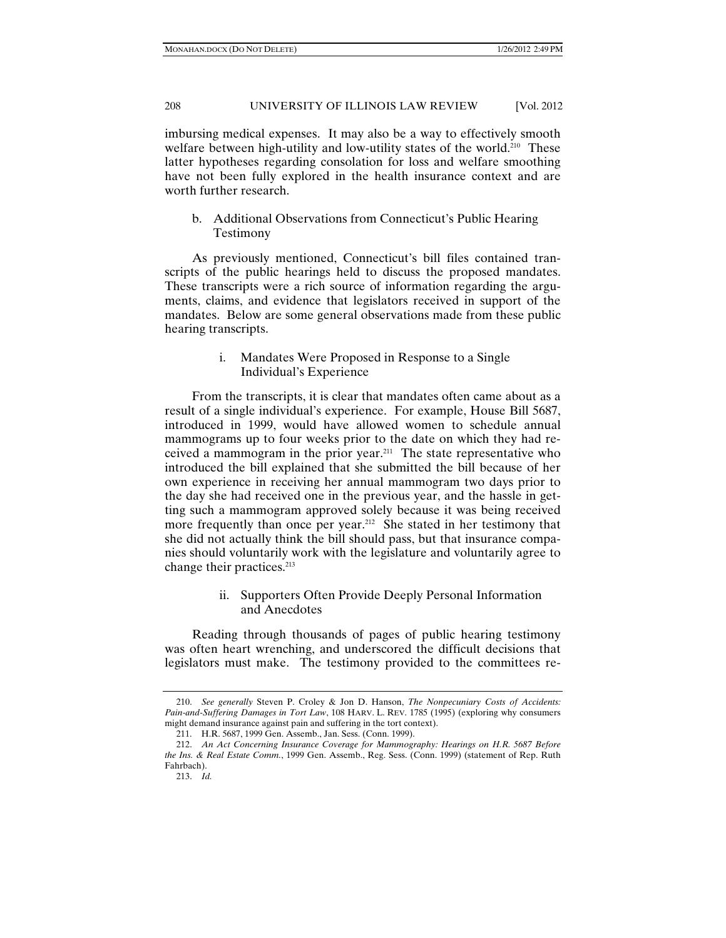imbursing medical expenses. It may also be a way to effectively smooth welfare between high-utility and low-utility states of the world.<sup>210</sup> These latter hypotheses regarding consolation for loss and welfare smoothing have not been fully explored in the health insurance context and are worth further research.

b. Additional Observations from Connecticut's Public Hearing Testimony

As previously mentioned, Connecticut's bill files contained transcripts of the public hearings held to discuss the proposed mandates. These transcripts were a rich source of information regarding the arguments, claims, and evidence that legislators received in support of the mandates. Below are some general observations made from these public hearing transcripts.

# i. Mandates Were Proposed in Response to a Single Individual's Experience

From the transcripts, it is clear that mandates often came about as a result of a single individual's experience. For example, House Bill 5687, introduced in 1999, would have allowed women to schedule annual mammograms up to four weeks prior to the date on which they had received a mammogram in the prior year.211 The state representative who introduced the bill explained that she submitted the bill because of her own experience in receiving her annual mammogram two days prior to the day she had received one in the previous year, and the hassle in getting such a mammogram approved solely because it was being received more frequently than once per year.<sup>212</sup> She stated in her testimony that she did not actually think the bill should pass, but that insurance companies should voluntarily work with the legislature and voluntarily agree to change their practices.<sup>213</sup>

# ii. Supporters Often Provide Deeply Personal Information and Anecdotes

Reading through thousands of pages of public hearing testimony was often heart wrenching, and underscored the difficult decisions that legislators must make. The testimony provided to the committees re-

 <sup>210.</sup> *See generally* Steven P. Croley & Jon D. Hanson, *The Nonpecuniary Costs of Accidents: Pain-and-Suffering Damages in Tort Law*, 108 HARV. L. REV. 1785 (1995) (exploring why consumers might demand insurance against pain and suffering in the tort context).

 <sup>211.</sup> H.R. 5687, 1999 Gen. Assemb., Jan. Sess. (Conn. 1999).

 <sup>212.</sup> *An Act Concerning Insurance Coverage for Mammography: Hearings on H.R. 5687 Before the Ins. & Real Estate Comm.*, 1999 Gen. Assemb., Reg. Sess. (Conn. 1999) (statement of Rep. Ruth Fahrbach).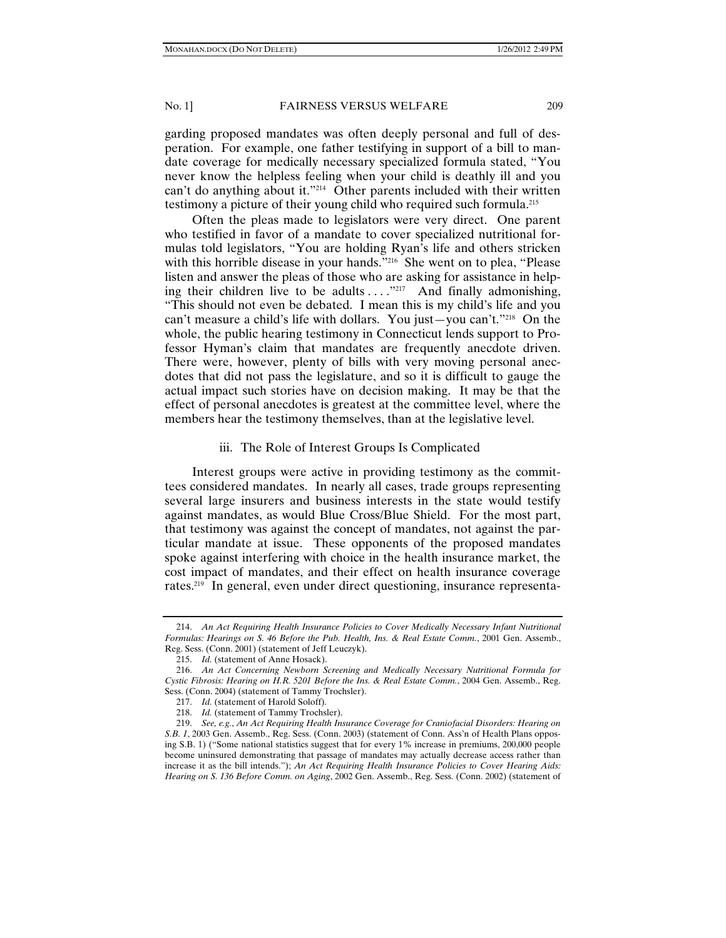garding proposed mandates was often deeply personal and full of desperation.For example, one father testifying in support of a bill to mandate coverage for medically necessary specialized formula stated, "You never know the helpless feeling when your child is deathly ill and you can't do anything about it."214 Other parents included with their written testimony a picture of their young child who required such formula.215

Often the pleas made to legislators were very direct. One parent who testified in favor of a mandate to cover specialized nutritional formulas told legislators, "You are holding Ryan's life and others stricken with this horrible disease in your hands."<sup>216</sup> She went on to plea, "Please listen and answer the pleas of those who are asking for assistance in helping their children live to be adults  $\dots$  ."217 And finally admonishing, "This should not even be debated. I mean this is my child's life and you can't measure a child's life with dollars. You just—you can't."<sup>218</sup> On the whole, the public hearing testimony in Connecticut lends support to Professor Hyman's claim that mandates are frequently anecdote driven. There were, however, plenty of bills with very moving personal anecdotes that did not pass the legislature, and so it is difficult to gauge the actual impact such stories have on decision making. It may be that the effect of personal anecdotes is greatest at the committee level, where the members hear the testimony themselves, than at the legislative level.

#### iii. The Role of Interest Groups Is Complicated

Interest groups were active in providing testimony as the committees considered mandates. In nearly all cases, trade groups representing several large insurers and business interests in the state would testify against mandates, as would Blue Cross/Blue Shield. For the most part, that testimony was against the concept of mandates, not against the particular mandate at issue. These opponents of the proposed mandates spoke against interfering with choice in the health insurance market, the cost impact of mandates, and their effect on health insurance coverage rates.219 In general, even under direct questioning, insurance representa-

 <sup>214.</sup> *An Act Requiring Health Insurance Policies to Cover Medically Necessary Infant Nutritional Formulas: Hearings on S. 46 Before the Pub. Health, Ins. & Real Estate Comm.*, 2001 Gen. Assemb., Reg. Sess. (Conn. 2001) (statement of Jeff Leuczyk).

 <sup>215.</sup> *Id.* (statement of Anne Hosack).

 <sup>216.</sup> *An Act Concerning Newborn Screening and Medically Necessary Nutritional Formula for Cystic Fibrosis: Hearing on H.R. 5201 Before the Ins. & Real Estate Comm.*, 2004 Gen. Assemb., Reg. Sess. (Conn. 2004) (statement of Tammy Trochsler).

 <sup>217.</sup> *Id.* (statement of Harold Soloff).

 <sup>218.</sup> *Id.* (statement of Tammy Trochsler).

 <sup>219.</sup> *See, e.g.*, *An Act Requiring Health Insurance Coverage for Craniofacial Disorders: Hearing on S.B. 1*, 2003 Gen. Assemb., Reg. Sess. (Conn. 2003) (statement of Conn. Ass'n of Health Plans opposing S.B. 1) ("Some national statistics suggest that for every 1% increase in premiums, 200,000 people become uninsured demonstrating that passage of mandates may actually decrease access rather than increase it as the bill intends."); *An Act Requiring Health Insurance Policies to Cover Hearing Aids: Hearing on S. 136 Before Comm. on Aging*, 2002 Gen. Assemb., Reg. Sess. (Conn. 2002) (statement of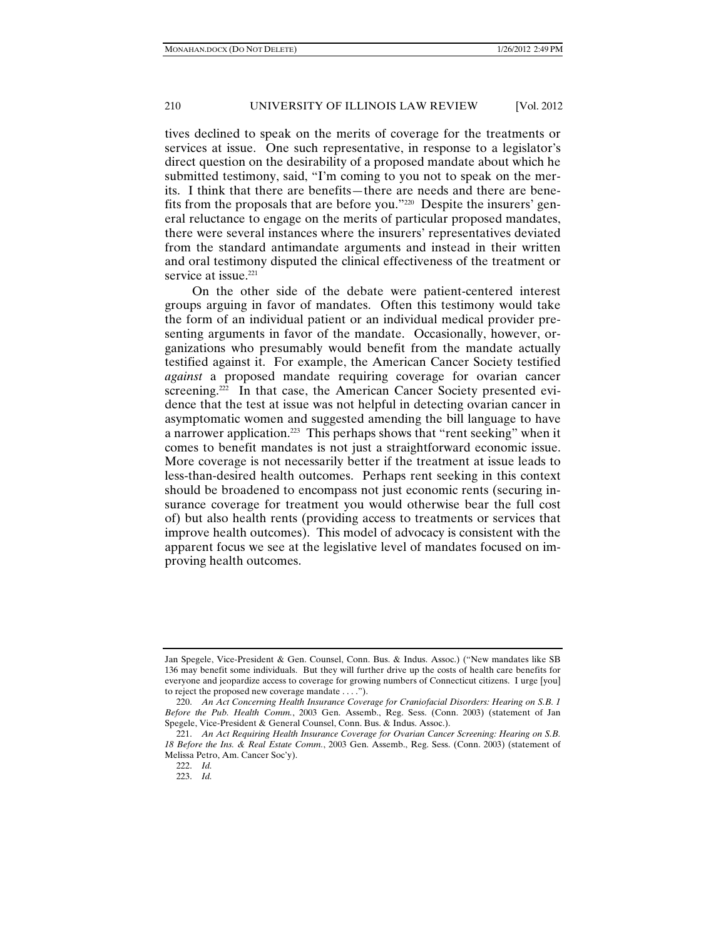tives declined to speak on the merits of coverage for the treatments or services at issue. One such representative, in response to a legislator's direct question on the desirability of a proposed mandate about which he submitted testimony, said, "I'm coming to you not to speak on the merits. I think that there are benefits—there are needs and there are benefits from the proposals that are before you."220 Despite the insurers' general reluctance to engage on the merits of particular proposed mandates, there were several instances where the insurers' representatives deviated from the standard antimandate arguments and instead in their written and oral testimony disputed the clinical effectiveness of the treatment or service at issue.<sup>221</sup>

On the other side of the debate were patient-centered interest groups arguing in favor of mandates. Often this testimony would take the form of an individual patient or an individual medical provider presenting arguments in favor of the mandate. Occasionally, however, organizations who presumably would benefit from the mandate actually testified against it. For example, the American Cancer Society testified *against* a proposed mandate requiring coverage for ovarian cancer screening.<sup>222</sup> In that case, the American Cancer Society presented evidence that the test at issue was not helpful in detecting ovarian cancer in asymptomatic women and suggested amending the bill language to have a narrower application.223 This perhaps shows that "rent seeking" when it comes to benefit mandates is not just a straightforward economic issue. More coverage is not necessarily better if the treatment at issue leads to less-than-desired health outcomes. Perhaps rent seeking in this context should be broadened to encompass not just economic rents (securing insurance coverage for treatment you would otherwise bear the full cost of) but also health rents (providing access to treatments or services that improve health outcomes). This model of advocacy is consistent with the apparent focus we see at the legislative level of mandates focused on improving health outcomes.

Jan Spegele, Vice-President & Gen. Counsel, Conn. Bus. & Indus. Assoc.) ("New mandates like SB 136 may benefit some individuals. But they will further drive up the costs of health care benefits for everyone and jeopardize access to coverage for growing numbers of Connecticut citizens. I urge [you] to reject the proposed new coverage mandate . . . .").

 <sup>220.</sup> *An Act Concerning Health Insurance Coverage for Craniofacial Disorders: Hearing on S.B. 1 Before the Pub. Health Comm.*, 2003 Gen. Assemb., Reg. Sess. (Conn. 2003) (statement of Jan Spegele, Vice-President & General Counsel, Conn. Bus. & Indus. Assoc.).

 <sup>221.</sup> *An Act Requiring Health Insurance Coverage for Ovarian Cancer Screening: Hearing on S.B. 18 Before the Ins. & Real Estate Comm.*, 2003 Gen. Assemb., Reg. Sess. (Conn. 2003) (statement of Melissa Petro, Am. Cancer Soc'y).

 <sup>222.</sup> *Id.*

 <sup>223.</sup> *Id.*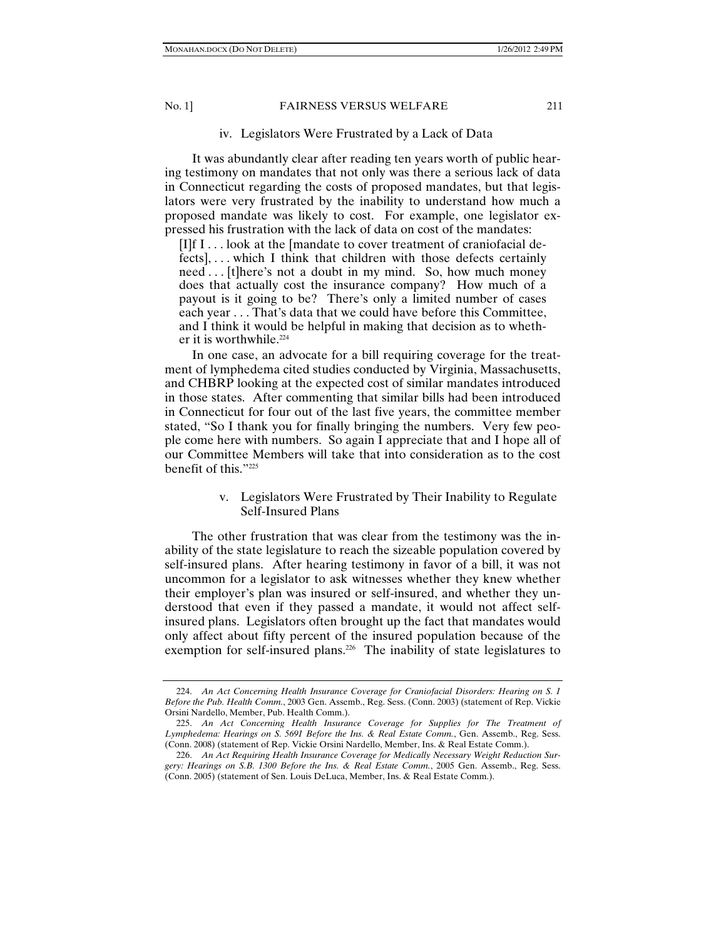## iv. Legislators Were Frustrated by a Lack of Data

It was abundantly clear after reading ten years worth of public hearing testimony on mandates that not only was there a serious lack of data in Connecticut regarding the costs of proposed mandates, but that legislators were very frustrated by the inability to understand how much a proposed mandate was likely to cost. For example, one legislator expressed his frustration with the lack of data on cost of the mandates:

[I]f I . . . look at the [mandate to cover treatment of craniofacial defects], . . . which I think that children with those defects certainly need . . . [t]here's not a doubt in my mind. So, how much money does that actually cost the insurance company? How much of a payout is it going to be? There's only a limited number of cases each year . . . That's data that we could have before this Committee, and I think it would be helpful in making that decision as to whether it is worthwhile.<sup>224</sup>

In one case, an advocate for a bill requiring coverage for the treatment of lymphedema cited studies conducted by Virginia, Massachusetts, and CHBRP looking at the expected cost of similar mandates introduced in those states. After commenting that similar bills had been introduced in Connecticut for four out of the last five years, the committee member stated, "So I thank you for finally bringing the numbers. Very few people come here with numbers. So again I appreciate that and I hope all of our Committee Members will take that into consideration as to the cost benefit of this."225

## v. Legislators Were Frustrated by Their Inability to Regulate Self-Insured Plans

The other frustration that was clear from the testimony was the inability of the state legislature to reach the sizeable population covered by self-insured plans. After hearing testimony in favor of a bill, it was not uncommon for a legislator to ask witnesses whether they knew whether their employer's plan was insured or self-insured, and whether they understood that even if they passed a mandate, it would not affect selfinsured plans. Legislators often brought up the fact that mandates would only affect about fifty percent of the insured population because of the exemption for self-insured plans.<sup>226</sup> The inability of state legislatures to

 <sup>224.</sup> *An Act Concerning Health Insurance Coverage for Craniofacial Disorders: Hearing on S. 1 Before the Pub. Health Comm.*, 2003 Gen. Assemb., Reg. Sess. (Conn. 2003) (statement of Rep. Vickie Orsini Nardello, Member, Pub. Health Comm.).

 <sup>225.</sup> *An Act Concerning Health Insurance Coverage for Supplies for The Treatment of Lymphedema: Hearings on S. 5691 Before the Ins. & Real Estate Comm.*, Gen. Assemb., Reg. Sess. (Conn. 2008) (statement of Rep. Vickie Orsini Nardello, Member, Ins. & Real Estate Comm.).

 <sup>226.</sup> *An Act Requiring Health Insurance Coverage for Medically Necessary Weight Reduction Surgery: Hearings on S.B. 1300 Before the Ins. & Real Estate Comm.*, 2005 Gen. Assemb., Reg. Sess. (Conn. 2005) (statement of Sen. Louis DeLuca, Member, Ins. & Real Estate Comm.).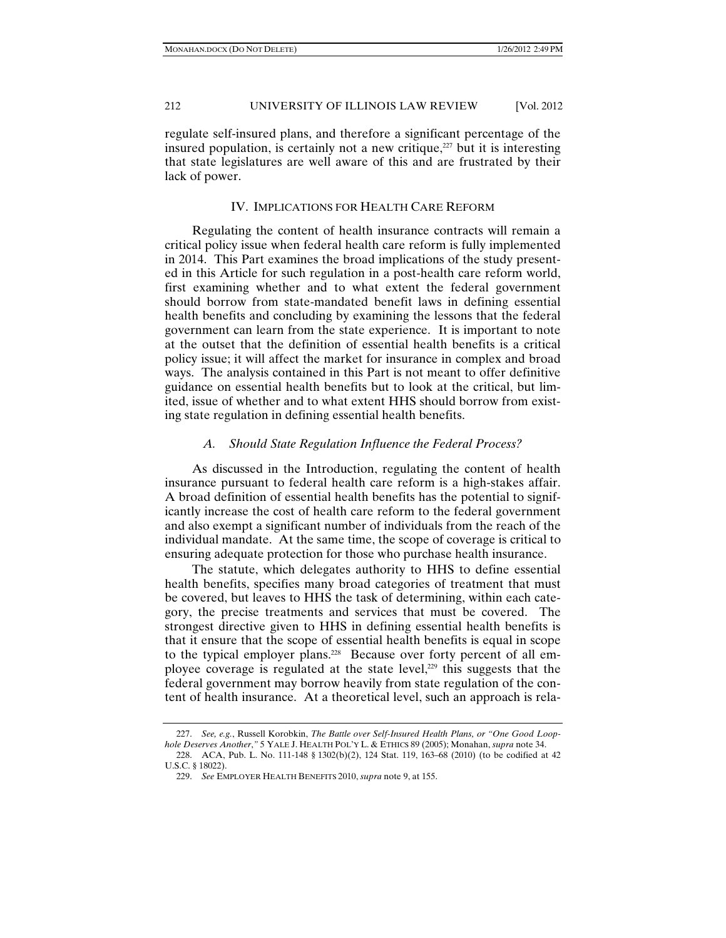regulate self-insured plans, and therefore a significant percentage of the insured population, is certainly not a new critique, $227$  but it is interesting that state legislatures are well aware of this and are frustrated by their lack of power.

## IV. IMPLICATIONS FOR HEALTH CARE REFORM

Regulating the content of health insurance contracts will remain a critical policy issue when federal health care reform is fully implemented in 2014. This Part examines the broad implications of the study presented in this Article for such regulation in a post-health care reform world, first examining whether and to what extent the federal government should borrow from state-mandated benefit laws in defining essential health benefits and concluding by examining the lessons that the federal government can learn from the state experience. It is important to note at the outset that the definition of essential health benefits is a critical policy issue; it will affect the market for insurance in complex and broad ways. The analysis contained in this Part is not meant to offer definitive guidance on essential health benefits but to look at the critical, but limited, issue of whether and to what extent HHS should borrow from existing state regulation in defining essential health benefits.

### *A. Should State Regulation Influence the Federal Process?*

As discussed in the Introduction, regulating the content of health insurance pursuant to federal health care reform is a high-stakes affair. A broad definition of essential health benefits has the potential to significantly increase the cost of health care reform to the federal government and also exempt a significant number of individuals from the reach of the individual mandate. At the same time, the scope of coverage is critical to ensuring adequate protection for those who purchase health insurance.

The statute, which delegates authority to HHS to define essential health benefits, specifies many broad categories of treatment that must be covered, but leaves to HHS the task of determining, within each category, the precise treatments and services that must be covered. The strongest directive given to HHS in defining essential health benefits is that it ensure that the scope of essential health benefits is equal in scope to the typical employer plans.<sup>228</sup> Because over forty percent of all employee coverage is regulated at the state level,<sup>229</sup> this suggests that the federal government may borrow heavily from state regulation of the content of health insurance. At a theoretical level, such an approach is rela-

 <sup>227.</sup> *See, e.g.*, Russell Korobkin, *The Battle over Self-Insured Health Plans, or "One Good Loophole Deserves Another*,*"* 5 YALE J. HEALTH POL'Y L. & ETHICS 89 (2005); Monahan, *supra* note 34.

 <sup>228.</sup> ACA, Pub. L. No. 111-148 § 1302(b)(2), 124 Stat. 119, 163–68 (2010) (to be codified at 42 U.S.C. § 18022).

 <sup>229.</sup> *See* EMPLOYER HEALTH BENEFITS 2010, *supra* note 9, at 155.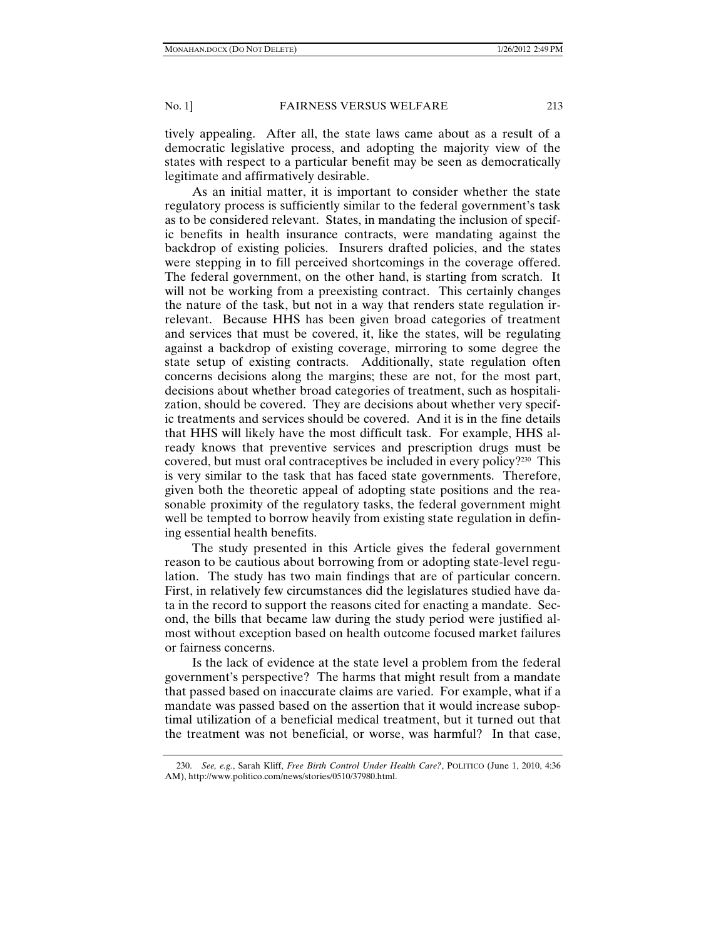tively appealing. After all, the state laws came about as a result of a democratic legislative process, and adopting the majority view of the states with respect to a particular benefit may be seen as democratically legitimate and affirmatively desirable.

As an initial matter, it is important to consider whether the state regulatory process is sufficiently similar to the federal government's task as to be considered relevant. States, in mandating the inclusion of specific benefits in health insurance contracts, were mandating against the backdrop of existing policies. Insurers drafted policies, and the states were stepping in to fill perceived shortcomings in the coverage offered. The federal government, on the other hand, is starting from scratch. It will not be working from a preexisting contract. This certainly changes the nature of the task, but not in a way that renders state regulation irrelevant. Because HHS has been given broad categories of treatment and services that must be covered, it, like the states, will be regulating against a backdrop of existing coverage, mirroring to some degree the state setup of existing contracts. Additionally, state regulation often concerns decisions along the margins; these are not, for the most part, decisions about whether broad categories of treatment, such as hospitalization, should be covered. They are decisions about whether very specific treatments and services should be covered. And it is in the fine details that HHS will likely have the most difficult task. For example, HHS already knows that preventive services and prescription drugs must be covered, but must oral contraceptives be included in every policy?230 This is very similar to the task that has faced state governments. Therefore, given both the theoretic appeal of adopting state positions and the reasonable proximity of the regulatory tasks, the federal government might well be tempted to borrow heavily from existing state regulation in defining essential health benefits.

The study presented in this Article gives the federal government reason to be cautious about borrowing from or adopting state-level regulation. The study has two main findings that are of particular concern. First, in relatively few circumstances did the legislatures studied have data in the record to support the reasons cited for enacting a mandate. Second, the bills that became law during the study period were justified almost without exception based on health outcome focused market failures or fairness concerns.

Is the lack of evidence at the state level a problem from the federal government's perspective? The harms that might result from a mandate that passed based on inaccurate claims are varied. For example, what if a mandate was passed based on the assertion that it would increase suboptimal utilization of a beneficial medical treatment, but it turned out that the treatment was not beneficial, or worse, was harmful? In that case,

 <sup>230.</sup> *See, e.g.*, Sarah Kliff, *Free Birth Control Under Health Care?*, POLITICO (June 1, 2010, 4:36 AM), http://www.politico.com/news/stories/0510/37980.html.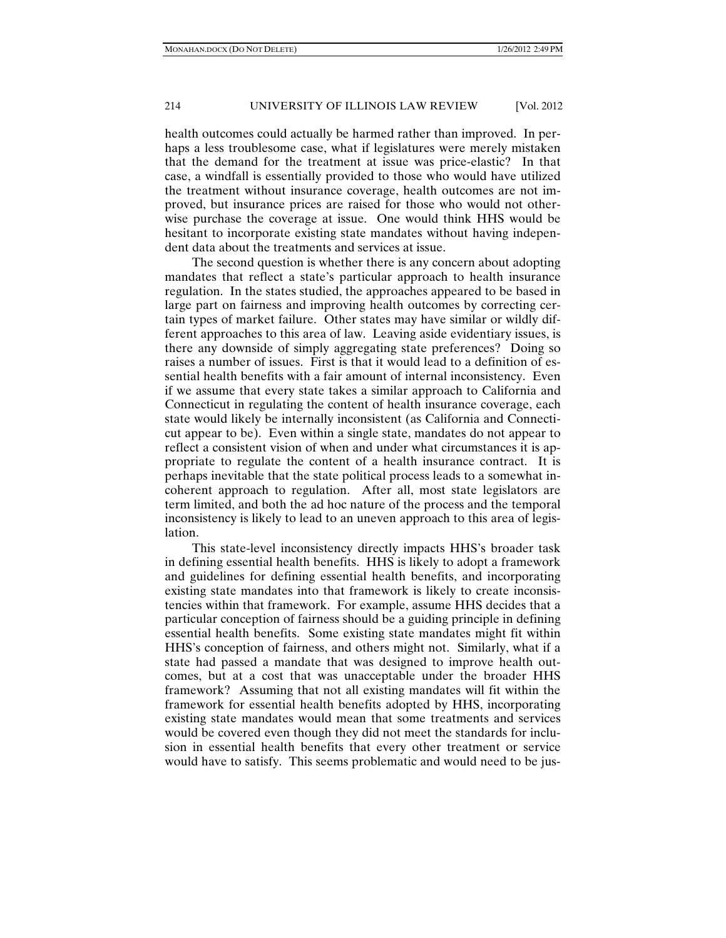health outcomes could actually be harmed rather than improved. In perhaps a less troublesome case, what if legislatures were merely mistaken that the demand for the treatment at issue was price-elastic? In that case, a windfall is essentially provided to those who would have utilized the treatment without insurance coverage, health outcomes are not improved, but insurance prices are raised for those who would not otherwise purchase the coverage at issue. One would think HHS would be hesitant to incorporate existing state mandates without having independent data about the treatments and services at issue.

The second question is whether there is any concern about adopting mandates that reflect a state's particular approach to health insurance regulation. In the states studied, the approaches appeared to be based in large part on fairness and improving health outcomes by correcting certain types of market failure. Other states may have similar or wildly different approaches to this area of law. Leaving aside evidentiary issues, is there any downside of simply aggregating state preferences? Doing so raises a number of issues. First is that it would lead to a definition of essential health benefits with a fair amount of internal inconsistency. Even if we assume that every state takes a similar approach to California and Connecticut in regulating the content of health insurance coverage, each state would likely be internally inconsistent (as California and Connecticut appear to be). Even within a single state, mandates do not appear to reflect a consistent vision of when and under what circumstances it is appropriate to regulate the content of a health insurance contract. It is perhaps inevitable that the state political process leads to a somewhat incoherent approach to regulation. After all, most state legislators are term limited, and both the ad hoc nature of the process and the temporal inconsistency is likely to lead to an uneven approach to this area of legislation.

This state-level inconsistency directly impacts HHS's broader task in defining essential health benefits. HHS is likely to adopt a framework and guidelines for defining essential health benefits, and incorporating existing state mandates into that framework is likely to create inconsistencies within that framework. For example, assume HHS decides that a particular conception of fairness should be a guiding principle in defining essential health benefits. Some existing state mandates might fit within HHS's conception of fairness, and others might not. Similarly, what if a state had passed a mandate that was designed to improve health outcomes, but at a cost that was unacceptable under the broader HHS framework? Assuming that not all existing mandates will fit within the framework for essential health benefits adopted by HHS, incorporating existing state mandates would mean that some treatments and services would be covered even though they did not meet the standards for inclusion in essential health benefits that every other treatment or service would have to satisfy. This seems problematic and would need to be jus-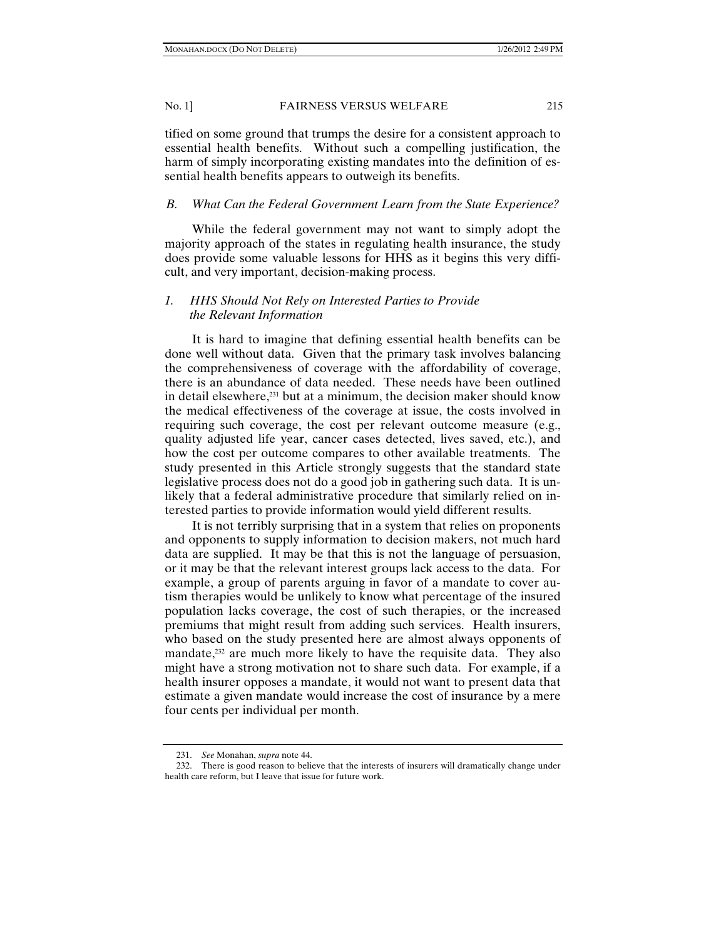tified on some ground that trumps the desire for a consistent approach to essential health benefits. Without such a compelling justification, the harm of simply incorporating existing mandates into the definition of essential health benefits appears to outweigh its benefits.

## *B. What Can the Federal Government Learn from the State Experience?*

While the federal government may not want to simply adopt the majority approach of the states in regulating health insurance, the study does provide some valuable lessons for HHS as it begins this very difficult, and very important, decision-making process.

## *1. HHS Should Not Rely on Interested Parties to Provide the Relevant Information*

It is hard to imagine that defining essential health benefits can be done well without data. Given that the primary task involves balancing the comprehensiveness of coverage with the affordability of coverage, there is an abundance of data needed. These needs have been outlined in detail elsewhere,<sup>231</sup> but at a minimum, the decision maker should know the medical effectiveness of the coverage at issue, the costs involved in requiring such coverage, the cost per relevant outcome measure (e.g., quality adjusted life year, cancer cases detected, lives saved, etc.), and how the cost per outcome compares to other available treatments. The study presented in this Article strongly suggests that the standard state legislative process does not do a good job in gathering such data. It is unlikely that a federal administrative procedure that similarly relied on interested parties to provide information would yield different results.

It is not terribly surprising that in a system that relies on proponents and opponents to supply information to decision makers, not much hard data are supplied. It may be that this is not the language of persuasion, or it may be that the relevant interest groups lack access to the data. For example, a group of parents arguing in favor of a mandate to cover autism therapies would be unlikely to know what percentage of the insured population lacks coverage, the cost of such therapies, or the increased premiums that might result from adding such services. Health insurers, who based on the study presented here are almost always opponents of mandate,<sup>232</sup> are much more likely to have the requisite data. They also might have a strong motivation not to share such data. For example, if a health insurer opposes a mandate, it would not want to present data that estimate a given mandate would increase the cost of insurance by a mere four cents per individual per month.

 <sup>231.</sup> *See* Monahan, *supra* note 44.

 <sup>232.</sup> There is good reason to believe that the interests of insurers will dramatically change under health care reform, but I leave that issue for future work.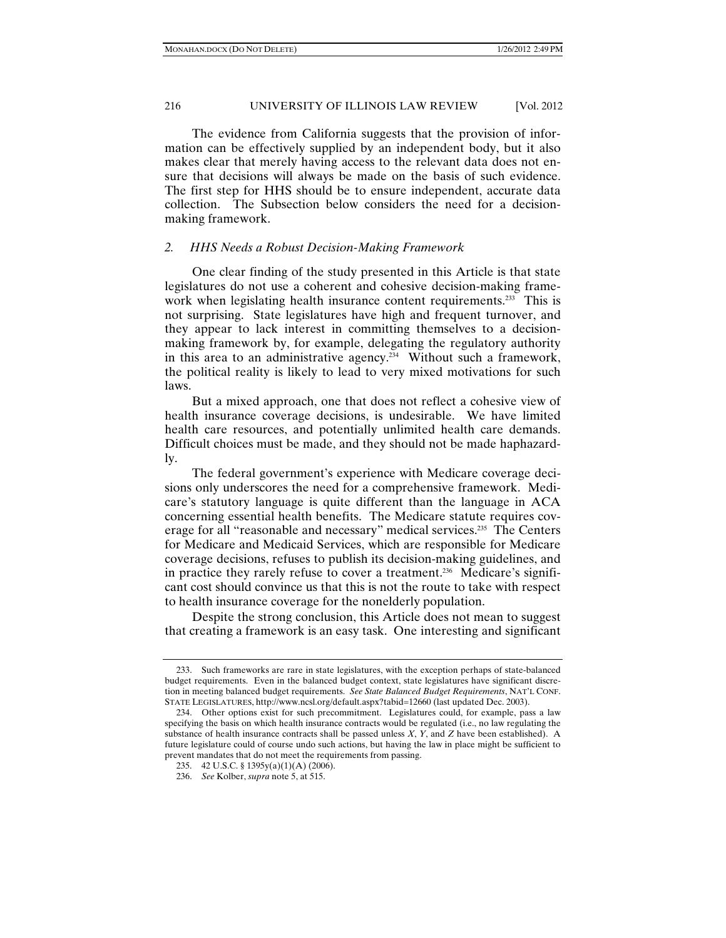The evidence from California suggests that the provision of information can be effectively supplied by an independent body, but it also makes clear that merely having access to the relevant data does not ensure that decisions will always be made on the basis of such evidence. The first step for HHS should be to ensure independent, accurate data collection. The Subsection below considers the need for a decisionmaking framework.

## *2. HHS Needs a Robust Decision-Making Framework*

One clear finding of the study presented in this Article is that state legislatures do not use a coherent and cohesive decision-making framework when legislating health insurance content requirements.<sup>233</sup> This is not surprising. State legislatures have high and frequent turnover, and they appear to lack interest in committing themselves to a decisionmaking framework by, for example, delegating the regulatory authority in this area to an administrative agency.<sup>234</sup> Without such a framework, the political reality is likely to lead to very mixed motivations for such laws.

But a mixed approach, one that does not reflect a cohesive view of health insurance coverage decisions, is undesirable. We have limited health care resources, and potentially unlimited health care demands. Difficult choices must be made, and they should not be made haphazardly.

The federal government's experience with Medicare coverage decisions only underscores the need for a comprehensive framework. Medicare's statutory language is quite different than the language in ACA concerning essential health benefits. The Medicare statute requires coverage for all "reasonable and necessary" medical services.<sup>235</sup> The Centers for Medicare and Medicaid Services, which are responsible for Medicare coverage decisions, refuses to publish its decision-making guidelines, and in practice they rarely refuse to cover a treatment.<sup>236</sup> Medicare's significant cost should convince us that this is not the route to take with respect to health insurance coverage for the nonelderly population.

Despite the strong conclusion, this Article does not mean to suggest that creating a framework is an easy task. One interesting and significant

 <sup>233.</sup> Such frameworks are rare in state legislatures, with the exception perhaps of state-balanced budget requirements. Even in the balanced budget context, state legislatures have significant discretion in meeting balanced budget requirements. *See State Balanced Budget Requirements*, NAT'L CONF. STATE LEGISLATURES, http://www.ncsl.org/default.aspx?tabid=12660 (last updated Dec. 2003).

 <sup>234.</sup> Other options exist for such precommitment. Legislatures could, for example, pass a law specifying the basis on which health insurance contracts would be regulated (i.e., no law regulating the substance of health insurance contracts shall be passed unless *X*, *Y*, and *Z* have been established). A future legislature could of course undo such actions, but having the law in place might be sufficient to prevent mandates that do not meet the requirements from passing.

 <sup>235. 42</sup> U.S.C. § 1395y(a)(1)(A) (2006).

 <sup>236.</sup> *See* Kolber, *supra* note 5, at 515.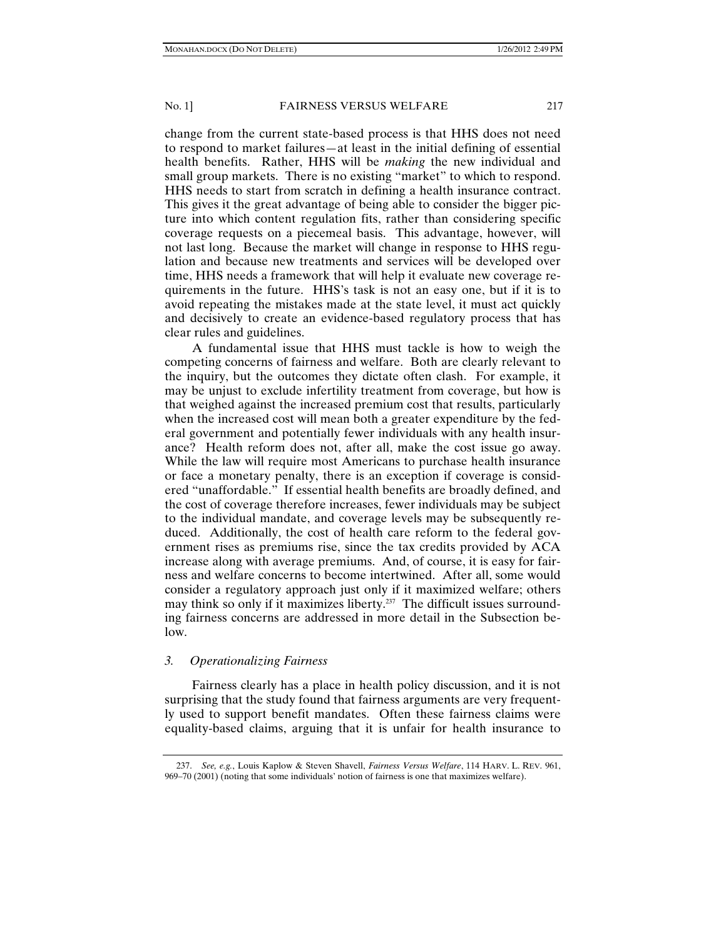change from the current state-based process is that HHS does not need to respond to market failures—at least in the initial defining of essential health benefits. Rather, HHS will be *making* the new individual and small group markets. There is no existing "market" to which to respond. HHS needs to start from scratch in defining a health insurance contract. This gives it the great advantage of being able to consider the bigger picture into which content regulation fits, rather than considering specific coverage requests on a piecemeal basis. This advantage, however, will not last long. Because the market will change in response to HHS regulation and because new treatments and services will be developed over time, HHS needs a framework that will help it evaluate new coverage requirements in the future. HHS's task is not an easy one, but if it is to avoid repeating the mistakes made at the state level, it must act quickly and decisively to create an evidence-based regulatory process that has clear rules and guidelines.

A fundamental issue that HHS must tackle is how to weigh the competing concerns of fairness and welfare. Both are clearly relevant to the inquiry, but the outcomes they dictate often clash. For example, it may be unjust to exclude infertility treatment from coverage, but how is that weighed against the increased premium cost that results, particularly when the increased cost will mean both a greater expenditure by the federal government and potentially fewer individuals with any health insurance? Health reform does not, after all, make the cost issue go away. While the law will require most Americans to purchase health insurance or face a monetary penalty, there is an exception if coverage is considered "unaffordable." If essential health benefits are broadly defined, and the cost of coverage therefore increases, fewer individuals may be subject to the individual mandate, and coverage levels may be subsequently reduced. Additionally, the cost of health care reform to the federal government rises as premiums rise, since the tax credits provided by ACA increase along with average premiums. And, of course, it is easy for fairness and welfare concerns to become intertwined. After all, some would consider a regulatory approach just only if it maximized welfare; others may think so only if it maximizes liberty.<sup>237</sup> The difficult issues surrounding fairness concerns are addressed in more detail in the Subsection below.

## *3. Operationalizing Fairness*

Fairness clearly has a place in health policy discussion, and it is not surprising that the study found that fairness arguments are very frequently used to support benefit mandates. Often these fairness claims were equality-based claims, arguing that it is unfair for health insurance to

 <sup>237.</sup> *See, e.g.*, Louis Kaplow & Steven Shavell, *Fairness Versus Welfare*, 114 HARV. L. REV. 961, 969–70 (2001) (noting that some individuals' notion of fairness is one that maximizes welfare).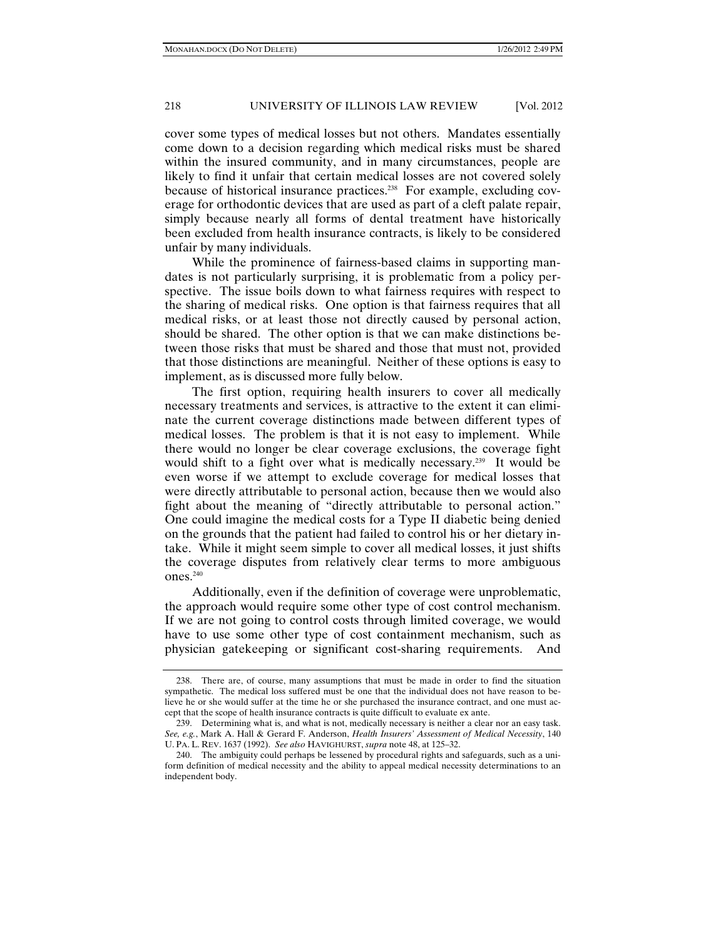cover some types of medical losses but not others. Mandates essentially come down to a decision regarding which medical risks must be shared within the insured community, and in many circumstances, people are likely to find it unfair that certain medical losses are not covered solely because of historical insurance practices.<sup>238</sup> For example, excluding coverage for orthodontic devices that are used as part of a cleft palate repair, simply because nearly all forms of dental treatment have historically been excluded from health insurance contracts, is likely to be considered unfair by many individuals.

While the prominence of fairness-based claims in supporting mandates is not particularly surprising, it is problematic from a policy perspective. The issue boils down to what fairness requires with respect to the sharing of medical risks. One option is that fairness requires that all medical risks, or at least those not directly caused by personal action, should be shared. The other option is that we can make distinctions between those risks that must be shared and those that must not, provided that those distinctions are meaningful. Neither of these options is easy to implement, as is discussed more fully below.

The first option, requiring health insurers to cover all medically necessary treatments and services, is attractive to the extent it can eliminate the current coverage distinctions made between different types of medical losses. The problem is that it is not easy to implement. While there would no longer be clear coverage exclusions, the coverage fight would shift to a fight over what is medically necessary.<sup>239</sup> It would be even worse if we attempt to exclude coverage for medical losses that were directly attributable to personal action, because then we would also fight about the meaning of "directly attributable to personal action." One could imagine the medical costs for a Type II diabetic being denied on the grounds that the patient had failed to control his or her dietary intake. While it might seem simple to cover all medical losses, it just shifts the coverage disputes from relatively clear terms to more ambiguous ones.240

Additionally, even if the definition of coverage were unproblematic, the approach would require some other type of cost control mechanism. If we are not going to control costs through limited coverage, we would have to use some other type of cost containment mechanism, such as physician gatekeeping or significant cost-sharing requirements. And

 <sup>238.</sup> There are, of course, many assumptions that must be made in order to find the situation sympathetic. The medical loss suffered must be one that the individual does not have reason to believe he or she would suffer at the time he or she purchased the insurance contract, and one must accept that the scope of health insurance contracts is quite difficult to evaluate ex ante.

 <sup>239.</sup> Determining what is, and what is not, medically necessary is neither a clear nor an easy task. *See, e.g.*, Mark A. Hall & Gerard F. Anderson, *Health Insurers' Assessment of Medical Necessity*, 140 U. PA. L. REV. 1637 (1992). *See also* HAVIGHURST, *supra* note 48, at 125*–*32.

 <sup>240.</sup> The ambiguity could perhaps be lessened by procedural rights and safeguards, such as a uniform definition of medical necessity and the ability to appeal medical necessity determinations to an independent body.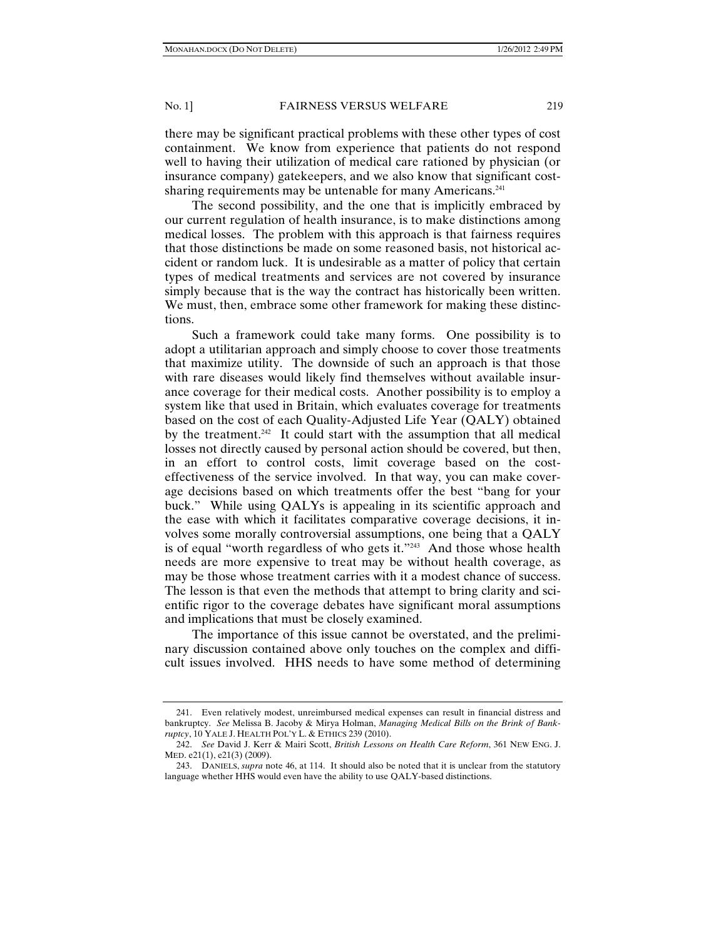there may be significant practical problems with these other types of cost containment. We know from experience that patients do not respond well to having their utilization of medical care rationed by physician (or insurance company) gatekeepers, and we also know that significant costsharing requirements may be untenable for many Americans.<sup>241</sup>

The second possibility, and the one that is implicitly embraced by our current regulation of health insurance, is to make distinctions among medical losses. The problem with this approach is that fairness requires that those distinctions be made on some reasoned basis, not historical accident or random luck. It is undesirable as a matter of policy that certain types of medical treatments and services are not covered by insurance simply because that is the way the contract has historically been written. We must, then, embrace some other framework for making these distinctions.

Such a framework could take many forms. One possibility is to adopt a utilitarian approach and simply choose to cover those treatments that maximize utility. The downside of such an approach is that those with rare diseases would likely find themselves without available insurance coverage for their medical costs. Another possibility is to employ a system like that used in Britain, which evaluates coverage for treatments based on the cost of each Quality-Adjusted Life Year (QALY) obtained by the treatment.<sup>242</sup> It could start with the assumption that all medical losses not directly caused by personal action should be covered, but then, in an effort to control costs, limit coverage based on the costeffectiveness of the service involved. In that way, you can make coverage decisions based on which treatments offer the best "bang for your buck." While using QALYs is appealing in its scientific approach and the ease with which it facilitates comparative coverage decisions, it involves some morally controversial assumptions, one being that a QALY is of equal "worth regardless of who gets it."<sup>243</sup> And those whose health needs are more expensive to treat may be without health coverage, as may be those whose treatment carries with it a modest chance of success. The lesson is that even the methods that attempt to bring clarity and scientific rigor to the coverage debates have significant moral assumptions and implications that must be closely examined.

The importance of this issue cannot be overstated, and the preliminary discussion contained above only touches on the complex and difficult issues involved. HHS needs to have some method of determining

 <sup>241.</sup> Even relatively modest, unreimbursed medical expenses can result in financial distress and bankruptcy. *See* Melissa B. Jacoby & Mirya Holman, *Managing Medical Bills on the Brink of Bankruptcy*, 10 YALE J. HEALTH POL'Y L. & ETHICS 239 (2010).

 <sup>242.</sup> *See* David J. Kerr & Mairi Scott, *British Lessons on Health Care Reform*, 361 NEW ENG. J. MED. e21(1), e21(3) (2009).

 <sup>243.</sup> DANIELS, *supra* note 46, at 114. It should also be noted that it is unclear from the statutory language whether HHS would even have the ability to use QALY-based distinctions.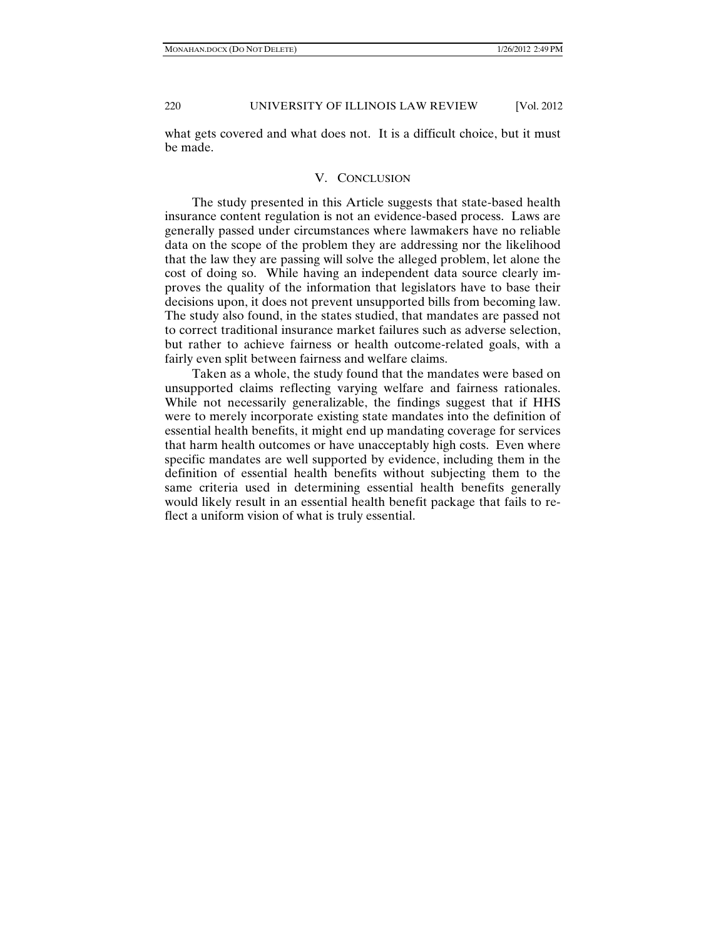what gets covered and what does not. It is a difficult choice, but it must be made.

## V. CONCLUSION

The study presented in this Article suggests that state-based health insurance content regulation is not an evidence-based process. Laws are generally passed under circumstances where lawmakers have no reliable data on the scope of the problem they are addressing nor the likelihood that the law they are passing will solve the alleged problem, let alone the cost of doing so. While having an independent data source clearly improves the quality of the information that legislators have to base their decisions upon, it does not prevent unsupported bills from becoming law. The study also found, in the states studied, that mandates are passed not to correct traditional insurance market failures such as adverse selection, but rather to achieve fairness or health outcome-related goals, with a fairly even split between fairness and welfare claims.

Taken as a whole, the study found that the mandates were based on unsupported claims reflecting varying welfare and fairness rationales. While not necessarily generalizable, the findings suggest that if HHS were to merely incorporate existing state mandates into the definition of essential health benefits, it might end up mandating coverage for services that harm health outcomes or have unacceptably high costs. Even where specific mandates are well supported by evidence, including them in the definition of essential health benefits without subjecting them to the same criteria used in determining essential health benefits generally would likely result in an essential health benefit package that fails to reflect a uniform vision of what is truly essential.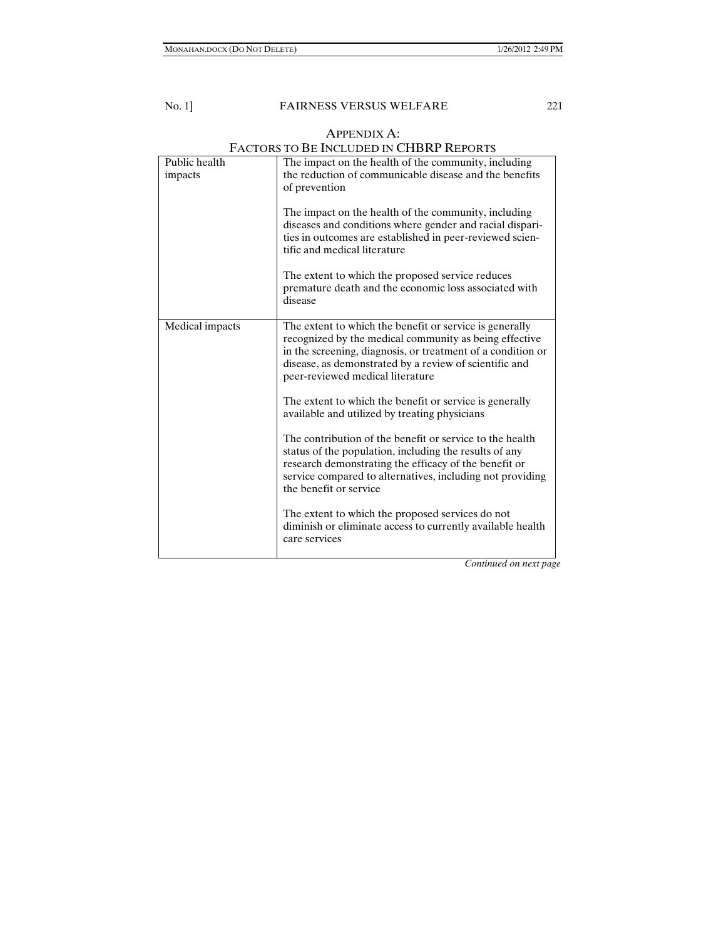### APPENDIX A: FACTORS TO BE INCLUDED IN CHBRP REPORTS

|                          | I ACTONS TO DE INCLUDED IN CITDINI TYPE ONTS                                                                                                                                                                                                                                                                                                    |  |
|--------------------------|-------------------------------------------------------------------------------------------------------------------------------------------------------------------------------------------------------------------------------------------------------------------------------------------------------------------------------------------------|--|
| Public health<br>impacts | The impact on the health of the community, including<br>the reduction of communicable disease and the benefits<br>of prevention<br>The impact on the health of the community, including<br>diseases and conditions where gender and racial dispari-<br>ties in outcomes are established in peer-reviewed scien-<br>tific and medical literature |  |
|                          | The extent to which the proposed service reduces<br>premature death and the economic loss associated with<br>disease                                                                                                                                                                                                                            |  |
| Medical impacts          | The extent to which the benefit or service is generally<br>recognized by the medical community as being effective<br>in the screening, diagnosis, or treatment of a condition or<br>disease, as demonstrated by a review of scientific and<br>peer-reviewed medical literature                                                                  |  |
|                          | The extent to which the benefit or service is generally<br>available and utilized by treating physicians                                                                                                                                                                                                                                        |  |
|                          | The contribution of the benefit or service to the health<br>status of the population, including the results of any<br>research demonstrating the efficacy of the benefit or<br>service compared to alternatives, including not providing<br>the benefit or service                                                                              |  |
|                          | The extent to which the proposed services do not<br>diminish or eliminate access to currently available health<br>care services                                                                                                                                                                                                                 |  |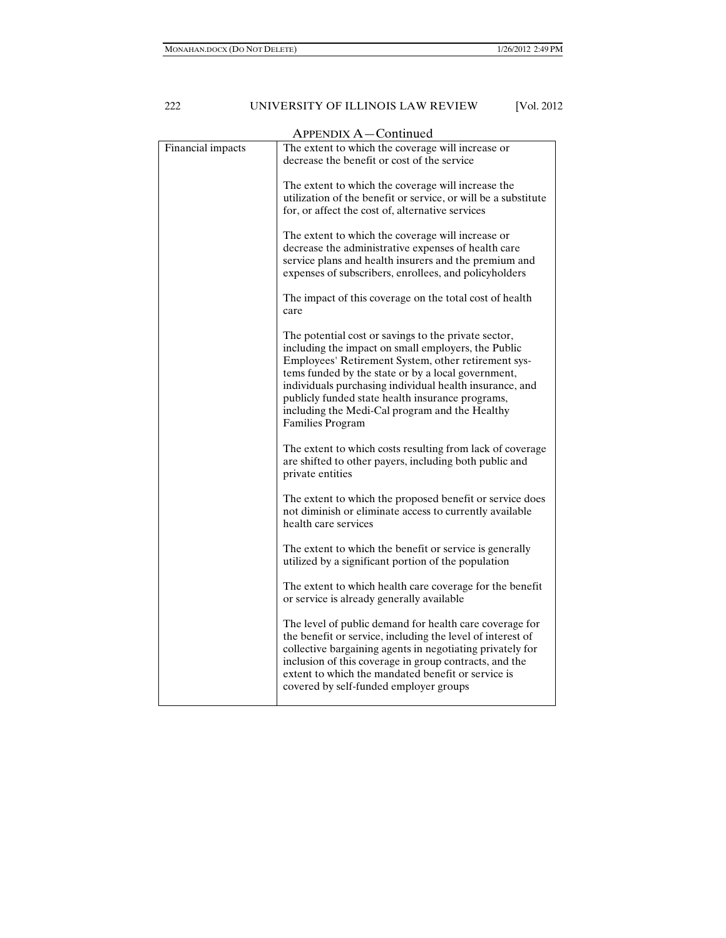| APPENDIX A-Continued |                                                                                                                                                                                                                                                                                                                                                                                                                      |  |
|----------------------|----------------------------------------------------------------------------------------------------------------------------------------------------------------------------------------------------------------------------------------------------------------------------------------------------------------------------------------------------------------------------------------------------------------------|--|
| Financial impacts    | The extent to which the coverage will increase or<br>decrease the benefit or cost of the service                                                                                                                                                                                                                                                                                                                     |  |
|                      | The extent to which the coverage will increase the<br>utilization of the benefit or service, or will be a substitute<br>for, or affect the cost of, alternative services                                                                                                                                                                                                                                             |  |
|                      | The extent to which the coverage will increase or<br>decrease the administrative expenses of health care<br>service plans and health insurers and the premium and<br>expenses of subscribers, enrollees, and policyholders                                                                                                                                                                                           |  |
|                      | The impact of this coverage on the total cost of health<br>care                                                                                                                                                                                                                                                                                                                                                      |  |
|                      | The potential cost or savings to the private sector,<br>including the impact on small employers, the Public<br>Employees' Retirement System, other retirement sys-<br>tems funded by the state or by a local government,<br>individuals purchasing individual health insurance, and<br>publicly funded state health insurance programs,<br>including the Medi-Cal program and the Healthy<br><b>Families Program</b> |  |
|                      | The extent to which costs resulting from lack of coverage<br>are shifted to other payers, including both public and<br>private entities                                                                                                                                                                                                                                                                              |  |
|                      | The extent to which the proposed benefit or service does<br>not diminish or eliminate access to currently available<br>health care services                                                                                                                                                                                                                                                                          |  |
|                      | The extent to which the benefit or service is generally<br>utilized by a significant portion of the population                                                                                                                                                                                                                                                                                                       |  |
|                      | The extent to which health care coverage for the benefit<br>or service is already generally available                                                                                                                                                                                                                                                                                                                |  |
|                      | The level of public demand for health care coverage for<br>the benefit or service, including the level of interest of<br>collective bargaining agents in negotiating privately for<br>inclusion of this coverage in group contracts, and the<br>extent to which the mandated benefit or service is<br>covered by self-funded employer groups                                                                         |  |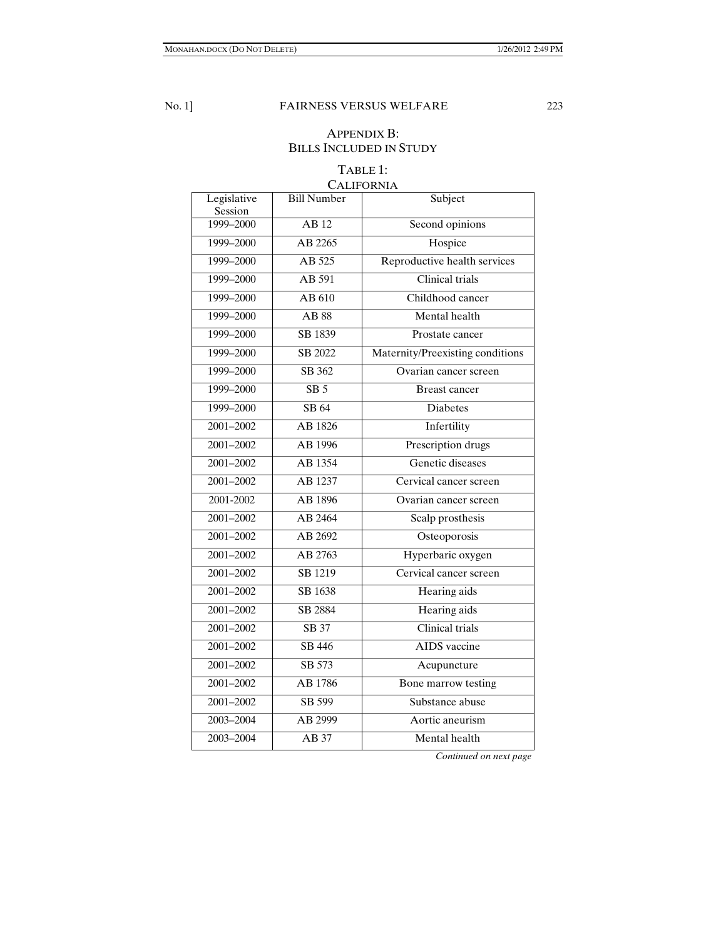# APPENDIX B: BILLS INCLUDED IN STUDY

## TABLE 1: CALIFORNIA

| Legislative<br>Session | <b>Bill Number</b> | Subject                          |
|------------------------|--------------------|----------------------------------|
| 1999-2000              | $\overline{AB12}$  | Second opinions                  |
| 1999-2000              | AB 2265            | Hospice                          |
| 1999-2000              | AB 525             | Reproductive health services     |
| 1999-2000              | AB 591             | Clinical trials                  |
| 1999-2000              | AB 610             | Childhood cancer                 |
| 1999-2000              | <b>AB</b> 88       | Mental health                    |
| 1999-2000              | SB 1839            | Prostate cancer                  |
| 1999-2000              | SB 2022            | Maternity/Preexisting conditions |
| 1999-2000              | SB 362             | Ovarian cancer screen            |
| 1999-2000              | SB <sub>5</sub>    | Breast cancer                    |
| 1999-2000              | SB 64              | Diabetes                         |
| 2001-2002              | AB 1826            | Infertility                      |
| 2001-2002              | AB 1996            | Prescription drugs               |
| 2001-2002              | AB 1354            | Genetic diseases                 |
| 2001-2002              | AB 1237            | Cervical cancer screen           |
| 2001-2002              | AB 1896            | Ovarian cancer screen            |
| 2001-2002              | AB 2464            | Scalp prosthesis                 |
| 2001-2002              | AB 2692            | Osteoporosis                     |
| 2001-2002              | AB 2763            | Hyperbaric oxygen                |
| 2001-2002              | SB 1219            | Cervical cancer screen           |
| 2001-2002              | SB 1638            | Hearing aids                     |
| 2001-2002              | SB 2884            | Hearing aids                     |
| 2001-2002              | SB 37              | Clinical trials                  |
| 2001-2002              | SB 446             | <b>AIDS</b> vaccine              |
| 2001-2002              | SB 573             | Acupuncture                      |
| 2001-2002              | AB 1786            | Bone marrow testing              |
| 2001-2002              | SB 599             | Substance abuse                  |
| 2003-2004              | AB 2999            | Aortic aneurism                  |
| 2003-2004              | AB 37              | Mental health                    |
|                        |                    |                                  |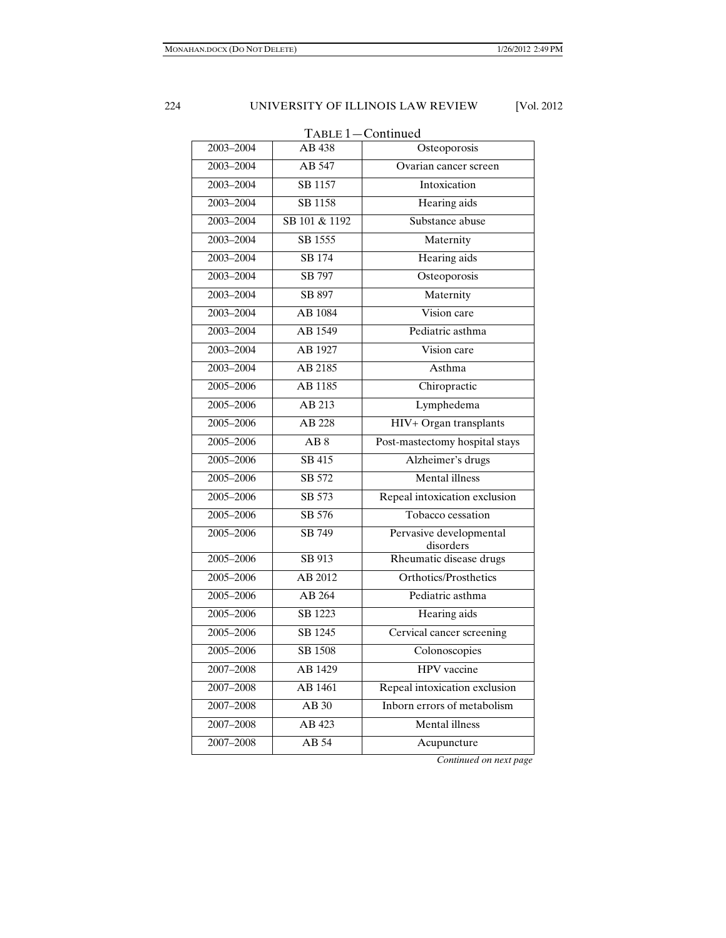| TABLE 1-Continued |                  |                                      |  |
|-------------------|------------------|--------------------------------------|--|
| 2003-2004         | AB 438           | Osteoporosis                         |  |
| 2003-2004         | AB 547           | Ovarian cancer screen                |  |
| 2003-2004         | SB 1157          | Intoxication                         |  |
| 2003-2004         | SB 1158          | Hearing aids                         |  |
| 2003-2004         | SB 101 & 1192    | Substance abuse                      |  |
| 2003-2004         | SB 1555          | Maternity                            |  |
| 2003-2004         | SB 174           | Hearing aids                         |  |
| 2003-2004         | SB 797           | Osteoporosis                         |  |
| 2003-2004         | SB 897           | Maternity                            |  |
| 2003-2004         | AB 1084          | Vision care                          |  |
| 2003-2004         | AB 1549          | Pediatric asthma                     |  |
| 2003-2004         | AB 1927          | Vision care                          |  |
| 2003-2004         | AB 2185          | Asthma                               |  |
| $2005 - 2006$     | AB 1185          | Chiropractic                         |  |
| 2005-2006         | AB 213           | Lymphedema                           |  |
| 2005-2006         | AB 228           | HIV+ Organ transplants               |  |
| 2005-2006         | $\overline{AB8}$ | Post-mastectomy hospital stays       |  |
| 2005-2006         | SB 415           | Alzheimer's drugs                    |  |
| $2005 - 2006$     | SB 572           | <b>Mental</b> illness                |  |
| 2005-2006         | SB 573           | Repeal intoxication exclusion        |  |
| 2005-2006         | SB 576           | Tobacco cessation                    |  |
| 2005-2006         | SB 749           | Pervasive developmental<br>disorders |  |
| 2005-2006         | SB 913           | Rheumatic disease drugs              |  |
| 2005-2006         | AB 2012          | Orthotics/Prosthetics                |  |
| 2005-2006         | AB 264           | Pediatric asthma                     |  |
| 2005-2006         | SB 1223          | Hearing aids                         |  |
| 2005-2006         | SB 1245          | Cervical cancer screening            |  |
| $2005 - 2006$     | SB 1508          | Colonoscopies                        |  |
| 2007-2008         | AB 1429          | HPV vaccine                          |  |
| 2007-2008         | AB 1461          | Repeal intoxication exclusion        |  |
| 2007-2008         | AB 30            | Inborn errors of metabolism          |  |
| 2007-2008         | AB 423           | Mental illness                       |  |
| 2007-2008         | AB 54            | Acupuncture                          |  |
|                   |                  |                                      |  |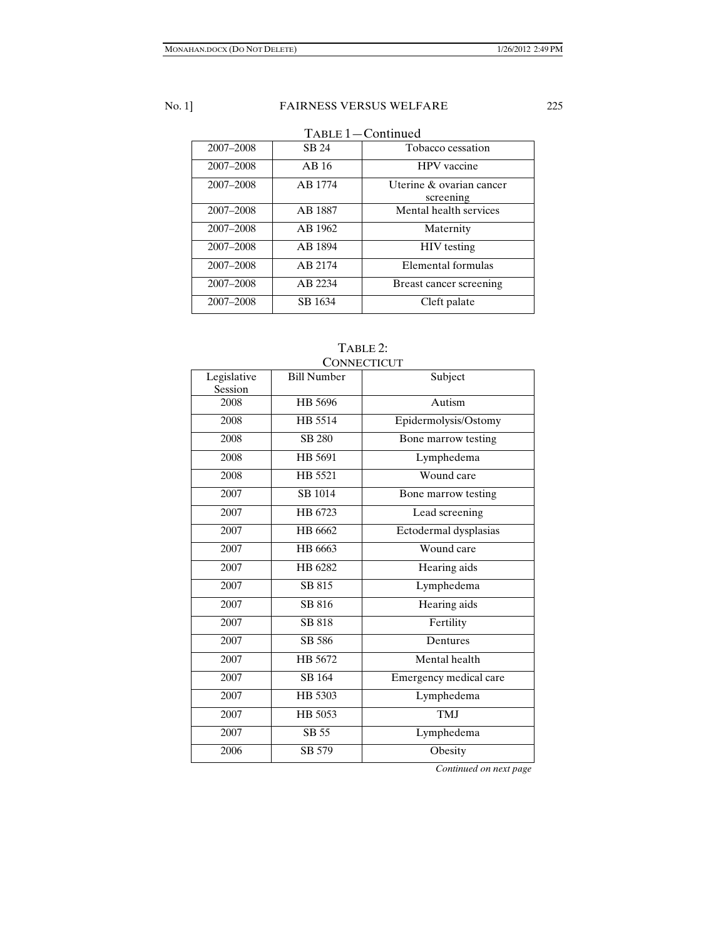TABLE 1—Continued

| 2007-2008 | SB 24   | Tobacco cessation                     |
|-----------|---------|---------------------------------------|
| 2007-2008 | AB16    | <b>HPV</b> vaccine                    |
| 2007-2008 | AB 1774 | Uterine & ovarian cancer<br>screening |
| 2007-2008 | AB 1887 | Mental health services                |
| 2007-2008 | AB 1962 | Maternity                             |
| 2007-2008 | AB 1894 | <b>HIV</b> testing                    |
| 2007-2008 | AB 2174 | Elemental formulas                    |
| 2007-2008 | AB 2234 | Breast cancer screening               |
| 2007-2008 | SB 1634 | Cleft palate                          |

## TABLE 2: **CONNECTICUT**

| <b>Bill Number</b> | Subject                |
|--------------------|------------------------|
| HB 5696            | Autism                 |
| HB 5514            | Epidermolysis/Ostomy   |
| <b>SB 280</b>      | Bone marrow testing    |
| HB 5691            | Lymphedema             |
| HB 5521            | Wound care             |
| <b>SB</b> 1014     | Bone marrow testing    |
| HB 6723            | Lead screening         |
| HB 6662            | Ectodermal dysplasias  |
| HB 6663            | Wound care             |
| HB 6282            | Hearing aids           |
| SB 815             | Lymphedema             |
| SB 816             | Hearing aids           |
| SB 818             | Fertility              |
| SB 586             | Dentures               |
| HB 5672            | Mental health          |
| SB 164             | Emergency medical care |
| HB 5303            | Lymphedema             |
| HB 5053            | <b>TMJ</b>             |
| SB 55              | Lymphedema             |
| SB 579             | Obesity                |
|                    |                        |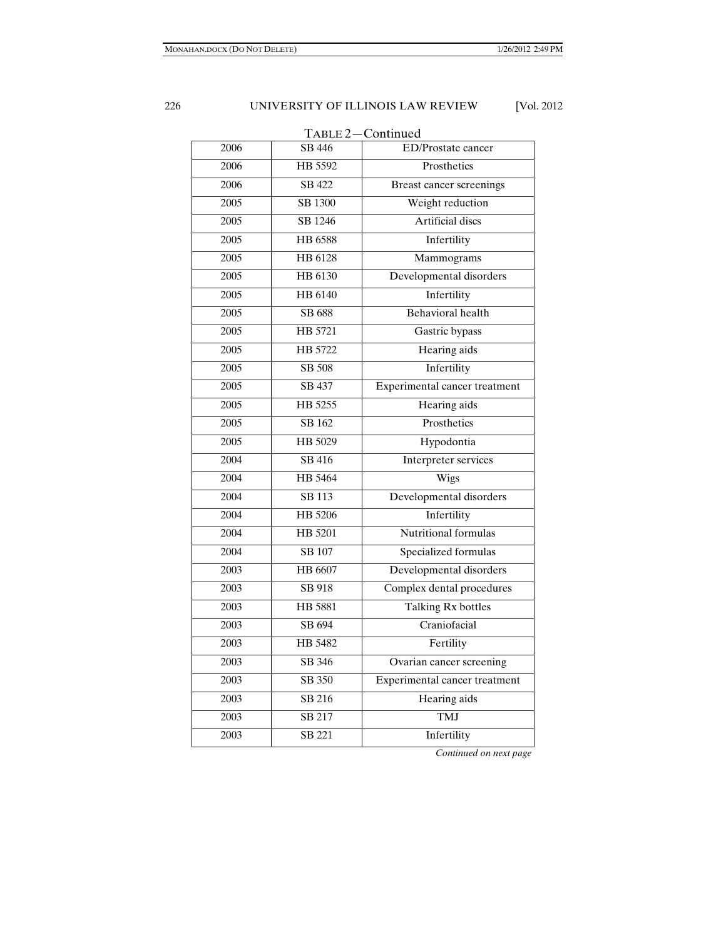| TABLE 2-Continued |                            |                               |  |
|-------------------|----------------------------|-------------------------------|--|
| 2006              | $\overline{\text{SB}}$ 446 | ED/Prostate cancer            |  |
| 2006              | HB 5592                    | Prosthetics                   |  |
| 2006              | SB 422                     | Breast cancer screenings      |  |
| 2005              | SB 1300                    | Weight reduction              |  |
| 2005              | SB 1246                    | <b>Artificial</b> discs       |  |
| 2005              | HB 6588                    | Infertility                   |  |
| 2005              | HB 6128                    | Mammograms                    |  |
| 2005              | HB 6130                    | Developmental disorders       |  |
| 2005              | HB 6140                    | Infertility                   |  |
| 2005              | SB 688                     | Behavioral health             |  |
| 2005              | HB 5721                    | Gastric bypass                |  |
| 2005              | HB 5722                    | Hearing aids                  |  |
| 2005              | SB 508                     | Infertility                   |  |
| 2005              | <b>SB 437</b>              | Experimental cancer treatment |  |
| 2005              | HB 5255                    | Hearing aids                  |  |
| 2005              | SB 162                     | Prosthetics                   |  |
| 2005              | HB 5029                    | Hypodontia                    |  |
| 2004              | SB 416                     | Interpreter services          |  |
| 2004              | HB 5464                    | Wigs                          |  |
| 2004              | <b>SB</b> 113              | Developmental disorders       |  |
| 2004              | HB 5206                    | Infertility                   |  |
| 2004              | HB 5201                    | Nutritional formulas          |  |
| 2004              | <b>SB 107</b>              | Specialized formulas          |  |
| 2003              | HB 6607                    | Developmental disorders       |  |
| 2003              | SB 918                     | Complex dental procedures     |  |
| 2003              | <b>HB 5881</b>             | Talking Rx bottles            |  |
| 2003              | SB 694                     | Craniofacial                  |  |
| 2003              | HB 5482                    | Fertility                     |  |
| 2003              | SB 346                     | Ovarian cancer screening      |  |
| 2003              | SB 350                     | Experimental cancer treatment |  |
| 2003              | SB 216                     | <b>Hearing</b> aids           |  |
| 2003              | SB 217                     | <b>TMJ</b>                    |  |
| 2003              | <b>SB 221</b>              | Infertility                   |  |
|                   |                            |                               |  |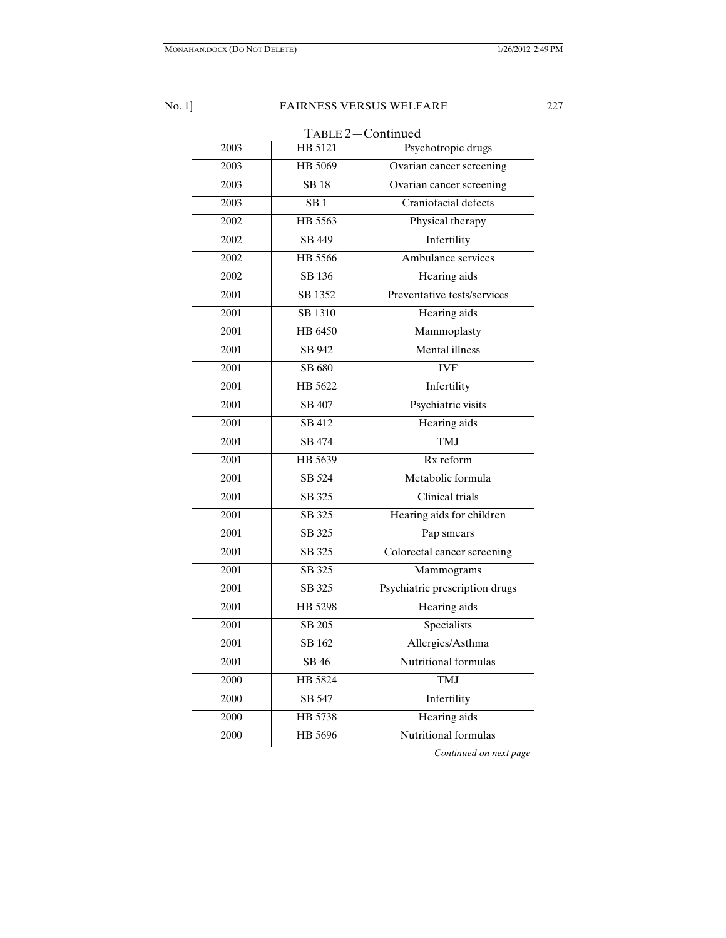TABLE 2—Continued 2003 HB 5121 Psychotropic drugs 2003 HB 5069 Ovarian cancer screening 2003 SB 18 Ovarian cancer screening 2003 SB 1 Craniofacial defects 2002 HB 5563 Physical therapy 2002 SB 449 Infertility 2002 HB 5566 Ambulance services 2002 SB 136 Hearing aids 2001 SB 1352 Preventative tests/services 2001 SB 1310 Hearing aids 2001 HB 6450 Mammoplasty 2001 SB 942 Mental illness 2001 SB 680 IVF 2001 HB 5622 Infertility 2001 SB 407 Psychiatric visits 2001 SB 412 Hearing aids 2001 SB 474 TMJ 2001 HB 5639 Rx reform 2001 SB 524 Metabolic formula 2001 SB 325 Clinical trials 2001 SB 325 Hearing aids for children 2001 SB 325 Pap smears 2001 SB 325 Colorectal cancer screening 2001 SB 325 Mammograms 2001 SB 325 Psychiatric prescription drugs 2001 HB 5298 Hearing aids 2001 SB 205 Specialists 2001 SB 162 Allergies/Asthma 2001 SB 46 Nutritional formulas 2000 HB 5824 TMJ 2000 SB 547 Infertility 2000 HB 5738 Hearing aids 2000 HB 5696 Nutritional formulas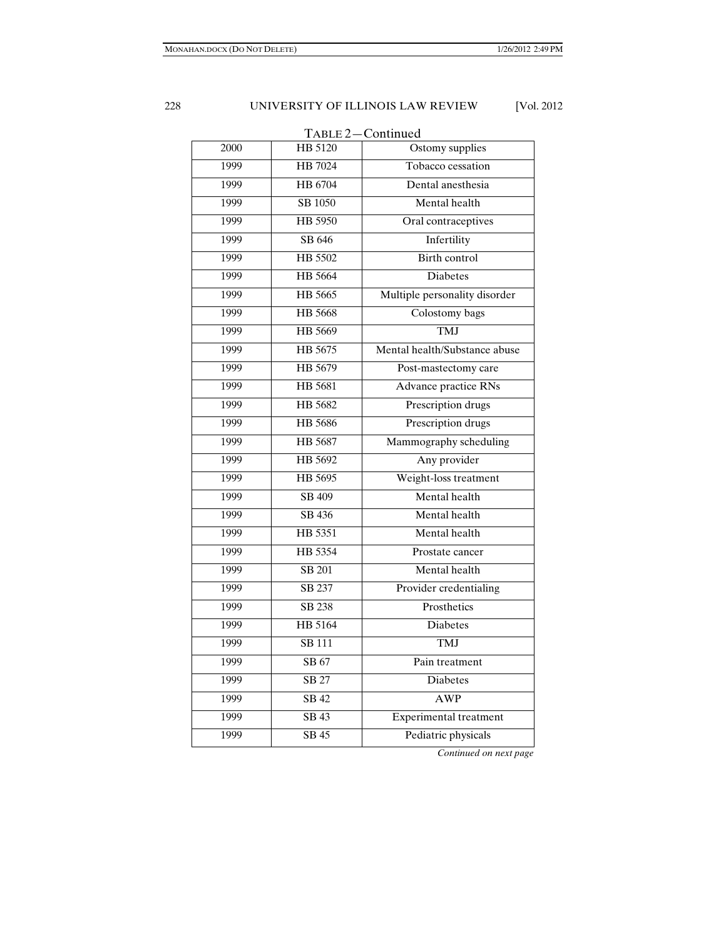| TABLE 2-Continued |                |                               |  |
|-------------------|----------------|-------------------------------|--|
| 2000              | HB 5120        | Ostomy supplies               |  |
| 1999              | HB 7024        | Tobacco cessation             |  |
| 1999              | HB 6704        | Dental anesthesia             |  |
| 1999              | SB 1050        | Mental health                 |  |
| 1999              | HB 5950        | Oral contraceptives           |  |
| 1999              | SB 646         | Infertility                   |  |
| 1999              | HB 5502        | Birth control                 |  |
| 1999              | <b>HB</b> 5664 | <b>Diabetes</b>               |  |
| 1999              | HB 5665        | Multiple personality disorder |  |
| 1999              | <b>HB</b> 5668 | Colostomy bags                |  |
| 1999              | HB 5669        | TMJ                           |  |
| 1999              | HB 5675        | Mental health/Substance abuse |  |
| 1999              | HB 5679        | Post-mastectomy care          |  |
| 1999              | HB 5681        | Advance practice RNs          |  |
| 1999              | HB 5682        | Prescription drugs            |  |
| 1999              | <b>HB</b> 5686 | Prescription drugs            |  |
| 1999              | HB 5687        | Mammography scheduling        |  |
| 1999              | HB 5692        | Any provider                  |  |
| 1999              | HB 5695        | Weight-loss treatment         |  |
| 1999              | SB 409         | Mental health                 |  |
| 1999              | SB 436         | Mental health                 |  |
| 1999              | HB 5351        | Mental health                 |  |
| 1999              | HB 5354        | Prostate cancer               |  |
| 1999              | SB 201         | Mental health                 |  |
| 1999              | SB 237         | Provider credentialing        |  |
| 1999              | SB 238         | Prosthetics                   |  |
| 1999              | HB 5164        | <b>Diabetes</b>               |  |
| 1999              | <b>SB</b> 111  | <b>TMJ</b>                    |  |
| 1999              | SB 67          | Pain treatment                |  |
| 1999              | <b>SB 27</b>   | Diabetes                      |  |
| 1999              | SB42           | <b>AWP</b>                    |  |
| 1999              | SB43           | <b>Experimental treatment</b> |  |
| 1999              | SB45           | Pediatric physicals           |  |
|                   |                |                               |  |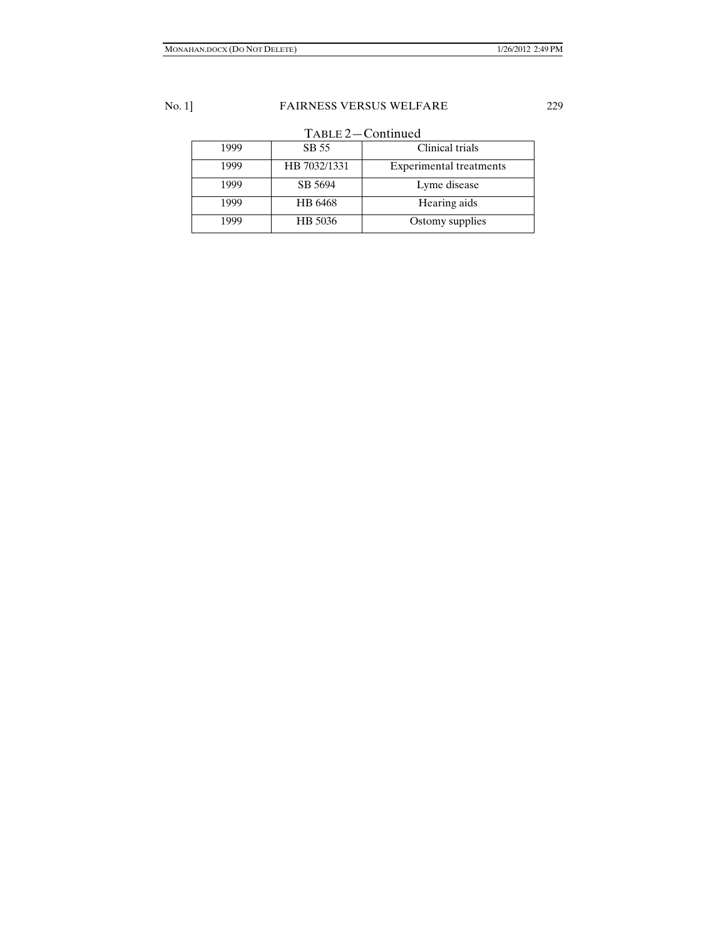| TABLE 2-Continued |  |  |
|-------------------|--|--|
|-------------------|--|--|

| 1999 | SB 55        | Clinical trials                |
|------|--------------|--------------------------------|
| 1999 | HB 7032/1331 | <b>Experimental treatments</b> |
| 1999 | SB 5694      | Lyme disease                   |
| 1999 | HB 6468      | Hearing aids                   |
| 1999 | HB 5036      | Ostomy supplies                |